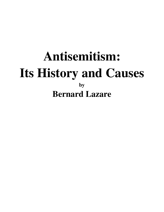# Antisemitism: Its History and Causes by Bernard Lazare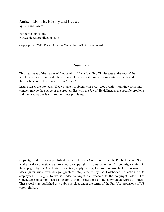#### Antisemitism: Its History and Causes

by Bernard Lazare

Fairborne Publishing [www.colchestercollection.com](http://www.colchestercollection.com/)

Copyright © 2011 The Colchester Collection. All rights reserved.

#### **Summary**

This treatment of the causes of "antisemitism" by a founding Zionist gets to the root of the problem between Jews and others: Jewish Identity or the supremacist attitudes inculcated in those who choose to self-identify as "Jews."

Lazare raises the obvious, "If Jews have a problem with *every* group with whom they come into contact, maybe the source of the problem lies with the Jews." He delineates the specific problems and then shows the Jewish root of those problems.

Copyright: Many works published by the Colchester Collection are in the Public Domain. Some works in the collection are protected by copyright in some countries. All copyright claims in these pages, by the Colchester Collection, apply, solely, to those copyrightable expressions of ideas (summaries, web design, graphics, etc.) created by the Colchester Collection or its employees. All rights to works under copyright are reserved to the copyright holder. The Colchester Collection makes no claim to copy protections on the copyrighted works of others. These works are published as a public service, under the terms of the Fair Use provisions of US copyright law.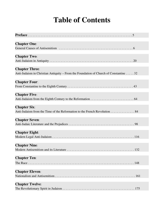## Table of Contents

| <b>Chapter One:</b>                                                                                            |
|----------------------------------------------------------------------------------------------------------------|
| <b>Chapter Two:</b>                                                                                            |
| <b>Chapter Three:</b><br>Anti-Judaism in Christian Antiquity – From the Foundation of Church of Constantine 32 |
| <b>Chapter Four:</b>                                                                                           |
| <b>Chapter Five:</b>                                                                                           |
| <b>Chapter Six:</b><br>Anti-Judaism from the Time of the Reformation to the French Revolution 84               |
| <b>Chapter Seven:</b>                                                                                          |
| <b>Chapter Eight:</b>                                                                                          |
| <b>Chapter Nine:</b>                                                                                           |
| <b>Chapter Ten:</b>                                                                                            |
| <b>Chapter Eleven:</b>                                                                                         |
| <b>Chapter Twelve:</b>                                                                                         |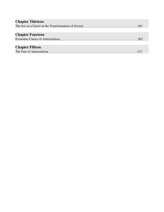| <b>Chapter Thirteen:</b> |  |
|--------------------------|--|
|                          |  |
|                          |  |
| <b>Chapter Fourteen:</b> |  |
|                          |  |
|                          |  |
| <b>Chapter Fifteen:</b>  |  |
|                          |  |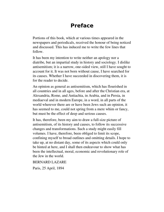### <span id="page-4-0"></span>**[Preface](#page-4-0)**

Portions of this book, which at various times appeared in the newspapers and periodicals, received the honour of being noticed and discussed. This has induced me to write the few lines that follow.

It has been my intention to write neither an apology nor a diatribe, but an impartial study in history and sociology. I dislike antisemitism; it is a narrow, onesided view, still I have sought to account for it. It was not born without cause, I have searched for its causes. Whether I have succeeded in discovering them, it is for the reader to decide.

An opinion as general as antisemitism, which has flourished in all countries and in all ages, before and after the Christian era, at Alexandria, Rome, and Antiachia, in Arabia, and in Persia, in mediaeval and in modern Europe, in a word, in all parts of the world wherever there are or have been Jews such an opinion, it has seemed to me, could not spring from a mere whim or fancy, but must be the effect of deep and serious causes.

It has, therefore, been my aim to draw a full-size picture of antisemitism, of its history and causes, to follow its successive changes and transformations. Such a study might easily fill volumes. I have, therefore, been obliged to limit its scope, confining myself to broad outlines and omitting details. I hope to take up, at no distant day, some of its aspects which could only be hinted at here, and I shall then endeavour to show what has been the intellectual, moral, economic and revolutionary role of the Jew in the world.

### BERNARD LAZARE

Paris, 25 April, 1894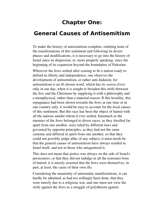### <span id="page-5-0"></span>**[Chapter One:](#page-5-0)**

### **[General Causes of Antisemitism](#page-5-0)**

To make the history of antisemitism complete, omitting none of the manifestations of this sentiment and following its divers phases and modifications, it is necessary to go into the history of Israel since its dispersion, or, more properly speaking, since the beginning of its expansion beyond the boundaries of Palestine.

Wherever the Jews settled after ceasing to be a nation ready to defend its liberty and independence, one observes the development of antisemitism, or rather anti-Judaism; for antisemitism is an ill chosen word, which has its *raison d'etre* only in our day, when it is sought to broaden this strife between the Jew and the Christians by supplying it with a philosophy and a metaphysical, rather than a material reason. If this hostility, this repugnance had been shown towards the Jews at one time or in one country only, it would be easy to account for the local causes of this sentiment. But this race has been the object of hatred with all the nations amidst whom it ever settled. Inasmuch as the enemies of the Jews belonged to divers races, as they dwelled far apart from one another, were ruled by different laws and governed by opposite principles; as they had not the same customs and differed in spirit from one another, so that they could not possibly judge alike of any subject, it must needs be that the general causes of antisemitism have always resided in Israel itself, and not in those who antagonized it.

This does not mean that justice was always on the side of Israel's persecutors, or that they did not indulge in all the extremes born of hatred; it is merely asserted that the Jews were themselves, in part, at least, the cause of their own ills.

Considering the unanimity of antisemitic manifestations, it can hardly be admitted, as had too willingly been done, that they were merely due to a religious war, and one must not view the strife against the Jews as a struggle of polytheism against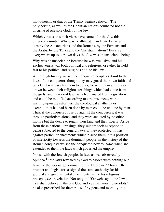monotheism, or that of the Trinity against Jehovah. The polytheistic, as well as the Christian nations combated not the doctrine of one sole God, but the Jew.

Which virtues or which vices have earned for the Jew this universal enmity? Why was he ill-treated and hated alike and in turn by the Alexandrians and the Romans, by the Persians and the Arabs, by the Turks and the Christian nations? Because, everywhere up to our own days the Jew was an unsociable being.

Why was he unsociable? Because he was exclusive, and his exclusiveness was both political and religious, or rather he held fast to his political and religious cult, to his law.

All through history we see the conquered peoples submit to the laws of the conqueror, though they may guard their own faith and beliefs. It was easy for them to do so, for with them a line was drawn between their religious teachings which had come from the gods, and their civil laws which emanated from legislation and could be modified according to circumstances, without inviting upon the reformers the theological anathema or execration; what had been done by man could be undone by man. Thus, if the conquered rose up against the conquerors, it was through patriotism alone, and they were actuated by no other motive but the desire to regain their land and their liberty. Aside from these national uprisings, they seldom took exception to being subjected to the general laws; if they protested, it was against particular enactments which placed them into a position of inferiority towards the dominant people; in the history of the Roman conquests we see the conquered bow to Rome when she extended to them the laws which governed the empire.

Not so with the Jewish people. In fact, as was observed by Spinoza, $<sup>1</sup>$  "the laws revealed by God to Moses were nothing but</sup> laws for the special government of the Hebrews." Moses, $^2$  the prophet and legislator, assigned the same authority for his judicial and governmental enactments, as for his religious precepts, *i.e.,* revelation. Not only did Yahweh say to the Jews, "Ye shall believe in the one God and ye shall worship no idols," he also prescribed for them rules of hygiene and morality; not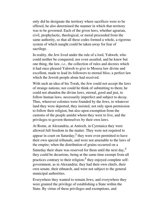only did he designate the territory where sacrifices were to be offered, he also determined the manner in which that territory was to be governed. Each of the given laws, whether agrarian, civil, prophylactic, theological, or moral proceeded from the same authority, so that all these codes formed a whole, a rigorous system of which naught could be taken away for fear of sacrilege.

In reality, the Jew lived under the rule of a lord, Yahweh, who could neither be conquered, nor even assailed, and he knew but one thing, the law, *i.e.,* the collection of rules and decrees which it had once pleased Yahweh to give to Mosesa law divine and excellent, made to lead its followers to eternal bliss; a perfect law which the Jewish people alone had received.

With such an idea of his Torah, the Jew could not accept the laws of strange nations; nor could he think of submitting to them; he could not abandon the divine laws, eternal, good and just, to follow human laws, necessarily imperfect and subject to decay. Thus, wherever colonies were founded by the Jews, to whatever land they were deported, they insisted, not only upon permission to follow their religion, but also upon exemption from the customs of the people amidst whom they were to live, and the privileges to govern themselves by their own laws.

At Rome, at Alexandria, at Antioch, in Cyrenaica they were allowed full freedom in the matter. They were not required to appear in court on Saturday; $3$  they were even permitted to have their own special tribunals, and were not amenable to the laws of the empire; when the distribution of grains occurred on a Saturday their share was reserved for them until the next day, $4\overline{ }$ they could be decurions, being at the same time exempt from all practices contrary to their religion;<sup>5</sup> they enjoyed complete selfgovernment, as in Alexandria; they had their own chiefs, their own senate, their ethnarch, and were not subject to the general municipal authorities.

Everywhere they wanted to remain Jews, and everywhere they were granted the privilege of establishing a State within the State. By virtue of these privileges and exemptions, and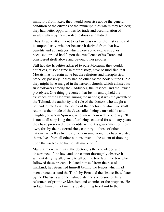immunity from taxes, they would soon rise above the general condition of the citizens of the municipalities where they resided; they had better opportunities for trade and accumulation of wealth, whereby they excited jealousy and hatred.

Thus, Israel's attachment to its law was one of the first causes of its unpopularity, whether because it derived from that law benefits and advantages which were apt to excite envy, or because it prided itself upon the excellence of its Torah and considered itself above and beyond other peoples.

Still had the Israelites adhered to pure Mosaism, they could, doubtless, at some time in their history, have so modified that Mosaism as to retain none but the religious and metaphysical precepts; possibly, if they had no other sacred book but the Bible they might have merged in the nascent church, which enlisted its first followers among the Sadducees, the Essenes, and the Jewish proselytes. One thing prevented that fusion and upheld the existence of the Hebrews among the nations; it was the growth of the Talmud, the authority and rule of the doctors who taught a pretended tradition. The policy of the doctors to which we shall return further made of the Jews sullen beings, unsociable and haughty, of whom Spinoza, who knew them well, could say: "It is not at all surprising that after being scattered for so many years they have preserved their identity without a government of their own, for, by their external rites, contrary to those of other nations, as well as by the sign of circumcision, they have isolated themselves from all other nations, even to the extent of drawing upon themselves the hate of all mankind."<sup>6</sup>

Man's aim on earth, said the doctors, is the knowledge and observance of the law, and one cannot thoroughly observe it without denying allegiance to all but the true law. The Jew who followed these precepts isolated himself from the rest of mankind; he retrenched himself behind the fences which had been erected around the Torah by Ezra and the first scribes, $^7$  later by the Pharisees and the Talmudists, the successors of Ezra, reformers of primitive Mosaism and enemies or the prophets. He isolated himself, not merely by declining to submit to the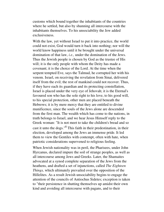customs which bound together the inhabitants of the countries where he settled, but also by shunning all intercourse with the inhabitants themselves. To his unsociability the Jew added exclusiveness.

With the law, yet without Israel to put it into practice, the world could not exist, God would turn it back into nothing; nor will the world know happiness until it be brought under the universal domination of that law, *i.e.,* under the domination of the Jews. Thus the Jewish people is chosen by God as the trustee of His will; it is the only people with whom the Deity has made a covenant; it is the choice of the Lord. At the time when the serpent tempted Eve, says the Talmud, he corrupted her with his venom. Israel, on receiving the revelation from Sinai, delivered itself from the evil; the rest of mankind could not recover. Thus, if they have each its guardian and its protecting constellation, Israel is placed under the very eye of Jehovah; it is the Eternal's favoured son who has the sole right to his love, to his good will, to his special protection, other men are placed beneath the Hebrews; it is by mere mercy that they are entitled to divine munificence, since the souls of the Jews alone are descended from the first man. The wealth which has come to the nations, in truth belongs to Israel, and we hear Jesus Himself reply to the Greek woman: "It is not meet to take the children's bread and so cast it unto the dogs."<sup>8</sup> This faith in their predestination, in their election, developed among the Jews an immense pride. It led them to view the Gentiles with contempt, often with hate, when patriotic considerations supervened to religious feeling.

When Jewish nationality was in peril, the Pharisees, under John Hyrcanus, declared impure the soil of strange peoples, as well as all intercourse among Jews and Greeks. Later, the Shamaites advocated at a synod complete separation of the Jews from the heathens, and drafted a set of injunctions, called *The Eighteen Things,* which ultimately prevailed over the opposition of the Hillelites. As a result Jewish unsociability begins to engage the attention of the councils of Antiochus Sidetes; exception is taken to "their persistence in shutting themselves up amidst their own kind and avoiding all intercourse with pagans, and to their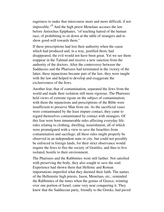eagerness to make that intercourse more and more difficult, if not impossible."<sup>9</sup> And the high priest Menelaus accuses the law before Antiochus Epiphanes, "of teaching hatred of the human race, of prohibiting to sit down at the table of strangers and to show good-will towards them."

If these prescriptions had lost their authority when the cause which had produced and, in a way, justified them, had disappeared, the evil would not have been great. Yet we see them reappear in the Talmud and receive a new sanction from the authority of the doctors. After the controversy between the Sadducees and the Pharisees had terminated in the victory of the latter, these injunctions became part of the law, they were taught with the law and helped to develop and exaggerate the exclusiveness of the Jews.

Another fear, that of contamination, separated the Jews from the world and made their isolation still more rigorous. The Pharisees held views of extreme rigour on the subject of contamination; with them the injunctions and prescriptions of the Bible were insufficient to preserve Man from sin. As the sacrificial vases were contaminated by the least impure contact, they came to regard themselves contaminated by contact with strangers. Of this fear were born innumerable rules affecting everyday life: rules relating to clothing, dwelling, nourishment, all of which were promulgated with a view to save the Israelites from contamination and sacrilege; all these rules might properly be observed in an independent state or city, but could not possibly be enforced in foreign lands, for their strict observance would require the Jews to flee the society of Gentiles, and thus to live isolated, hostile to their environment.

The Pharisees and the Rabbinites went still farther. Not satisfied with preserving the body, they also sought to save the soul. Experience had shown them that Hellenic and Roman importations imperiled what they deemed their faith. The names of the Hellenistic high priests, Jason, Menelaus, etc., reminded the Rabbinites of the times when the genius of Greece, winning over one portion of Israel, came very near conquering it. They knew that the Sadducean party, friendly to the Greeks, had paved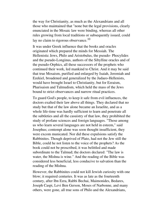the way for Christianity, as much as the Alexandrians and all those who maintained that "none but the legal provisions, clearly enunciated in the Mosaic law were binding, whereas all other rules growing from local traditions or subsequently issued, could lay no claim to rigorous observance.<sup>10</sup>

It was under Greek influence that the books and oracles originated which prepared the minds for Messiah. The Hellenistic Jews, Philo and Aristobulus, the pseudo-Phocylides and the pseudo-Longinus, authors of the Sibylline oracles and of the pseudo-Orphics, all these successors of the prophets who continued their work, led mankind to Christ. And it may be said that true Mosaism, purified and enlarged by Isaiah, Jeremiah and Ezekiel, broadened and generalized by the Judaeo-Hellenists, would have brought Israel to Christianity, but for Ezraism, Pharisaism and Talmudism, which held the mass of the Jews bound to strict observances and narrow ritual practices.

To guard God's people, to keep it safe from evil influences, the doctors exalted their law above all things. They declared that no study but that of the law alone became an Israelite, and as a whole life-time was hardly sufficient to learn and penetrate all the subtleties and all the casuistry of that law, they prohibited the study of profane sciences and foreign languages. "Those among us who learn several languages are not held in esteem," said Josephus; contempt alone was soon thought insufficient, they were excom municated. Nor did these expulsions satisfy the Rabbinites. Though deprived of Plato, had not the Jew still the Bible, could he not listen to the voice of the prophets? As the book could not be proscribed, it was belittled and made subordinate to the Talmud; the doctors declared: "The law is water, the Mishna is wine." And the reading of the Bible was considered less beneficial, less conducive to salvation than the reading of the Mishna.

However, the Rabbinites could not kill Jewish curiosity with one blow; it required centuries. It was as late as the fourteenth century, after Ibn Ezra, Rabbi Bechai, Maimonides, Bedares, Joseph Caspi, Levi Ben Gerson, Moses of Narbonne, and many others, were gone, all true sons of Philo and the Alexandrians,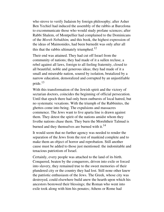who strove to verify Judaism by foreign philosophy; after Asher Ben Yechiel had induced the assembly of the rabbis at Barcelona to excommunicate those who would study profane sciences; after Rabbi Shalem, of Montpellier had complained to the Dominicans of the *Moreh Nebukhim,* and this book, the highest expression of the ideas of Maimonides, had been burnedit was only after all this that the rabbis ultimately triumphed.<sup>12</sup>

Their end was attained. They had cut off Israel from the community of nations; they had made of it a sullen recluse, a rebel against all laws, foreign to all feeling fraternity, closed to all beautiful, noble and generous ideas; they had made of it a small and miserable nation, soured by isolation, brutalized by a narrow education, demoralized and corrupted by an unjustifiable pride.<sup>13</sup>

With this transformation of the Jewish spirit and the victory of sectarian doctors, coincides the beginning of official persecution. Until that epoch there had only been outbursts of local hatred, but no systematic vexations. With the triumph of the Rabbinites, the ghettos come into being. The expulsions and massacres commence. The Jews want to live aparta line is drawn against them. They detest the spirit of the nations amidst whom they livethe nations chase them. They burn the Morehtheir Talmud is burned and they themselves are burned with it.<sup>14</sup>

It would seem that no further agency was needed to render the separation of the Jews from the rest of mankind complete and to make them an object of horror and reprobation. Still another cause must be added to those just mentioned: the indomitable and tenacious patriotism of Israel.

Certainly, every people was attached to the land of its birth. Conquered, beaten by the conquerors, driven into exile or forced into slavery, they remained true to the sweet memories of their plundered city or the country they had lost. Still none other knew the patriotic enthusiasm of the Jews. The Greek, whose city was destroyed, could elsewhere build anew the hearth upon which his ancestors bestowed their blessings; the Roman who went into exile took along with him his penates; Athens or Rome had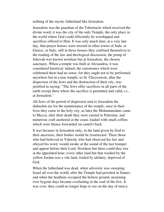nothing of the mystic fatherland like Jerusalem.

Jerusalem was the guardian of the Tabernacle which received the divine word; it was the city of the only Temple, the only place in the world where God could efficiently be worshipped and sacrifices offered to Him. It was only much later, at a very late day, that prayer houses were erected in other towns of Juda, or Greece, or Italy; still in those houses they confined themselves to the reading of the law and theological discussion; the pomp of Jehovah was known nowhere but at Jerusalem, the chosen sanctuary. When a temple was built at Alexandria, it was considered heretical; indeed, the ceremonies which were celebrated there had no sense, for they ought not to be performed anywhere but in a true temple; so St. Chrysostom, after the dispersion of the Jews and the destruction of their city, was justified in saying: "The Jews offer sacrifices in all parts of the earth except there where the sacrifice is permitted and valid, *i.e.,* at Jerusalem."

All Jews of the period of dispersion sent to Jerusalem the didrachm tax for the maintenance of the temple; once in their lives they came to the holy city, as later the Mohammedans came to Mecca; after their death they were carried to Palestine, and numerous craft anchored at the coast, loaded with small coffins which were thence forwarded on camel's back.

It was because in Jerusalem only, in the land given by God to their ancestors, their bodies would be resurrected. There those who had believed in Yahweh, who had observed his law and obeyed his word, would awake at the sound of the last trumpet and appear before their Lord. Nowhere but there could they rise at the appointed hour; every other land but that washed by the yellow Jordan was a vile land, fouled by idolatry, deprived of God.

When the fatherland was dead, when adversity was sweeping Israel all over the world, after the Temple had perished in flames, and when the heathens occupied the holiest ground, mourning over bygone days became everlasting in the soul of the Jew. It was over; they could no longer hope to see on the day of mercy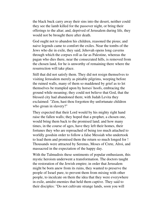the black buck carry away their sins into the desert, neither could they see the lamb killed for the passover night, or bring their offerings to the altar; and, deprived of Jerusalem during life, they would not be brought there after death.

God ought not to abandon his children, reasoned the pious; and naive legends came to comfort the exiles. Near the tombs of the Jews who die in exile, they said, Jehovah opens long caverns through which the corpses roll as far as Palestine, whereas the pagan who dies there, near the consecrated hills, is removed from the chosen land, for he is unworthy of remaining there where the resurrection will take place.

Still that did not satisfy them. They did not resign themselves to visiting Jerusalem merely as pitiable pilgrims, weeping before the ruined walls, many of them so maddened by grief as to let themselves be trampled upon by horses' hoofs, embracing the ground while moaning; they could not believe that God, that the blessed city had abandoned them; with Judah Levita they exclaimed: "Zion, hast thou forgotten thy unfortunate children who groan in slavery?"

They expected that their Lord would by his mighty right hand raise the fallen walls; they hoped that a prophet, a chosen one, would bring them back to the promised land; and how many times, in the course of ages, have they left their homes, their fortunes they who are reproached of being too much attached to worldly goodsin order to follow a false Messiah who undertook to lead them and promised them the return so much longed for ! Thousands were attracted by Serenus, Moses of Crete, Alroi, and massacred in the expectation of the happy day.

With the Talmudists these sentiments of popular enthusiasm, this mystic heroism underwent a transformation. The doctors taught the restoration of the Jewish empire; in order that Jerusalem might be born anew from its ruins, they wanted to preserve the people of Israel pure, to prevent them from mixing with other people, to inculcate on them the idea that they were everywhere in exile, amidst enemies that held them captive. They said to their disciples: "Do not cultivate strange lands, soon you will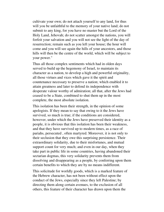cultivate your own; do not attach yourself to any land, for thus will you be unfaithful to the memory of your native land; do not submit to any king, for you have no master but the Lord of the Holy Land, Jehovah; do not scatter amongst the nations, you will forfeit your salvation and you will not see the light of the day of resurrection; remain such as you left your house; the hour will come and you will see again the hills of your ancestors, and those hills will then be the centre of the world, which will be subject to your power."

Thus all those complex sentiments which had in olden days served to build up the hegemony of Israel, to maintain its character as a nation, to develop a high and powerful originality, all those virtues and vices which gave it the spirit and countenance necessary to preserve a nation; which enabled it to attain greatness and later to defend its independence with desperate valour worthy of admiration; all that, after the Jews had ceased to be a State, combined to shut them up in the most complete, the most absolute isolation.

This isolation has been their strength, in the opinion of some apologists. If they mean to say that owing to it the Jews have survived, so much is true; if the conditions are considered, however, under which the Jews have preserved their identity as a people, it is obvious that this isolation has been their weakness, and that they have survived up to modern times, as a race of pariahs, persecuted , often martyred. Moreover, it is not only to their seclusion that they owe this surprising persistence. Their extraordinary solidarity, due to their misfortunes, and mutual support count for very much; and even in our day, when they take part in public life in some countries, having abandoned their sectarian dogmas, this very solidarity prevents them from dissolving and disappearing as a people, by conferring upon them certain benefits to which they are by no means indifferent.

This solicitude for worldly goods, which is a marked feature of the Hebrew character, has not been without effect upon the conduct of the Jews, especially since they left Palestine; by directing them along certain avenues, to the exclusion of all others, this feature of their character has drawn upon them the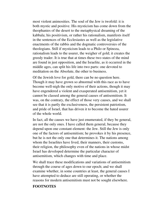most violent animosities. The soul of the Jew is twofold: it is both mystic and positive. His mysticism has come down from the theophanies of the desert to the metaphysical dreaming of the kabbala; his positivism, or rather his rationalism, manifests itself in the sentences of the Ecclesiastes as well as the legislative enactments of the rabbis and the dogmatic controversies of the theologians. Still if mysticism leads to a Philo or Spinoza, rationalism leads to the usurer, the weigher of gold; it creates the greedy trader. It is true that at times these two states of the mind are found in just opposition, and the Israelite, as it occurred in the middle ages, can split his life into two parts: one devoted to meditation on the Absolute, the other to business.

Of the Jewish love for gold, there can be no question here. Though it may have grown so abnormal with this race as to have become well-nigh the only motive of their actions, though it may have engendered a violent and exasperated antisemitism, yet it cannot be classed among the general causes of antisemitism. It was, on the contrary, the effect of those very causes, and we shall see that it is partly the exclusiveness, the persistent patriotism, and pride of Israel, that has driven it to become the hated usurer of the whole world.

In fact, all the causes we have just enumerated, if they be general, are not the only ones. I have called them general, because they depend upon one constant element: the Jew. Still the Jew is only one of the factors of antisemitism; he provokes it by his presence, but he is not the only one that determines it. The nations among whom the Israelites have lived, their manners, their customs, their religion, the philosophy even of the nations in whose midst Israel has developed determine the particular character of antisemitism, which changes with time and place.

We shall trace these modifications and variations of antisemitism through the course of ages down to our epoch; and we shall examine whether, in some countries at least, the general causes I have attempted to deduce are still operating, or whether the reasons for modern antisemitism must not be sought elsewhere.

#### FOOTNOTES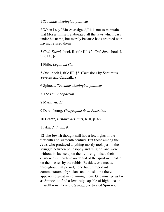#### 1 *Tractatus theologico-politicus*.

2 When I say "Moses assigned," it is not to maintain that Moses himself elaborated all the laws which pass under his name, but merely because he is credited with having revised them.

3 *Cod. Theod*., book II, title III, §2. *Cod. Just.*, book I, title IX, §2.

4 Philo, *Legat. ad Cai*.

5 *Dig*., book I, title III, §3. (Decisions by Septimius Severus and Caracalla.)

6 Spinoza, *Tractatus theologicopoliticus*.

7 The *Dibre Sopherim*.

8 Mark, vii, 27.

9 Derembourg, *Geographie de la Palestine*.

10 Graetz, *Histoire des Juits*, b. II, p. 469.

11 *Ant. Jud*., xx, 9.

12 The Jewish thought still had a few lights in the fifteenth and sixteenth century. But those among the Jews who produced anything mostly took part in the struggle between philosophy and religion, and were without influence upon their co-religionists; their existence is therefore no denial of the spirit inculcated on the masses by the rabbis. Besides, one meets, throughout that period, none but unimportant commentators, physicians and translators; there appears no great mind among them. One must go as far as Spinoza to find a Jew truly capable of high ideas; it is wellknown how the Synagogue treated Spinoza.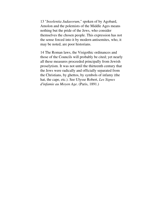13 "*Insolentia Judaeorum*," spoken of by Agobard, Amolon and the polemists of the Middle Ages means nothing but the pride of the Jews, who consider themselves the chosen people. This expression has not the sense forced into it by modern antisemites, who, it may be noted, are poor historians.

14 The Roman laws, the Visigothic ordinances and those of the Councils will probably be cited; yet nearly all these measures proceeded principally from Jewish proselytism. It was not until the thirteenth century that the Jews were radically and officially separated from the Christians, by ghettos, by symbols of infamy (the hat, the cape, etc.). See Ulysse Robert, *Les Signes d'infamie au Moyen Age*. (Paris, 1891.)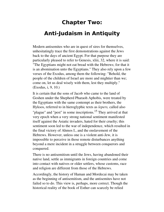# <span id="page-19-0"></span>**[Chapter Two:](#page-19-0) [Anti-Judaism in Antiquity](#page-19-0)**

Modern antisemites who are in quest of sires for themselves, unhesitatingly trace the first demonstrations against the Jews back to the days of ancient Egypt. For that purpose they are particularly pleased to refer to Genesis, xliii, 32, where it is said: "The Egyptians might not eat bread with the Hebrews; for that it is an abomination unto the Egyptians." They also rely upon a few verses of the Exodus, among them the following: "Behold, the people of the children of Israel are more and mightier than we; come on, let us deal wisely with them, lest they multiply." (Exodus, i, 9, 10.)

It is certain that the sons of Jacob who came to the land of Goshen under the Shepherd Pharaoh Aphobis, were treated by the Egyptians with the same contempt as their brothers, the Hyksos, referred to in hieroglyphic texts as *lepers,* called also "plague" and "pest" in some inscriptions.<sup>15</sup> They arrived at that very epoch when a very strong national sentiment manifested itself against the Asiatic invaders, hated for their cruelty; this sentiment soon led to the war of independence, which resulted in the final victory of Ahmos I., and the enslavement of the Hebrews. However, unless one is a violent anti-Jew, it is impossible to perceive in those remote disturbances anything beyond a mere incident in a struggle between conquerors and conquered.

There is no antisemitism until the Jews, having abandoned their native land, settle as immigrants in foreign countries and come into contact with natives or older settlers, whose customs, race and religion are different from those of the Hebrews.

Accordingly, the history of Haman and Mordecai may be taken as the beginning of antisemitism, and the antisemites have not failed so to do. This view is, perhaps, more correct. Though the historical reality of the book of Esther can scarcely be relied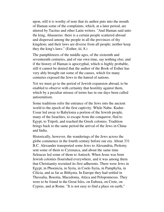upon, still it is worthy of note that its author puts into the mouth of Haman some of the complaints, which, at a later period, are uttered by Tacitus and other Latin writers. "And Haman said unto the king, Ahasuerus: there is a certain people scattered abroad and dispersed among the people in all the provinces of thy kingdom; and their laws are diverse from all people; neither keep they the king's laws." (Esther, iii, 8.)

The pamphleteers of the middle ages, of the sixteenth and seventeenth centuries, and of our own time, say nothing else; and if the history of Haman is apocryphal, which is highly probable, still it cannot be denied that the author of the Book of Esther has very ably brought out some of the causes, which for many centuries exposed the Jews to the hatred of nations.

Yet we must go to the period of Jewish expansion abroad, to be enabled to observe with certainty that hostility against them, which by a peculiar misuse of terms has in our days been called antisemitism.

Some traditions refer the entrance of the Jews into the ancient world to the epoch of the first captivity. While Nabu-Kudur-Ussur led away to Babylonia a portion of the Jewish people, many of the Israelites, to escape from the conqueror, fled to Egypt, to Tripoli, and reached the Greek colonies. Tradition brings back to the same period the arrival of the Jews in China and India.

Historically, however, the wanderings of the Jews across the globe commence in the fourth century before our era. About 331 B.C. Alexander transported some Jews to Alexandria, Ptolemy sent some of them to Cyrenaica, and about the same time Seleucus led some of them to Antioch. When Jesus was born Jewish colonies flourished everywhere, and it was among them that Christianity recruited its first adherents. There were Jews in Egypt, in Phoenicia, in Syria, in Coele-Syria, in Pamphylia, in Cilicia, and as far as Bithynia. In Europe they had settled in Thessalia, Boeotia, Macedonia, Attica and Peloponnesus. They were to be found in the Great Isles, on Euboea, on Crete, on Cyprus, and at Rome. "It is not easy to find a place on earth,"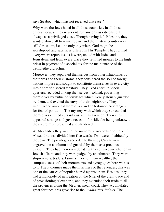says Strabo, "which has not received that race."

Why were the Jews hated in all those countries, in all those cities? Because they never entered any city as citizens, but always as a privileged class. Though having left Palestine, they wanted above all to remain Jews, and their native country was still Jerusalem, i.e., the only city where God might be worshipped and sacrifices offered in His Temple. They formed everywhere republics, as it were, united with Judea and Jerusalem, and from every place they remitted monies to the high priest in payment of a special tax for the maintenance of the Templethe didrachm.

Moreover, they separated themselves from other inhabitants by their rites and their customs; they considered the soil of foreign nations impure and sought to constitute themselves in every city into a sort of a sacred territory. They lived apart, in special quarters, secluded among themselves, isolated, governing themselves by virtue of privileges which were jealously guarded by them, and excited the envy of their neighbours. They intermarried amongst themselves and en tertained no strangers, for fear of pollution. The mystery with which they surrounded themselves excited curiosity as well as aversion. Their rites appeared strange and gave occasion for ridicule; being unknown, they were misrepresented and slandered.

At Alexandria they were quite numerous. According to Philo, <sup>16</sup> Alexandria was divided into five wards. Two were inhabited by the Jews. The privileges accorded to them by Caesar were engraved on a column and guarded by them as a precious treasure. They had their own Senate with exclusive jurisdiction in Jewish affairs, and they were judged by an ethnarch. They were ship-owners, traders, farmers, most of them wealthy; the sumptuousness of their monuments and synagogues bore witness to it. The Ptolemies made them farmers of the revenues; this was one of the causes of popular hatred against them. Besides, they had a monopoly of navigation on the Nile, of the grain trade and of provisioning Alexandria, and they extended their trade to all the provinces along the Mediterranean coast. They accumulated great fortunes; this gave rise to the *invidia auri Judaici.* The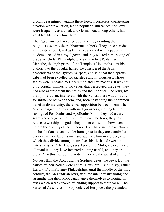growing resentment against these foreign cornerers, constituting a nation within a nation, led to popular disturbances; the Jews were frequently assaulted, and Germanicu, among others, had great trouble protecting them.

The Egyptians took revenge upon them by deriding their religious customs, their abhorrence of pork. They once paraded in the city a fool, Carabas by name, adorned with a papyrus diadem, decked in a royal gown, and they saluted him as king of the Jews. Under Philadelphus, one of the first Ptolemies, Manetho, the high-priest of the Temple at Heliopolis, lent his authority to the popular hatred; he considered the Jews descendants of the Hyksos usurpers, and said that that leprous tribe had been expelled for sacrilege and impiousness. Those fables were repeated by Chaeremon and Lysimachus. It was not only popular animosity, however, that persecuted the Jews; they had also against them the Stoics and the Sophists. The Jews, by their proselytism, interfered with the Stoics; there was a rivalry for influence between them, and, notwithstanding their common belief in divine unity, there was opposition between them. The Stoics charged the Jews with irreligiousness, judging by the sayings of Posidonius and Apollonius Molo; they had a very scant knowledge of the Jewish religion. The Jews, they said, refuse to worship the gods; they do not consent to bow even before the divinity of the emperor. They have in their sanctuary the head of an ass and render homage to it; they are cannibals; every year they fatten a man and sacrifice him in a grove, after which they divide among themselves his flesh and swear on it to hate strangers. "The Jews, says Apollonius Molo, are enemies of all mankind; they have invented nothing useful, and they are brutal." To this Posidonius adds: "They are the worst of all men."

Not less than the Stoics did the Sophists detest the Jews. But the causes of their hatred were not religious, but, I should say, rather literary. From Ptolemy Philadelphus, until the middle of the third century, the Alexandrian Jews, with the intent of sustaining and strengthening their propaganda, gave themselves to forging all texts which were capable of lending support to their cause. The verses of Aeschylus, of Sophocles, of Euripides, the pretended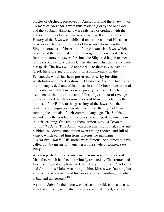oracles of Orpheus, preserved in Aristobulus and the *Stromata* of Clement of Alexandria were thus made to glorify the one God and the Sabbath. Historians were falsified or credited with the authorship of books they had never written. It is thus that a History of the Jews was published under the name of Hecataeus of Abdera. The most important of these inventions was the Sibylline oracles, a fabrication of the Alexandrian Jews, which prophesied the future advent of the reign of the one God. They found imitators, however, for since the Sibyl had begun to speak, in the second century before Christ, the first Christians also made her speak. The Jews would appropriate to themselves even the Greek literature and philosophy. In a commentary on the Pentateuch, which has been preserved for us by Eusebius,<sup>17</sup> Aristobulus attempted to show that Plato and Aristotle had found their metaphysical and ethical ideas in an old Greek translation of the Pentateuch. The Greeks were greatly incensed at such treatment of their literature and philosophy, and out of revenge they circulated the slanderous stories of Manetho, adapting them to those of the Bible, to the great fury of the Jews; thus the confusion of languages was identified with the myth of Zeus robbing the animals of their common language. The Sophists, wounded by the conduct of the Jews, would speak against them in their teaching. One among them, Apion, wrote a *Treatise against the Jews.* This Apion was a peculiar individual, a liar and babbler, to a degree uncommon even among rhetors, and full of vanity, which earned him from Tiberius the nickname *"Cymbalum mundi."* His stories were famous; he claimed to have called out, by means of magic herbs, the shade of Homer, says Pliny.

Apion repeated in his *Treatise against the Jews* the stories of Manetho, which had been previously restated by Chaeremon and Lysimachus, and supplemented them by quoting from Posidonius and Apollonius Molo. According to him, Moses was "nothing but a seducer and wizard," and his laws contained "nothing but what is bad and dangerous." $18$ 

As to the Sabbath, the name was derived, he said, from a disease, a sort of an ulcer, with which the Jews were afflicted, and which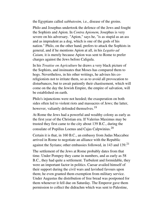the Egyptians called *sabbatosim,* i.e., disease of the groins.

Philo and Josephus undertook the defence of the Jews and fought the Sophists and Apion. In *Contra Apionem,* Josephus is very severe on his adversary. "Apion," says he, "is as stupid as an ass and as imprudent as a dog, which is one of the gods of his nation." Philo, on the other hand, prefers to attack the Sophists in general, and if he mentions Apion at all, in his *Legatio ad Caium,* it is merely because Apion was sent to Rome to prefer charges against the Jews before Caligula.

In his *Treatise on Agriculture* he draws a very black picture of the Sophists, and insinuates that Moses has compared them to hogs. Nevertheless, in his other writings, he advises his coreligionists not to irritate them, so as to avoid all provocation to disturbances, but to await patiently their chastisement, which will come on the day the Jewish Empire, the empire of salvation, will be established on earth.

Philo's injunctions were not heeded; the exasperation on both sides often led to violent riots and massacres of Jews; the latter, however, valiantly defended themselves.<sup>19</sup>

At Rome the Jews had a powerful and wealthy colony as early as the first year of the Christian era. If Valerius Maximus may be trusted they first came to the city about 139 B.C., during the consulate of Popilius Loenus and Cajas Calpwinius.<sup>20</sup>

Certain it is that, in 160 B.C., an embassy from Judas Maccabee arrived in Rome to negotiate an alliance with the Republic against the Syrians; other embassies followed, in 143 and 139.<sup>21</sup>

The settlement of the Jews at Rome probably dates from that time. Under Pompey they came in numbers, and as early as 58 B.C., they had quite a settlement. Turbulent and formidable, they were an important factor in politics. Caesar availed himself of their support during the civil wars and lavished favours upon them; he even granted them exemption from military service. Under Augustus the distribution of free bread was postponed for them whenever it fell due on Saturday. The Emperor gave them permission to collect the didrachm which was sent to Palestine,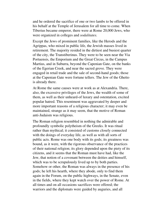and he ordered the sacrifice of one or two lambs to be offered in his behalf at the Temple of Jerusalem for all time to come. When Tiberius became emperor, there were at Rome 20,000 Jews, who were organized in colleges and *sodalitates.*

Except the Jews of prominent families, like the Herods and the Agrippas, who mixed in public life, the Jewish masses lived in retirement. The majority resided in the dirtiest and busiest quarter of the city, the Transtiberinus. They were to be seen near the Via Portuensis, the Emporium and the Great Circus, in the Campus Martius, and in Suburra, beyond the Capenian Gate, on the banks of the Egerian Creek, and near the sacred grove. They were engaged in retail trade and the sale of second-hand goods; those at the Capenian Gate were fortune tellers. The Jew of the Ghetto is already there.

At Rome the same causes were at work as at Alexandria. There, also, the excessive privileges of the Jews, the wealth of some of them, as well as their unheard-of luxury and ostentation, excited popular hatred. This resentment was aggravated by deeper and more important reasons of a religious character; it may even be maintained, strange as it may seem, that the motive of Roman anti-Judaism was religious.

The Roman religion resembled in nothing the admirable and profoundly symbolic polytheism of the Greeks. It was ritual rather than mythical; it consisted of customs closely connected with the doings of everyday life, as well as with all sorts of public acts. Rome was one body with its gods; its greatness was bound, as it were, with the rigorous observance of the practices of their national religion; its glory depended upon the piety of its citizens, and it seems that the Roman must have had, like the Jew, that notion of a covenant between the deities and himself, which was to be scrupulously lived up to by both parties. Somehow or other, the Roman was always in the presence of his gods; he left his hearth, where they abode, only to find them again in the Forum, on the public highways, in the Senate, even in the fields, where they kept watch over the power of Rome. At all times and on all occasions sacrifices were offered; the warriors and the diplomats were guided by auguries, and all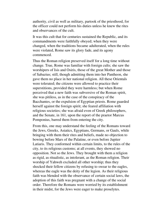authority, civil as well as military, partook of the priesthood, for the officer could not perform his duties unless he knew the rites and observances of the cult.

It was this cult that for centuries sustained the Republic, and its commandments were faithfully obeyed; when they were changed, when the traditions became adulterated, when the rules were violated, Rome saw its glory fade, and its agony commenced.

Thus the Roman religion preserved itself for a long time without change. True, Rome was familiar with foreign cults; she saw the worshipers of Isis and Osiris, those of the great Mother and those of Sabazius; still, though admitting them into her Pantheon, she gave them no place in her national religion. All these Orientals were tolerated; the citizens were allowed to practice their superstitions, provided they were harmless; but when Rome perceived that a new faith was subversive of the Roman spirit, she was pitiless, as in the case of the conspiracy of the Bacchantes, or the expulsion of Egyptian priests. Rome guarded herself against the foreign spirit; she feared affiliation with religious societies; she was afraid even of Greek philosophers, and the Senate, in 161, upon the report of the praetor Marcus Pomponius, barred them from entering the city.

From this, one may understand the feeling of the Romans toward the Jews, Greeks, Asiatics, Egyptians, Germans, or Gauls, while bringing with them their rites and beliefs, made no objection to bowing before Mars of the Palatine, or even before Jupiter Latiaris. They conformed within certain limits, to the rules of the city, to its religious customs; at all events, they showed no opposition. Not so the Jews. They brought with them a religion as rigid, as ritualistic, as intolerant, as the Roman religion. Their worship of Yahweh excluded all other worship; thus they shocked their fellow citizens by refusing to swear to the eagles, whereas the eagle was the deity of the legion. As their religious faith was blended with the observance of certain social laws, the adoption of this faith was pregnant with a change of the social order. Therefore the Romans were worried by its establishment in their midst, for the Jews were eager to make proselytes.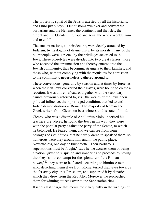The proselytic spirit of the Jews is attested by all the historians, and Philo justly says: "Our customs win over and convert the barbarians and the Hellenes, the continent and the isles, the Orient and the Occident, Europe and Asia, the whole world, from end to end."

The ancient nations, at their decline, were deeply attracted by Judaism, by its dogma of divine unity, by its morals; many of the poor people were attracted by the privileges accorded to the Jews. These proselytes were divided into two great classes: those who accepted the circumcision and thereby entered into the Jewish community, thus becoming strangers to their families, and those who, without complying with the requisites for admission to the community, nevertheless gathered around it.

These conversions, generally by suasion and at times by force, as when the rich Jews converted their slaves, were bound to create a reaction. It was this chief cause, together with the secondary causes previously referred to, viz., the wealth of the Jews, their political influence, their privileged condition, that led to anti-Judaic demonstrations at Rome. The majority of Roman and Greek writers from Cicero on bear witness to this state of mind.

Cicero, who was a disciple of Apollonius Molo, inherited his teacher's prejudices; he found the Jews in his way: they were with the popular party against the party of the Senate, to which he belonged. He feared them, and we can see from some passages of *Pro Flacco,* that he hardly dared to speak of them, so numerous were they around him and in the public place. Nevertheless, one day he burst forth. "Their barbarous superstitions must be fought," says he; he accuses them of being a nation "given to suspicion and slander," and proceeds by saying that they "show contempt for the splendour of the Roman power,"22 they were to be feared, according to himthose men who, detaching themselves from Rome, turned their eyes towards the far away city, that Jerusalem, and supported it by denaries which they drew from the Republic. Moreover, he reproached them for winning citizens over to the Sabbatarian rites.

It is this last charge that recurs most frequently in the writings of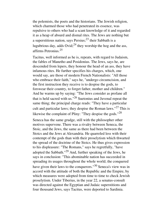the polemists, the poets and the historians. The Jewish religion, which charmed those who had penetrated its essence, was repulsive to others who had a scant knowledge of it and regarded it as a heap of absurd and dismal rites. The Jews are nothing but a superstitious nation, says Persius;  $^{23}$  their Sabbath is a lugubrious day, adds Ovid; $^{24}$  they worship the hog and the ass, affirms Petronius.<sup>25</sup>

Tacitus, well informed as he is, repeats, with regard to Judaism, the fables of Manetho and Posidonius. The Jews, says he, are descended from lepers, they honour the head of an ass, they have infamous rites. He further specifies his charges, which, one would say, are those of modern French Nationalists: "All those who embrace their faith," says he, "undergo circumcision, and the first instruction they receive is to despise the gods, to forswear their country, to forget father, mother and children." And he warms up by saying: "The Jews consider as profane all that is held sacred with us." $26$  Suetonius and Juvenal repeat the same thing; the principal charge reads: "They have a particular cult and particular laws; they despise the Roman laws."<sup>27</sup> This is likewise the complaint of Pliny: "They despise the gods."<sup>28</sup>

Seneca has the same grudge, still with the philosopher other motives supervene. There was a rivalry between Seneca, the Stoic, and the Jews, the same as there had been between the Stoics and the Jews at Alexandria. He quarreled less with their contempt of the gods than with their proselytism which thwarted the spread of the doctrine of the Stoics. He thus gives expression to his displeasure: "The Romans," says he regretfully, "have adopted the Sabbath." $^{29}$  And, further speaking of the Jews, he says in conclusion: "This abominable nation has succeeded in spreading its usages throughout the whole world; the conquered have given their laws to the conquerors."<sup>30</sup> Seneca's view was in accord with the attitude of both the Republic and the Empire, by which measures were adopted from time to time to check Jewish proselytism. Under Tiberius, in the year 22, a senatus-consult was directed against the Egyptian and Judaic superstitions and four thousand Jews, says Tacitus, were deported to Sardinia.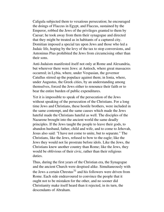Caligula subjected them to vexatious persecution; he encouraged the doings of Flaccus in Egypt, and Flaccus, sustained by the Emperor, robbed the Jews of the privileges granted to them by Caesar; he took away from them their synagogue and directed that they might be treated as in habitants of a captured city. Domitian imposed a special tax upon Jews and those who led a Judaic life, hoping by the levy of the tax to stop conversions, and Antoninus Pius prohibited the Jews from circumcising other than their sons.

Anti-Judaism manifested itself not only at Rome and Alexandria, but wherever there were Jews: at Antioch, where great massacres occurred; in Lybia, where, under Vespasian, the governor Catullus stirred up the populace against them; in Ionia, where, under Augustus, the Greek cities, by an understanding among themselves, forced the Jews either to renounce their faith or to bear the entire burden of public expenditures.

Yet it is impossible to speak of the persecution of the Jews without speaking of the persecution of the Christians. For a long time Jews and Christians, these hostile brothers, were included in the same contempt, and the same causes which made the Jews hateful made the Christians hateful as well. The disciples of the Nazarene brought into the ancient world the same deadly principles. If the Jews taught the people to leave their gods, to abandon husband, father, child and wife, and to come to Jehovah, Jesus also said: "I have not come to unite, but to separate." The Christians, like the Jews, refused to bow to the eagle; like the Jews they would not lie prostrate before idols. Like the Jews, the Christians knew another country than Rome; like the Jews, they would be oblivious of their civic, rather than their religious duties.

Thus, during the first years of the Christian era, the Synagogue and the ancient Church were despised alike. Simultaneously with the Jews a certain Chrestus<sup>31</sup> and his followers were driven from Rome. Each side endeavoured to convince the people that it ought not to be mistaken for the other, and no sooner did Christianity make itself heard than it rejected, in its turn, the descendants of Abraham.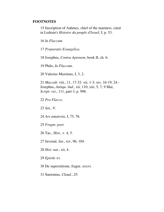#### FOOTNOTES

15 Inscription of Aahmes, chief of the mariners, cited in Ledrain's *Histoire du peuple d'Israel*, I, p. 53.

16 *In Flaccum.*

17 *Preparatio Evangelica*.

18 Josephus, *Contra Apionem*, book II, ch. 6.

19 Philo, *In Flaccum*.

20 Valerius Maximus, I, 3, 2.

21 *Maccab.* viii., 11, 17-32- xii, 1-3; xiv, 16-19, 24.-Josephus, *Antiqu. Jud*., xii, 110; xiii, 5, 7, 9 Mai; *Script. vet*., 111, part 3, p. 998.

22 *Pro Flacco*.

23 *Sat*., V.

24 *Ars amatoria*, I, 75, 76.

25 *Fragm. poet*.

26 Tac., *Hist*., v. 4, 5.

27 Juvenal, *Sat.*, xiv, 96, 104.

28 *Hist. nat*., xii, 4.

29 *Epistle* xv.

30 De superstitione, fragm. xxxvi.

31 Suetonius, *Claud*., 25.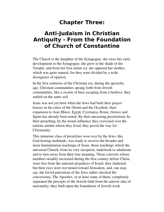### <span id="page-31-0"></span>**[Chapter Three:](#page-31-0)**

### **[Anti-Judaism in Christian](#page-31-0) [Antiquity - From the Foundation](#page-31-0) [of Church of Constantine](#page-31-0)**

The Church is the daughter of the Synagogue; she owes her early development to the Synagogue; she grew in the shade of the Temple, and from her first infant cry she opposed her mother, which was quite natural, for they were divided by a wide divergence of opinion.

In the first centuries of the Christian era, during the apostolic age, Christian communities sprang forth from Jewish communities, like a swarm of bees escaping from a beehive; they settled on the same soil.

Jesus was not yet born when the Jews had built their prayerhouses in the cities of the Orient and the Occident; their expansion to Asia Minor, Egypt, Cyrenaica, Rome, Greece and Spain has already been noted. By their unceasing proselytism, by their preaching, by the moral influence they exercised over the nations amidst whom they lived, they paved the way for Christianity.

This immense class of proselytes won over by the Jews, this God-fearing multitude, was ready to receive the broader and more humanitarian teachings of Jesus, those teachings which the universal Church, from its very inception, undertook to adulterate and to turn away from their true meaning. These converts whose numbers steadily increased during the first century before Christ, were free from the national prejudices of Israel; they Judaized, but their eyes were not turned toward Jerusalem, and, one may say, the fervid patriotism of the Jews rather checked the conversions. The Apostles, or at least some of them, completely separated the precepts of the Jewish faith from the narrow idea of nationality; they built upon the foundation of Jewish work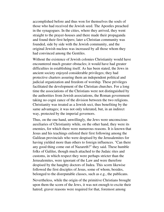accomplished before and thus won for themselves the souls of those who had received the Jewish seed. The Apostles preached in the synagogues. In the cities, where they arrived, they went straight to the prayer-houses and there made their propaganda and found their first helpers; later a Christian community was founded, side by side with the Jewish community, and the original Jewish nucleus was increased by all those whom they had convinced among the Gentiles.

Without the existence of Jewish colonies Christianity would have encountered much greater obstacles; it would have had greater difficulties in establishing itself. As has been stated, the Jews in ancient society enjoyed considerable privileges; they had protective charters assuring them an independent political and judicial organization and freedom of worship. These privileges facilitated the development of the Christian churches. For a long time the associations of the Christians were not distinguished by the authorities from Jewish associations, the Roman government taking no cogni zance of the division between the two religions. Christianity was treated as a Jewish sect, thus benefiting by the same advantages; it was not only tolerated, but, in an indirect way, protected by the imperial governors.

Thus, on the one hand, unwillingly, the Jews were unconscious auxiliaries of Christianity while, on the other hand, they were its enemies, for which there were numerous reasons. It is known that Jesus and his teachings enlisted their first following among the Galilean provincials who were despised by the Jerusalemites for having yielded more than others to foreign influences. "Can there any good thing come out of Nazareth?" they said. These humble folks of Galilee, though much attached to the Judaic rites and customs, in which respect they were perhaps stricter than the Jerusalemites, were ignorant of the Law and were therefore despised by the haughty doctors of Judea. This scorn likewise followed the first disciples of Jesus, some of whom, besides, belonged to the disreputable classes, such as e.g., the publicans.

Nevertheless, while the origin of the primitive Christians brought upon them the scorn of the Jews, it was not enough to excite their hatred; graver reasons were required for that, foremost among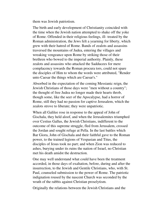them was Jewish patriotism.

The birth and early development of Christianity coincided with the time when the Jewish nation attempted to shake off the yoke of Rome. Offended in their religious feelings, ill-treated by the Roman administration, the Jews felt a yearning for liberty, which grew with their hatred of Rome. Bands of zealots and assassins traversed the mountains of Judea, entering the villages and wreaking vengeance upon Rome by striking those of their brethren who bowed to the imperial authority. Plainly, these zealots and assassins who attacked the Sadducees for mere complacency towards the Roman procura tors, could not spare the disciples of Him to whom the words were attributed, "Render unto Caesar the things which are Caesar's."

Absorbed in the expectation of the coming Messianic reign, the Jewish Christians of those days were "men without a country"; the thought of free Judea no longer made their hearts throb, though some, like the seer of the Apocalypse, had a horror of Rome, still they had no passion for captive Jerusalem, which the zealots strove to liberate; they were unpatriotic.

When all Galilee rose in response to the appeal of John of Gischala, they held aloof, and when the Jerusalemites triumphed over Cestius Gallus, the Jewish Christians, indifferent to the outcome of this supreme struggle, fled from Jerusalem, crossed the Jordan and sought refuge at Pella. In the last battles which Bar Giora, John of Gischala and their faithful gave to the Roman power, to the trained legions of Vespasian and Titus, the disciples of Jesus took no part; and when Zion was reduced to ashes, burying under its ruins the nation of Israel, no Christian met his death amidst the destruction.

One may well understand what could have been the treatment accorded, in those days of exaltation, before, during and after the insurrection, to the Jewish and Gentile Christians, who, with St. Paul, counseled submission to the power of Rome. The patriotic indignation roused by the nascent Church was seconded by the wrath of the rabbis against Christian proselytism.

Originally the relations between the Jewish Christians and the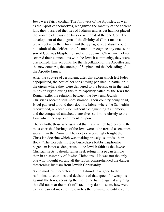Jews were fairly cordial. The followers of the Apostles, as well as the Apostles themselves, recognized the sanctity of the ancient law; they observed the rites of Judaism and as yet had not placed the worship of Jesus side by side with that of the one God. The development of the dogma of the divinity of Christ made a breach between the Church and the Synagogue. Judaism could not admit of the deification of a man; to recognize any one as the son of God was blasphemy; and as the Jewish Christians had not severed their connections with the Jewish community, they were disciplined. This accounts for the flagellation of the Apostles and the new converts, the stoning of Stephen and the beheading of the Apostle James.

After the capture of Jerusalem, after that storm which left Judea depopulated, the best of her sons having perished in battle, or in the circus where they were delivered to the beasts, or in the lead mines of Egypt, during this third captivity called by the Jews the Roman exile, the relations between the Jews and Jewish Christians became still more strained. Their country being dead, Israel gathered around their doctors. Jabne, where the Sanhedrin reconvened, replaced Zion without extinguishing its memory, and the conquered attached themselves still more closely to the Law which the sages commented upon.

Thenceforth, those who assailed that Law, which had become the most cherished heritage of the Jew, were to be treated as enemies worse than the Romans. The doctors accordingly fought the Christian doctrine which was making proselytes amidst their flock. "The Gospels must be burnedsays Rabbi Tarphonfor paganism is not as dangerous to the Jewish faith as the Jewish Christian sects. I should rather seek refuge in a pagan temple than in an assembly of Jewish Christians." He was not the only one who thought so, and all the rabbis comprehended the danger threatening Judaism from Jewish Christianity.

Some modern interpreters of the Talmud have gone to the rabbinical discussions and decisions of that epoch for weapons against the Jews, accusing them of blind hatred against anything that did not bear the mark of Israel; they do not seem, however, to have carried into their researches the requisite scientific spirit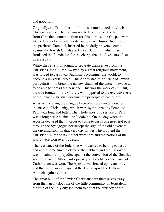and good faith.

Originally, all Talmudical inhibitions contemplated the Jewish Christians alone. The Tanaim wanted to preserve the faithful from Christian contamination; for this purpose the Gospels were likened to books on witchcraft, and Samuel Junior, by order of the patriarch Gamaliel, inserted in the daily prayers a curse against the Jewish Christians, Birkat Haminim, which has furnished the foundation for the charge that the Jews curse Jesus thrice a day.

While the Jews thus sought to separate themselves from the Christians, the Church, swayed by a great religious movement, was forced to cast away Judaism. To conquer the world, to become a universal creed, Christianity had to rid itself of Jewish particularism, to break the narrow chains of the ancient law, so as to be able to spread the new one. This was the work of St. Paul, the true founder of the Church, who opposed to the exclusiveness of the Jewish-Christian doctrine the principle of catholicity.

As is well known, the struggle between these two tendencies in the nascent Christianity, which were symbolized by Peter and Paul, was long and bitter. The whole apostolic service of Paul was a long battle against the Judaizing. On the day when the Apostle declared that in order to come to Jesus one need not pass through the Synagogue nor accept the sign of the old covenant, the circumcision, on that very day all ties which bound the Christian Church to its mother were torn and the nations of the world were won over by Jesus.

The resistance of the Judaizing who wanted to belong to Jesus and at the same time to observe the Sabbath and the Passover, was in vain; their prejudice against the conversion of the Gentiles was of no avail. After Paul's journey to Asia Minor the cause of Catholicism was won. The Apostle was braced up by an army, and that army arrayed against the Jewish spirit the Hellenic, Antioch against Jerusalem.

The great bulk of the Jewish Christians tore themselves away from the narrow doctrine of the little community of Jerusalem; the ruin of the holy city led them to doubt the efficacy of the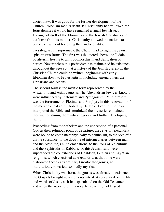ancient law. It was good for the further development of the Church. Ebionism met its death. If Christianity had followed the Jerusalemites it would have remained a small Jewish sect. Having rid itself of the Ebionites and the Jewish Christians and cut loose from its mother, Christianity allowed the nations to come to it without forfeiting their individuality.

To safeguard its supremacy, the Church had to fight the Jewish spirit in two forms. The first was that noted above, the Judaic positivism, hostile to anthropomorphism and deification of heroes. Nevertheless this positivism has maintained its existence throughout the ages so that a history of the Jewish current in the Christian Church could be written, beginning with early Ebionism down to Protestantism, including among others the Unitarians and Arians.

The second form is the mystic form represented by the Alexandria and Asiatic gnosis. The Alexandrian Jews, as known, were influenced by Platonism and Pythagorism; Philo himself was the forerunner of Plotinus and Porphyry in this renovation of the metaphysical spirit. Aided by Hellenic doctrines the Jews interpreted the Bible and scrutinized the mysteries contained therein, construing them into allegories and further developing them.

Proceeding from monotheism and the conception of a personal God as their religious point of departure, the Jews of Alexandria were bound to come metaphysically to pantheism, to the idea of a divine substance, to the doctrine of intermediaries between man and the Absolute, i.e., to emanations, to the Eons of Valentinus and the Sephiroths of Kabbala. To this Jewish fund were superadded the contributions of Chaldean, Persian and Egyptian religions, which coexisted at Alexandria; at that time were elaborated those extraordinary Gnostic theogonies, so multifarious, so varied, so madly mystical.

When Christianity was born, the gnosis was already in existence; the Gospels brought new elements into it; it speculated on the life and words of Jesus, as it had speculated on the Old Testament, and when the Apostles, in their early preaching, addressed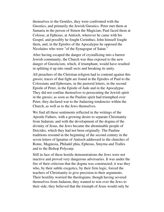themselves to the Gentiles, they were confronted with the Gnostics, and primarily the Jewish Gnostics. Peter met them at Samaria in the person of Simon the Magician; Paul faced them at Colosse, at Ephesus, at Antioch, wherever he came with his Gospel, and possibly he fought Cerinthus; John himself fought them, and, in the Epistles of the Apocalypse he opposed the Nicolaites who were "of the Synagogue of Satan."

After having escaped the danger of crystallizing into a barren Jewish community, the Church was thus exposed to the new danger of Gnosticism, which, if triumphant, would have resulted in splitting it up into small sects and breaking its unity.

All preachers of the Christian religion had to contend against this gnosis; traces of that fight are found in the Epistles of Paul to the Colossians and Ephesians, in the pastoral letters, in the second Epistle of Peter, in the Epistle of Jude and in the Apocalypse. They did not confine themselves to persecuting the Jewish spirit in the gnosis; as soon as the Pauline spirit had triumphed over Peter, they declared war to the Judaizing tendencies within the Church, as well as to the Jews themselves.

We find all these sentiments reflected in the writings of the Apostle Fathers, with a growing desire to separate Christianity from Judaism; and with the development of the dogma of the divinity of Jesus, the Jews became the abominable people of Deicides, which they had not been originally. The Pauline traditions resound in the beginning of the second century in the seven letters of Ignatius of Antioch addressed to the churches of Rome, Magnesia, Philadel phia, Ephesus, Smyrna and Tralles and to the Bishop Polycarp.

Still in face of these hostile demonstrations the Jews were not inactive and proved very dangerous adversaries. It was under the fire of their criticism that the dogma was constructed; it was they who, by their subtle exegetics, by their firm logic, forced the teachers of Christianity to give precision to their arguments. Their hostility worried the theologians; though having severed themselves from Judaism, they wanted to win over the Jews to their side; they believed that the triumph of Jesus would only be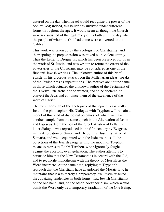assured on the day when Israel would recognize the power of the Son of God; indeed, this belief has survived under different forms throughout the ages. It would seem as though the Church were not satisfied of the legitimacy of its faith until the day when the people of whom its God had come were converted to the Galilean.

This work was taken up by the apologists of Christianity, and their apologetic prepossession was mixed with violent enmity. Thus the Letter to Diognetus, which has been preserved for us in the work of St. Justin, and was written to refute the errors of the adversaries of the Christians, may be considered as one of the first anti-Jewish writings. The unknown author of this brief epistle, in his vigorous attack upon the Millenarian ideas, speaks of the Jewish rites as superstitions. The motives are not the same as those which actuated the unknown author of the Testament of the Twelve Patriarchs, for he wanted, and so he declared, to convert the Jews and convince them of the excellence of the word of Christ.

The most thorough of the apologists of that epoch is assuredly Justin, the philosopher. His Dialogue with Tryphon will remain a model of this kind of dialogical polemics, of which we have another sample from the same epoch in the Altercation of Jason and Papiscus, from the pen of the Greek Ariston of Pella; the latter dialogue was reproduced in the fifth century by Evagrius, in his Altercation of Simon and Theophilus. Justin, a native of Samaria, and well acquainted with the Judeans, puts all the objections of the Jewish exegetes into the mouth of Tryphon, meant to represent Rabbi Tarphon, who vigorously fought against the apostolic evan gelization. The author attempts to persuade him that the New Testament is in accord with the Old, and to reconcile monotheism with the theory of Messiah as the Word incarnate. At the same time, replying to Tryphon's reproach that the Christians have abandoned the Mosaic law, he maintains that it was merely a preparatory law. Justin attacked the Judaizing tendencies in both forms, viz., Jewish Christianity on the one hand, and, on the other, Alexandrinism, which would admit the Word only as a temporary irradiation of the One Being.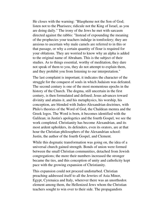He closes with the warning: "Blaspheme not the Son of God; listen not to the Pharisees; ridicule not the King of Israel, as you are doing daily." The irony of the Jews he met with sarcasm directed against the rabbis: "Instead of expounding the meaning of the prophecies your teachers indulge in tomfoolery; they are anxious to ascertain why male camels are referred to in this or that passage, or why a certain quantity of flour is required for your oblations. They are worried to know why an alpha is added to the original name of Abraham. This is the subject of their studies. As to things essential, worthy of meditation, they dare not speak of them to you, they do not attempt to explain them, and they prohibit you from listening to our interpretation."

The last complaint is important, it indicates the character of the struggle for the conquest of souls in which Judaism was defeated. The second century is one of the most momentous epochs in the history of the Church. The dogma, still uncertain in the first century, is then formulated and defined; Jesus advances toward divinity and attains it, and his metaphysics, his worship, his conception, are blended with Judeo-Alexandrian doctrines, with Philo's theories of the Word of God, the Chaldean memra and the Greek logos. The Word is born, it becomes identified with the Galilean; in Justin's apologetics and the fourth Gospel, we see the work completed. Christianity has become Alexandrian, and its most ardent upholders, its defenders, even its orators, are at that hour the Christian philosophers of the Alexandrian school: Justin, the author of the fourth Gospel, and Clement.

While this dogmatic transformation was going on, the idea of a universal church gained strength. Bonds of union were formed between the small Christian communities, detached from Jewish congregations; the more their numbers increased the stronger became the ties, and this conception of unity and catholicity kept pace with the growing expansion of Christianity.

This expansion could not proceed undisturbed. Christian preaching addressed itself to all the Jewries of Asia Minor, Egypt, Cyrenaica and Italy, wherever there was an unorthodox element among them, the Hellenized Jews whom the Christian teachers sought to win over to their side. The propagandists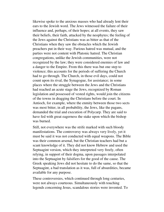likewise spoke to the anxious masses who had already lent their ears to the Jewish word. The Jews witnessed the failure of their influence and, perhaps, of their hopes; at all events, they saw their beliefs, their faith, attacked by the neophytes; the feeling of the Jews against the Christians was as bitter as that of the Christians when they saw the obstacles which the Jewish preachers put in their way. Furious hatred was mutual, and the parties were not content with Platonic hatred. The Christian congregations, unlike the Jewish communities, were not recognized by the law; they were considered enemies of law and a danger to the Empire. From this there was but one step to violence; this accounts for the periods of suffering the Church had to go through. The Church, in those evil days, could not count upon its rival, the Synagogue, for assistance; in some places where the struggle between the Jews and the Christians had reached an acute stage the Jews, recognized by Roman legislation and possessed of vested rights, would join the citizens of the towns in dragging the Christians before the court. In Antioch, for example, where the enmity between those two sects was most bitter, in all probability, the Jews, like the pagans, demanded the trial and execution of Polycarp. They are said to have fed with great eagerness the stake upon which the bishop was burned.

Still, not everywhere was the strife marked with such bloody manifestations. The controversy was always very lively, yet it must be said it was not conducted with equal weapons. The Bible was their common arsenal, but the Christian teachers had but a scant knowledge of it. They did not know Hebrew and used the Septuagint version, which they interpreted very freely, often relying, in support of their dogma, upon passages interpolated into the Septuagint by falsifiers for the good of the cause. The Greek speaking Jews did not hesitate to do the same, so that the Septuagint, a bad translation as it was, full of absurdities, became available for any purpose.

These controversies, which continued through long centuries, were not always courteous. Simultaneously with touching legends concerning Jesus, scandalous stories were invented. To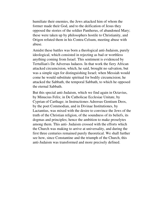humiliate their enemies, the Jews attacked him of whom the former made their God, and to the deification of Jesus they opposed the stories of the soldier Pantherus, of abandoned Mary; these were taken up by philosophers hostile to Christianity, and Origen refuted them in his Contra Celsum, meeting abuse with abuse.

Amidst these battles was born a theological anti-Judaism, purely ideological, which consisted in rejecting as bad or worthless anything coming from Israel. This sentiment is evidenced by Tertullian's De Adversus ludaeos. In that work the fiery African attacked circumcision, which, he said, brought no salvation, but was a simple sign for distinguishing Israel; when Messiah would come he would substitute spiritual for bodily circumcision; he attacked the Sabbath, the temporal Sabbath, to which he opposed the eternal Sabbath.

But this special anti-Judaism, which we find again in Octavius, by Minucius Felix; in De Catholicae Ecclesiae Unitate, by Cyprian of Carthage; in Instructiones Adrersus Gentium Deos, by the poet Commodian, and in Divinae Institutiones, by Lactantius, was mixed with the desire to convince the Jews of the truth of the Christian religion, of the soundness of its beliefs, its dogmas and principles; hence the ambition to make proselytes among them. This anti-Judaism crossed with the efforts which the Church was making to arrive at universality, and during the first three centuries remained purely theoretical. We shall further see how, since Constantine and the triumph of the Church, this anti-Judaism was transformed and more precisely defined.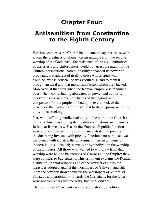# <span id="page-42-0"></span>**[Chapter Four:](#page-42-0)**

# **[Antisemitism from Constantine](#page-42-0) [to the Eighth Century](#page-42-0)**

For three centuries the Church had to contend against those with whom the greatness of Rome was inseparable from the secular worship of the Gods. Still, the resistance of the civil authorities, of the priests and philosophers, could not arrest the march of the Church; persecutions, hatred, hostility enhanced its power of propaganda; it addressed itself to those whose spirit was troubled, whose conscience was vacillating, and to them it brought an ideal and that moral satisfaction which they lacked. Moreover, at that hour when the Roman Empire was rending all over, when Rome, having abdicated all power and authority, received its Caesars from the hands of the legions, and competitors for the purple bobbed up in every nook of the provinces, the Catholic Church offered to that expiring world the unity it was seeking.

Yet, while offering intellectual unity to the world, the Church at the same time was ruining its institutions, customs and manners. In fact, at Rome, as well as in the Empire, all public functions were at once civil and religious, the magistrate, the procurator, the dux being invested with priestly functions; no public act was performed without rites; the government was, in a manner, theocratic; this ultimately came to be symbolized in the worship of the Emperor. All those who wanted to withdraw from that worship were held to be enemies of Caesar and the Empire; they were considered bad citizens. This sentiment explains the Roman dislike of Oriental religions and of the Jews; it explains the measures adopted against the worshipers of Yahweh, and still more the severity shown towards the worshipers of Mithra, of Sabazius and particularly towards the Christians, for the latter were not foreigners like the Jews, but rebel citizens.

The triumph of Christianity was brought about by political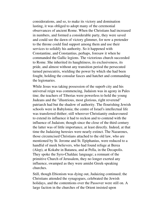considerations, and so, to make its victory and domination lasting, it was obliged to adopt many of the ceremonial observances of ancient Rome. When the Christians had increased in numbers, and formed a considerable party, they were saved and could see the dawn of victory glimmer, for now a pretender to the throne could find support among them and use their services to solidify his authority. So it happened with Constantine, and Constantius, perhaps, foresaw it when he commanded the Gallic legions. The victorious church succeeded to Rome. She inherited its haughtiness, its exclusiveness, its pride, and almost without any transition period the persecuted turned persecutrix, wielding the power by which she had been fought, holding the consular fasces and hatchet and commanding the legionaries.

While Jesus was taking possession of the superb city and his universal reign was commencing, Judaism was in agony in Pales tine; the teachers of Tiberias were powerless to hold the young Judeans and the "illustrious, most glorious, right reverend" patriarch had but the shadow of authority. The flourishing Jewish schools were in Babylonia; the centre of Israel's intellectual life was transferred thither; still wherever Christianity endeavoured to extend its influence it had to reckon and to contend with the influence of Judaism; though since the close of the third century the latter was of little importance, at least directly. Indeed, at that time the Judaizing heresies were nearly extinct. The Nazarenes, those circumcised Christians attached to the old law, who are mentioned by St. Jerome and St. Epiphanius, were reduced to a handful of meek believers, who had found refuge at Berea (Alep), at Kokabe in Batanea, and at Pella, in the Decapolis. They spoke the Syro-Chaldaic language; a remnant of the primitive Church of Jerusalem, they no longer exerted any influence, swamped as they were amidst Greek-speaking churches.

Still, though Ebionism was dying out, Judaizing continued; the Christians attended the synagogues, celebrated the Jewish holidays, and the contentions over the Passover were still on. A large faction in the churches of the Orient insisted upon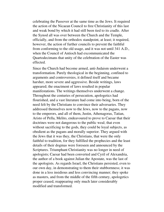celebrating the Passover at the same time as the Jews. It required the action of the Nicaean Council to free Christianity of this last and weak bond by which it had still been tied to its cradle. After the Synod all was over between the Church and the Temple, officially, and from the orthodox standpoint, at least; it required, however, the action of further councils to prevent the faithful from conforming to the old usage, and it was not until 341 A.D., when the Council of Antioch had excommunicated the Quartodecimans that unity of the celebration of the Easter was effected.

Since the Church had become armed, anti-Judaism underwent a transformation. Purely theological in the beginning, confined to arguments and controversies, it defined itself and became harsher, more severe and aggressive. Beside writings, laws appeared; the enactment of laws resulted in popular manifestations. The writings themselves underwent a change. Throughout the centuries of persecution, apologetics had flourished, and a vast literature had come into being, born of the need felt by the Christians to convince their adversaries. They addressed themselves now to the Jews, now to the pagans, now to the emperors, and all of them, Justin, Athenagoras, Tatian, Aristo of Pella, Melito, endeavoured to prove to Caesar that their doctrines were not dangerous to the public weal; that even without sacrificing to the gods, they could be loyal subjects, as obedient as the pagans and morally superior. They argued with the Jews that it was they, the Christians, that were the only faithful to tradition, for they fulfilled the prophecies and the least details of their dogmas were foreseen and announced by the Scriptures. Triumphant Christianity was no longer in need of apologists; Caesar had been converted and Cyril of Alexandria, the author of a book against Julian the Apostate, was the last of the apologists. As regards Israel, the Christians persisted, even to our own day, in demonstrating to them their stubbornness; it was done in a less insidious and less convincing manner; they spoke as masters, and from the middle of the fifth century, apologetics proper ceased, reappearing only much later considerably modified and transformed.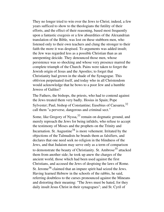They no longer tried to win over the Jews to Christ; indeed, a few years sufficed to show to the theologians the futility of their efforts, and the effect of their reasoning, based most frequently upon a fantastic exegesis or a few absurdities of the Alexandrian translation of the Bible, was lost on these stubborn men, who listened only to their own teachers and clung the stronger to their faith the more it was despised. To arguments was added insult; the Jew was regarded less as a possible Christian than as an unrepenting deicide. They denounced those men, whose persistence was so shocking and whose very presence marred the complete triumph of the Church. Pains were taken to forget the Jewish origin of Jesus and the Apostles; to forget that Christianity had grown in the shade of the Synagogue. This oblivion perpetuated itself, and today who in all Christendom would acknowledge that he bows to a poor Jew and a humble Jewess of Galilee?

The Fathers, the bishops, the priests, who had to contend against the Jews treated them very badly. Hosius in Spain; Pope Sylvester; Paul, bishop of Constantine; Eusebius of Caesarea,  $32$ call them "a perverse, dangerous and criminal sect."

Some, like Gregory of Nyssa,<sup>33</sup> remain on dogmatic ground, and merely reproach the Jews for being infidels, who refuse to accept the testimony of Moses and the prophets on the Trinity and Incarnation. St. Augustine<sup>34</sup> is more vehement. Irritated by the objections of the Talmudists he brands them as falsifiers, and declares that one need seek no religion in the blindness of the Jews, and that Judaism may serve only as a term of comparison to demonstrate the beauty of Christianity. St. Ambrose<sup>35</sup> attacked them from another side; he took up anew the charges of the ancient world, those which had been used against the first Christians, and accused the Jews of despising the laws of Rome. St. Jerome<sup>36</sup> claimed that an impure spirit had seized the Jews. Having learned Hebrew in the schools of the rabbis, he said, referring doubtless to the curses pronounced against the Mineans and distorting their meaning: "The Jews must be hated, for they daily insult Jesus Christ in their synagogues"; and St. Cyril of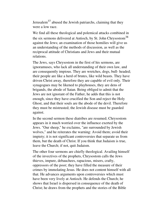Jerusalem<sup>37</sup> abused the Jewish patriarchs, claiming that they were a low race.

We find all these theological and polemical attacks combined in the six sermons delivered at Antioch, by St. John Chrysostom<sup>38</sup> against the Jews; an examination of those homilies will give us an understanding of the methods of discussion, as well as the reciprocal attitude of Christians and Jews and their mutual relations.

The Jews, says Chrysostom in the first of his sermons, are ignoramuses, who lack all understanding of their own law, and are consequently impious. They are wretches, dogs, bull-headed; their people are like a herd of brutes, like wild beasts. They have driven Christ away, therefore they are capable of evil only. Their synagogues may be likened to playhouses, they are dens of brigands, the abode of Satan. Being obliged to admit that the Jews are not ignorant of the Father, he adds that this is not enough, since they have crucified the Son and reject the Holy Ghost, and that their souls are the abode of the devil. Therefore they must be mistrusted; the Jewish disease must be guarded against.

In the second sermon these diatribes are resumed; Chrysostom appears in it much worried over the influence exerted by the Jews. "Our sheep," he exclaims, "are surrounded by Jewish wolves," and he reiterates the warning: Avoid them; avoid their impiety; it is not significant controversies that separate us from them, but the death of Christ. If you think that Judaism is true, leave the Church; if not, quit Judaism.

The other four sermons are chiefly theological. Availing himself of the invectives of the prophets, Chrysostom calls the Jews thieves, impure, debauchees, rapacious, misers, crafty, oppressors of the poor; they have filled the measure of their crimes by immolating Jesus. He does not content himself with all that. He advances arguments upon controversies which must have been very lively at Antioch. He defends the Church; he shows that Israel is dispersed in consequence of the death of Christ; he draws from the prophets and the stories of the Bible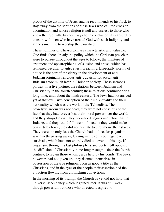proofs of the divinity of Jesus, and he recommends to his flock to stay away from the sermons of those Jews who call the cross an abomination and whose religion is null and useless to those who know the true faith. In short, says he in conclusion, it is absurd to consort with men who have treated God with such indignity and at the same time to worship the Crucified.

These homilies of Chrysostom are characteristic and valuable. One finds there already the policy which the Christian preachers were to pursue throughout the ages to follow; that mixture of argument and apostrophizing, of suasion and abuse, which has remained peculiar to anti-Jewish preaching. Especially worthy of notice is the part of the clergy in the development of anti-Judaism originally religious anti- Judaism, for social anti-Judaism arose much later in Christian society. These sermons portray, in a live picture, the relations between Judaism and Christianity in the fourth century; these relations continued for a long time, until about the ninth century. The Jews had not arrived yet at that exclusive conception of their individuality and their nationality which was the work of the Talmudists. Their proselytic ardour was not dead; they were not conscious of the fact that they had forever lost their moral power over the world, and they struggled on. They persuaded pagans and Christians to Judaize, and they found followers; if need be they would make converts by force; they did not hesitate to circumcise their slaves. They were the only foes the Church had to face, for paganism was quietly passing away, leaving in the souls but legendary survivals, which have not entirely died out even to this day. If paganism, through its last philosophers and poets, still opposed the diffusion of Christianity, it no longer sought, since the fourth century, to regain those whom Jesus held by his bonds. The Jews, however, had not given up; they deemed themselves in possession of the true religion, upon as good a title as the Christians, and in the eyes of the people their assertion had the attraction flowing from unflinching convictions.

In the morning of its triumph the Church as yet did not hold that universal ascendancy which it gained later; it was still weak, though powerful; but those who directed it aspired to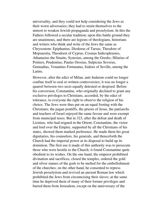universality, and they could not help considering the Jews as their worst adversaries; they had to strain themselves to the utmost to weaken Jewish propaganda and proselytism. In this the Fathers followed a secular tradition; upon this battle ground they are unanimous, and there are legions of theologians, historians and writers who think and write of the Jews the same as Chrysostom: Epiphanius, Diodorus of Tarsus, Theodore of Mopsuestia, Theodoret of Cyprus, Cosmas Indicopleustes, Athanasius the Sinaite, Synesius, among the Greeks; Hilarius of Poitiers, Prudentius, Paulas Orosius, Sulpicius Severus, Gennadius, Venantius Fortunatus, Isidore of Seville, among the Latins.

However, after the edict of Milan, anti-Judaism could no longer confine itself to oral or written controversies; it was no longer a quarrel between two sects equally detested or despised. Before his conversion, Constantine, who originally declined to grant any exclusive privileges to Christians, accorded, by the edict of tolerance, to everyone the right to observe the religion of his choice. The Jews were thus put on an equal footing with the Christians; the pagan pontiffs, the priests of Jesus, the patriarchs and teachers of Israel enjoyed the same favour and were exempt from municipal taxes. But in 323, after the defeat and death of Licinius, who had reigned in the Orient, Constantine, the victor and lord over the Empire, supported by all the Christians of his states, showed them marked preference. He made them his great dignitaries, his counselors, his generals, and thenceforth the Church had the imperial power at its disposal to build up its dominion. The first use it made of this authority was to persecute those who were hostile to the Church; it found Constantine quite obedient to its wishes. On the one hand, the emperor prohibited divination and sacrifices, closed the temples, ordered the gold and silver statues of the gods to be melted for the embellishment of the churches; on the other hand, he consented to repress Jewish proselytism and revived an ancient Roman law which prohibited the Jews from circumcising their slaves; at the same time he deprived them of many of their former privileges and barred them from Jerusalem, except on the anniversary of the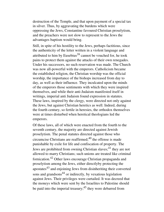destruction of the Temple, and that upon payment of a special tax in silver. Thus, by aggravating the burdens which were oppressing the Jews, Constantine favoured Christian proselytism, and the preachers were not slow to represent to the Jews the advantages baptism would bring.

Still, in spite of his hostility to the Jews, perhaps factitious, since the authenticity of the letter written in a violent language and attributed to him by Eusebius<sup>39</sup> cannot be vouched for, he took pains to protect them against the attacks of their own renegades. Under his successors, no such reservation was made. The Church was now all-powerful with the emperors. Catholicism became the established religion, the Christian worship was the official worship, the importance of the bishops increased from day to day, as well as their influence. They inculcated upon the minds of the emperors those sentiments with which they were inspired themselves, and while their anti-Judaism manifested itself in writings, imperial anti Judaism found expression in statutes. These laws, inspired by the clergy, were directed not only against the Jews, but against Christian heretics as well. Indeed, during the fourth century, so fertile in heresies, the orthodox themselves were at times disturbed when heretical theologians led the emperors.

Of these laws, all of which were enacted from the fourth to the seventh century, the majority are directed against Jewish proselytism. The penal statutes directed against those who circumcise Christians are reaffirmed; $^{40}$  the offense is made punishable by exile for life and confiscation of property. The Jews are prohibited from owning Christian slaves;  $41$  they are not allowed to marry Christians; such unions are treated like criminal fornication.42 Other laws encourage Christian propaganda and proselytism among the Jews, either directlyby protecting the apostates<sup>43</sup> and enjoining Jews from disinheriting their converted sons and grandsons<sup>44</sup> or indirectly, by vexatious legislation against Jews. Their privileges were curtailed. It was decreed that the moneys which were sent by the Israelites to Palestine should be paid into the imperial treasury;<sup>45</sup> they were debarred from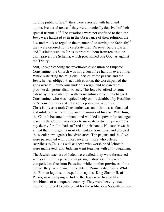holding public office;  $46$  they were assessed with hard and oppressive curial taxes;  $47$  they were practically deprived of their special tribunals.<sup>48</sup> The vexations were not confined to that; the Jews were harassed even in the observance of their religion; the law undertook to regulate the manner of observing the Sabbath;  $49$ they were ordered not to celebrate their Passover before Easter, and Justinian went as far as to prohibit them from reciting the daily prayer, the Schema, which proclaimed one God, as against the Trinity.

Still, notwithstanding the favourable disposition of Emperor Constantine, the Church was not given a free hand in everything. While restricting the religious liberties of the pagans and the Jews, he was obliged to act with caution; the worshipers of the gods were still numerous under his reign, and he dared not provoke dangerous disturbances. The Jews benefited to some extent by this hesitation. With Constantius everything changed. Constantine, who was baptized only on his deathbed by Eusebius of Nicomedia, was a skeptic and a politician, who used Christianity as a tool; Constantius was an orthodox, as fanatical and intolerant as the clergy and the monks of his day. With him, the Church became dominant, and wielded its power for revenge; it seems the Church was eager to make its erstwhile persecutors pay dearly for all it had suffered at their hands. No sooner was it armed than it forgot its most elementary principles, and directed the secular arm against its adversaries. The pagans and the Jews were persecuted with utmost severity; those who offered sacrifices to Zeus, as well as those who worshipped Jehovah, were maltreated: anti-Judaism went together with anti- paganism.

The Jewish teachers of Judea were exiled, they were threatened with death if they persisted in giving instruction, they were compelled to flee from Palestine, while in other provinces of the empire they were denied the rights of Roman citizenship. While the Roman legions, on expedition against King Shabur II, of Persia, were camping in Judea, the Jews were treated like inhabitants of a conquered country. They were heavily taxed; they were forced to bake bread for the soldiers on Sabbath and on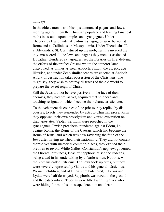holidays.

In the cities, monks and bishops denounced pagans and Jews, inciting against them the Christian populace and leading fanatical mobs in assaults upon temples and synagogues. Under Theodosius I, and under Arcadius, synagogues were burned at Rome and at Callinicus, in Mesopotamia. Under Theodosius II, at Alexandria, St. Cyril stirred up the mob, hermits invaded the city, massacred all the Jews and pagans they met, assassinated Hypathia, plundered synagogues, set the libraries on fire, defying the efforts of the prefect Orestes whom the emperor later disavowed. At Imnestar, near Antioch, Simon, the ascetic, acts likewise, and under Zeno similar scenes are enacted at Antioch. A fury of destruction takes possession of the Christians; one might say, they wish to destroy all traces of the old world to prepare the sweet reign of Christ.

Still the Jews did not behave passively in the face of their enemies, they had not, as yet, acquired that stubborn and touching resignation which became their characteristic later.

To the vehement discourses of the priests they replied by dis courses, to acts they responded by acts; to Christian proselytism they opposed their own proselytism and vowed execration on their apostates. Violent sermons were preached in the synagogues. Jewish preachers thundered against Edom, i.e., against Rome, the Rome of the Caesars which had become the Rome of Jesus, and which was now ravishing the faith of the Jews after having ravished their nationality. They did not content themselves with rhetorical common-places, they excited their brethren to revolt. While Gallus, Constantius's nephew, governed the Oriental provinces, Isaac of Sepphoris raised the Judeans, being aided in his undertaking by a fearless man, Natrona, whom the Romans called Patricius. The Jews took up arms, but they were severely repressed by Gallus and his general, Ursicinus. Women, children, and old men were butchered, Tiberias and Lydda were half destroyed, Sepphoris was razed to the ground and the catacombs of Tiberias were filled with fugitives who were hiding for months to escape detection and death.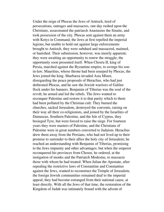Under the reign of Phocas the Jews of Antioch, tired of persecutions, outrages and massacres, one day rushed upon the Christians, assassinated the patriarch Anastasius the Sinaite, and took possession of the city. Phocas sent against them an army with Kotys in Command, the Jews at first repelled the imperial legions, but unable to hold out against large enforcements brought to Antioch, they were subdued and massacred, maimed, or banished. Their submission, however, was merely apparent; they were awaiting an opportunity to renew the struggle; the opportunity soon presented itself. When Chosru II, king of Persia, marched against the Byzantine empire, to avenge his sonin-law, Mauritius, whose throne had been usurped by Phocas, the Jews joined the king. Sharbarza invaded Asia Minor, disregarding the peace proposals of Heraclius, who had just dethroned Phocas, and he saw the Jewish warriors of Galilee flock under his banners. Benjamin of Tiberias was the soul of the revolt; he armed and led the rebels. The Jews wanted to reconquer Palestine and restore it to that purity which to them had been polluted by the Christian cult. They burned the churches, sacked Jerusalem, destroyed the convents, raising on their way all their co-religionists, and joined by the Israelites of Damascus, Southern Palestine, and the Isle of Cyprus, they besieged Tyre, but were forced to raise the siege. For fourteen years they were masters of Palestine, and the Christians of Palestine were in great numbers converted to Judaism. Heraclius drew them away from the Persians, who had not lived up to their promise to surrender to their allies the holy city of Jerusalem; he reached an understanding with Benjamin of Tiberias, promising to the Jews impunity and other advantages; but when the emperor reconquered his provinces from Chosru, he ordered, at the instigation of monks and the Patriarch Modestus, to massacre those with whom he had treated. When Julian the Apostate, after repealing the restrictive laws of Constantine and Constantius against the Jews, wanted to reconstruct the Temple of Jerusalem, the foreign Jewish communities remained deaf to the imperial appeal; they had become estranged from their national cause, at least directly. With all the Jews of that time, the restoration of the Kingdom of Judah was intimately bound with the advent of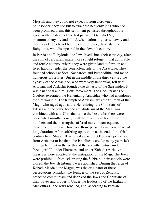Messiah and they could not expect it from a crowned philosopher; they had but to await the heavenly king who had been promised them; this sentiment persisted throughout the ages. With the death of the last patriarch Gamaliel VI, the phantom of royalty and of a Jewish nationality passed away and there was left to Israel but the chief of exile, the exilarch of Babylonia, who disappeared in the eleventh century.

In Persia and Babylonia, the Jews lived since their captivity, after the ruin of Jerusalem many more sought refuge in that admirable and fertile country, where they were given land to farm on and lived happily under the benevolent rule of the Arsacidae. They founded schools at Sora, Nachardea and Pumbaditha, and made numerous proselytes. But in the middle of the third century the dynasty of the Arsacidae, who were very unpopular, fell with Artaban, and Ardashir founded the dynasty of the Sassanides. It was a national and religious movement. The Neo-Persians or Guebres execrated the Hellenizing Arsacidae who had abandoned the fire worship. The triumph of Ardashir was the triumph of the Magi, who raged against the Hellenizing, the Christians of Edessa and the Jews, for the anti-Judaism of the Magi was combined with anti-Christianity; so the hostile brothers were persecuted simultaneously, still the Jews, more feared for their numbers and their strength, suffered more in consequence, in those troublous days. However, those persecutions were never of long duration. After suffering oppression at the end of the third century from Shabur II, who led away 70,000 Jewish prisoners from Armenia to Ispahan, the Israelites were for many years left undisturbed; but in the sixth and the seventh century under Yezdigerd II, under Pheroces, and under Kobad, restrictive measures were adopted at the instigation of the Magi. The Jews were prohibited from celebrating the Sabbath; their schools were closed, the Jewish tribunals were abolished. During the reign of Kobad, Mazdak, the Magus, was the originator of these persecutions. Mazdak, the founder of the sect of Zendiks, preached communism and deprived the Jews and Christians of their wives and property. Under the leadership of the Exilarch Mar Zutra II, the Jews rebelled, and, according to Persian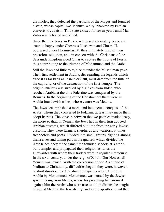chronicles, they defeated the partisans of the Magus and founded a state, whose capital was Mahuza, a city inhabited by Persian converts to Judaism. This state existed for seven years until Mar Zutra was defeated and killed.

Since then the Jews, in Persia, witnessed alternately peace and trouble; happy under Chosroes Nushirvan and Chosru II, oppressed under Hormisdas IV, they ultimately tired of their precarious situation, and, in concert with the Christians of the Sassanide kingdom aided Omar to capture the throne of Persia, thus contributing to the triumph of Mohammed and the Arabs.

Still the Jews had little to rejoice at under the Mussulman yoke. Their first settlement in Arabia, disregarding the legends which trace it as far back as Joshua or Saul, must date from the time of the captivity, or of the destruction of the first Temple. The original nucleus was swelled by fugitives from Judea, who reached Arabia at the time Palestine was conquered by the Romans. In the beginning of the Christian era there were in Arabia four Jewish tribes, whose centre was Medina.

The Jews accomplished a moral and intellectual conquest of the Arabs, whom they converted to Judaism; at least they made them adopt its rites. The kinship between the two peoples made it easy, the more so that, in Yemen, the Jews had in their turn adopted Arabian customs, which differed but little from the early Jewish customs. They were farmers, shepherds and warriors, at times freebooters and poets. Divided into small groups, fighting among themselves and taking part in the quarrels which divided the Arab tribes, they at the same time founded schools at Yathrib, built temples and propagated their religion as far as the Himyarites with whom their traders were in regular intercourse. In the sixth century, under the reign of Zorah-Dhu-Nowas, all Yemen was Jewish. With the conversion of one Arab tribe of Nedjran to Christianity, difficulties began; they were, however, of short duration, for Christian propaganda was cut short in Arabia by Mohammed. Mohammed was nursed by the Jewish spirit; fleeing from Mecca, where his preaching had aroused against him the Arabs who were true to old traditions, he sought refuge at Medina, the Jewish city, and as the apostles found their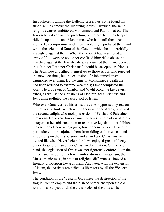first adherents among the Hellenic proselytes, so he found his first disciples among the Judaizing Arabs. Likewise, the same religious causes embittered Mohammed and Paul to hatred. The Jews rebelled against the preaching of the prophet, they heaped ridicule upon him, and Mohammed who had until then been inclined to compromise with them, violently repudiated them and wrote the celebrated Sura of the Cow, in which he unmercifully inveighed against them. When the prophet had assembled an army of followers he no longer confined himself to abuse, he marched against the Jewish tribes, vanquished them, and decreed that "neither Jews nor Christians" should be accepted as friends. The Jews rose and allied themselves to those Arabs who rejected the new doctrines, but the extension of Mohammedanism triumphed over them. By the time of Mohammed's death they had been reduced to extreme weakness; Omar completed the work. He drove out of Chaibar and Wadil Kora the last Jewish tribes, as well as the Christians of Dedjran, for Christians and Jews alike polluted the sacred soil of Islam.

Wherever Omar carried his arms, the Jews, oppressed by reason of that very affinity which united them with the Arabs, favoured the second caliph, who took possession of Persia and Palestine. Omar enacted severe laws against the Jews, who had assisted his antagonist; he subjected them to restrictive legislation, prohibited the erection of new synagogues, forced them to wear dress of a particular colour, enjoined them from riding on horseback, and imposed upon them a personal and a land tax. Christians were treated likewise. Nevertheless the Jews enjoyed greater liberty under Arab rule than under Christian domination. On the one hand, the legislation of Omar was not rigorously enforced; on the other hand, aside from a few manifestations of fanaticism, the Mussulmanic mass, in spite of religious differences, showed a friendly disposition towards them. And later, with the expansion of Islam, the Arabs were hailed as liberators by all the Western Jews.

The condition of the Western Jews since the destruction of the fragile Roman empire and the rush of barbarians upon the old world, was subject to all the vicissitudes of the times. The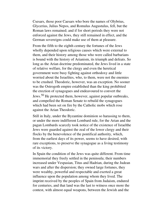Csesars, those poor Caesars who bore the names of Olybrius, Glycerius, Julius Nepos, and Romulus Augustulus, fell, but the Roman laws remained; and if for short periods they were not enforced against the Jews, they still remained in effect, and the German sovereigns could make use of them at pleasure.

From the fifth to the eighth century the fortunes of the Jews wholly depended upon religious causes which were external to them, and their history among those who were called barbarians is bound with the history of Arianism, its triumph and defeats. So long as the Arian doctrine predominated, the Jews lived in a state of relative welfare, for the clergy and even the heretical government were busy fighting against orthodoxy and little worried about the Israelites, who, to them, were not the enemies to be crushed. Theodoric, however, was an exception. No sooner was the Ostrogoth empire established than the king prohibited the erection of synagogues and endeavoured to convert the Jews.<sup>50</sup> He protected them, however, against popular outbreaks, and compelled the Roman Senate to rebuild the synagogues which had been set on fire by the Catholic mobs which rose against the Arian Theodoric.

Still in Italy, under the Byzantine dominion so harassing to them, or under the more indifferent Lombard rule, for the Arian and the pagan Lombards scarcely took notice of the existence of Israelthe Jews were guarded against the zeal of the lower clergy and their flocks by the benevolence of the pontifical authority, which, from the earliest days of its power, seems to have desired, with rare exceptions, to preserve the synagogue as a living testimony of its victory.

In Spain the condition of the Jews was quite different. From time immemorial they freely settled in the peninsula; their numbers increased under Vespasian, Titus and Hadrian, during the Judean wars and after the dispersion; they owned large fortunes, they were wealthy, powerful and respectable and exerted a great influence upon the population among whom they lived. The imprint received by the peoples of Spain from Judaism, endured for centuries, and that land was the last to witness once more the contest, with almost equal weapons, between the Jewish and the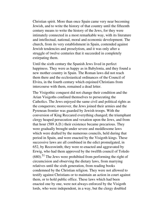Christian spirit. More than once Spain came very near becoming Jewish, and to write the history of that country until the fifteenth century means to write the history of the Jews, for they were intimately connected in a most remarkable way, with its literature and intellectual, national, moral and economic development. The church, from its very establishment in Spain, contended against Jewish tendencies and proselytism, and it was only after a struggle of twelve centuries that it succeeded in completely extirpating them.

Until the sixth century the Spanish Jews lived in perfect happiness. They were as happy as in Babylonia, and they found a new mother country in Spain. The Roman laws did not reach them there and the ecclesiastical ordinances of the Council of Elvira, in the fourth century which enjoined Christians from intercourse with them, remained a dead letter.

The Visigothic conquest did not change their condition and the Arian Visigoths confined themselves to persecuting the Catholics. The Jews enjoyed the same civil and political rights as the conquerors; moreover, the Jews joined their armies and the Pyrenean frontier was guarded by Jewish troops. With the conversion of King Reccared everything changed; the triumphant clergy heaped persecution and vexation upon the Jews, and from that hour (589 A.D.) their existence became precarious. They were gradually brought under severe and meddlesome laws which were drafted by the numerous councils, held during that period in Spain, and were enacted by the Visigoth kings. These successive laws are all combined in the edict promulgated, in 652, by Receswinth; they were re-enacted and aggravated by Erwig, who had them approved by the twelfth council of Toledo  $(680)$ <sup>51</sup>. The Jews were prohibited from performing the right of circumcision and observing the dietary laws, from marrying relatives until the sixth generation, from reading books condemned by the Christian religion. They were not allowed to testify against Christians or to maintain an action in court against them, or to hold public office. These laws which had been enacted one by one, were not always enforced by the Visigoth lords, who were independent, in a way, but the clergy doubled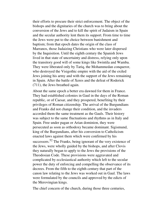their efforts to procure their strict enforcement. The object of the bishops and the dignitaries of the church was to bring about the conversion of the Jews and to kill the spirit of Judaism in Spain and the secular authority lent them its support. From time to time the Jews were put to the choice between banishment and baptism; from that epoch dates the origin of the class of Marranos, those Judaizing Christians who were later dispersed by the Inquisition. Until the eighth century the Spanish Jews lived in that state of uncertainty and distress, relying only upon the transitory good will of some kings like Swintila and Wamba. They were liberated only by Tariq, the Mohammedan conqueror, who destroyed the Visigothic empire with the aid of the exiled Jews joining his army and with the support of the Jews remaining in Spain. After the battle of Xeres and the defeat of Roderick (711), the Jews breathed again.

About the same epoch a better era dawned for them in France. They had established colonies in Gaul in the days of the Roman republic, or of Caesar, and they prospered, benefiting by their privileges of Roman citizenship. The arrival of the Burgundians and Franks did not change their condition, and the invaders accorded them the same treatment as the Gauls. Their history was subject to the same fluctuations and rhythms as in Italy and Spain. Free under pagan or Arian dominion, they were persecuted as soon as orthodoxy became dominant. Sigismund, king of the Burgundians, after his conversion to Catholicism enacted laws against them which were confirmed by his successors.<sup>52</sup> The Franks, being ignorant of the very existence of the Jews, were wholly guided by the bishops, and after Clovis they naturally began to apply to the Jews the provisions of the Theodosian Code. These provisions were aggravated and complicated by ecclesiastical authority which left to the secular power the duty of enforcing and compelling the observance of its decrees. From the fifth to the eighth century that part of the canon law relating to the Jews was worked out in Gaul. The laws were formulated by the councils and approved by the edicts of the Merovingian kings.

The chief concern of the church, during those three centuries,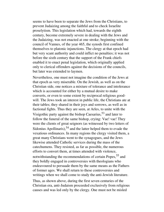seems to have been to separate the Jews from the Christians, to prevent Judaizing among the faithful and to check Israelite proselytism. This legislation which had, towards the eighth century, become extremely severe in dealing with the Jews and the Judaizing, was not enacted at one stroke; beginning with the council of Vannes, of the year 465, the synods first confined themselves to platonic injunctions. The clergy at that epoch had but very scant authority and could inflict no penalties; it was not before the sixth century that the support of the Frank chiefs enabled it to enact penal legislation, which originally applied only to clerical offenders against the decisions of the councils, but later was extended to laymen.

Nevertheless, one must not imagine the condition of the Jews at that epoch as very miserable. On the Jewish, as well as on the Christian side, one notices a mixture of tolerance and intolerance which is accounted for either by a mutual desire to make converts, or even to some extent by reciprocal religious goodwill. The Jews took an interest in public life, the Christians ate at their tables; they shared in their joys and sorrows, as well as in factional fights. Thus they are seen, at Arles, to unite with the Visigothic party against the bishop Caesarius,  $53$  and later to follow the funeral of the same bishop, crying: Vae! vae! They were the clients of great seignors (as witnessed by two letters of Sidonius Apollinaris),  $54$  and the latter helped them to evade the vexatious ordinances. In many regions the clergy visited them, a great many Christians went to the synagogues, and the Jews likewise attended Catholic services during the mass of the catechumens. They resisted, as far as possible, the numerous efforts to convert them, at times attended with violence, notwithstanding the recommendations of certain Popes,<sup>55</sup> and they boldly engaged in controversies with theologians who endeavoured to persuade them by the same means as the Fathers of former ages. We shall return to these controversies and writings when we shall come to study the anti-Jewish literature.

Thus, as shown above, during the first seven centuries of the Christian era, anti-Judaism proceeded exclusively from religious causes and was led only by the clergy. One must not be misled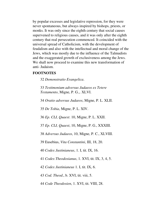by popular excesses and legislative repression, for they were never spontaneous, but always inspired by bishops, priests, or monks. It was only since the eighth century that social causes supervened to religious causes, and it was only after the eighth century that real persecution commenced. It coincided with the universal spread of Catholicism, with the development of feudalism and also with the intellectual and moral change of the Jews, which was mostly due to the influence of the Talmudists and the exaggerated growth of exclusiveness among the Jews. We shall now proceed to examine this new transformation of anti- Judaism.

#### FOOTNOTES

32 *Demonstratio Evangelica*.

33 *Testimonium adversus Judaeos ex Tetere Testamento*, Migne, P. G.,. XLVI.

34 *Oratio adversus Judaeos*, Migne, P. L. XLII.

35 *De Tobia*, Migne, P. L. XIV.

36 *Ep. CLI, Quaest*. 10, Migne, P. L. XXII.

37 *Ep. CLI, Quaest*, 10, Migne, P. G., XXXIII.

38 *Adversus Judaeos*, 10, Migne, P. C., XLVIII.

39 Eusebius, *Vita Constantini*, III, 18, 20.

40 *Codex Justinianeus*, 1. I, tit. IX, 16.

41 *Codex Theodosianus*, 1. XVI, tit. IX, 3, 4, 5.

42 *Codex Justinianeus* 1. I, tit. IX, 6.

43 *Cod. Theod*., b. XVI, tit. viii, 5.

44 *Code Theodosien*, 1. XVI, tit. VIII, 28.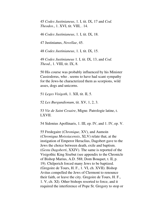45 *Codex Justinianeus*, 1. I, tit. IX, 17 and *Cod. Theodos*., 1. XVI, tit. VIII, . 14.

46 *Codex Justinianeus*, 1. I, tit. IX, 18.

47 Justinianus, *Novellae*, 45.

48 *Codex Justinianeus*, 1. I, tit. IX, 15.

49 *Codex Justinianeus* 1. I, tit. IX, 13, and *Cod. Theod*., 1. VIII, tit. IX, 8.

50 His course was probably influenced by his Minister Cassiodorus, who . seems to have had scant sympathy for the Jews-he characterized them as scorpions, wild asses, dogs and unicorns.

51 *Leges Visigoth*, 1. XII, tit. II, 5.

52 *Lex Burgundionum*, tit. XV, 1, 2, 3.

53 *Vie de Saint Cesaire*, Migne. Patrologie latine, t. LXVII.

54 Sidonius Apollinaris, 1. III, ep. IV, and 1. IV, ep. V.

55 Fredegaire (*Chronique*, XV), and Aumoin (*Chroniqua Moissiacensis*, XLV) relate that, at the instigation of Emperor Heraclius, Dagobert gave to the Jews the choice between death, exile and baptism. (*Gesta Dagoberti*, XXIV). The same is reported of the Visigothic King Sisebut (see appendix to the Chronicle of Bishop Marius, A.D. 588; Dom Bouquet, t. II, p. 19). Chilperich forced many Jews to be baptized. (Gregoire de Tours, H. F., 1. VI, ch. XVII). Bishop Avitus compelled the Jews of Clermont to renounce their faith, or leave the city. Gregoire de Tours, H. F., 1. V, ch. XI). Other bishops resorted to force, and it required the interference of Pope St. Gregory to stop or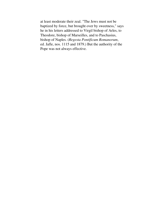at least moderate their zeal. "The Jews must not be baptized by force, but brought over by sweetness," says he in his letters addressed to Virgil bishop of Arles, to Theodore, bishop of Marseilles, and to Paschasius, bishop of Naples. (*Regesta Pontificum Romanorum*, ed. Jafle, nos. 1115 and 1879.) But the authority of the Pope was not always effective.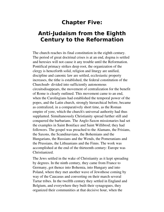### <span id="page-63-0"></span>**[Chapter Five:](#page-63-0)**

### **[Anti-Judaism from the Eighth](#page-63-0) [Century to the Reformation](#page-63-0)**

The church reaches its final constitution in the eighth century. The period of great doctrinal crises is at an end, dogma is settled and heresies will not cause it any trouble until the Reformation. Pontifical primacy strikes deep root, the organization of the clergy is henceforth solid, religion and liturgy are unified, discipline and canonic law are settled, ecclesiastic property increases, the tithe is established, the federal constitution of the Churchsub- divided into sufficiently autonomous circuitsdisappears, the movement of centralization for the benefit of Rome is clearly outlined. This movement came to an end, when the Carolingians had established the temporal power of the popes, and the Latin church, strongly hierarchical before, became as centralized, in a comparatively short time, as the Roman empire of yore, which the church's universal authority had thus supplanted. Simultaneously Christianity spread further still and conquered the barbarians. The Anglo-Saxon missionaries had set the examples in Saint Boniface and Saint Willibrod; they had followers. The gospel was preached to the Alamans, the Frisians, the Saxons, the Scandinavians, the Bohemians and the Hungarians, the Russians and the Wends, the Pomeranians and the Prussians, the Lithuanians and the Finns. The work was accomplished at the end of the thirteenth century: Europe was Christianized.

The Jews settled in the wake of Christianity as it kept spreading by degrees. In the ninth century, they came from France to Germany, got thence into Bohemia, into Hungary and into Poland, where they met another wave of Jewsthose coming by way of the Caucasus and converting on their march several Tartar tribes. In the twelfth century they settled in England and Belgium, and everywhere they built their synagogues, they organized their communities at that decisive hour, when the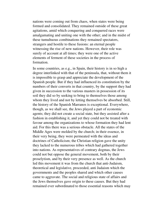nations were coming out from chaos, when states were being formed and consolidated. They remained outside of these great agitations, amid which conquering and conquered races were amalgamating and uniting one with the other; and in the midst of these tumultuous combinations they remained spectators, strangers and hostile to these fusions: an eternal people witnessing the rise of new nations. However, their role was surely of account at all times; they were one of the active elements of ferment of these societies in the process of formation.

In some countries, as e.g., in Spain, their history is in so high a degree interlinked with that of the peninsula, that, without them it is impossible to grasp and appreciate the development of the Spanish people. But if they had influenced its constitution by the numbers of their converts in that country, by the support they had given in succession to the various masters in possession of its soil they did so by seeking to bring to themselves those among whom they lived and not by letting themselves be absorbed. Still, the history of the Spanish Marranos is exceptional. Everywhere, though, as we shall see, the Jews played a part of economic agents; they did not create a social state, but they assisted after a fashion in establishing it, and yet they could not be treated with favour among the organizations to whose formation they had lent aid. For this there was a serious obstacle. All the states of the Middle Ages were molded by the church; in their essence, in their very being, they were permeated with the ideas and doctrines of Catholicism; the Christian religion gave the unity they lacked to the numerous tribes which had gathered together into nations. As representatives of contrary dogmas, the Jews could not but oppose the general movement, both by their proselytism, and by their very presence as well. As the church led this movement it was from the church that anti-Judaism, theoretical and legislative, proceeded, anti Judaism which the governments and the peoples shared and which other causes came to aggravate. The social and religious state of affairs and the Jews themselves gave origin to these causes. But they had remained ever subordinated to those essential reasons which may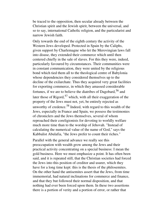be traced to the opposition, then secular already between the Christian spirit and the Jewish spirit, between the universal, and so to say, international Catholic religion, and the particularist and narrow Jewish faith.

Only towards the end of the eighth century the activity of the Western Jews developed. Protected in Spain by the Caliphs, given support by Charlemagne who let the Merovingian laws fall into disuse, they extended their commerce which until then centered chiefly in the sale of slaves. For this they were, indeed, particularly favoured by circumstances. Their communities were in constant communication, they were united by the religious bond which tied them all to the theological centre of Babylonia whose dependencies they considered themselves up to the decline of the exilarchate. Thus they acquired very great facilities for exporting commerce, in which they amassed considerable fortunes, if we are to believe the diatribes of Dagobard,<sup>56</sup> and later those of Rigord,<sup>57</sup> which, with all their exaggeration of the property of the Jews must not, yet, be entirely rejected as unworthy of credence.<sup>58</sup> Indeed, with regard to this wealth of the Jews, especially in France and Spain, we possess the testimonies of chroniclers and the Jews themselves, several of whom reproached their coreligionists for devoting to worldly welfare much more time than to the worship of Jehovah. "Instead of calculating the numerical value of the name of God," says the Kabbalist Abulafia, "the Jews prefer to count their riches."

Parallel with the general advance we really see this preoccupation with wealth grow among the Jews and their practical activity concentrating on a special business: I mean the gold business. Here we must emphasize a point. It has often been said, and it is repeated still, that the Christian societies had forced the Jews into this position of creditor and usurer, which they have for a long time kept: this is the thesis of the philosemites. On the other hand the antisemites assert that the Jews, from time immemorial, had natural inclinations for commerce and finance, and that they but followed their normal disposition, and that nothing had ever been forced upon them. In these two assertions there is a portion of verity and a portion of error, or rather that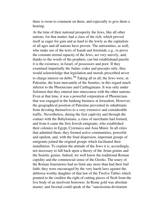there is room to comment on them, and especially to give them a hearing.

At the time of their national prosperity the Jews, like all other nations, for that matter, had a class of the rich, which proved itself as eager for gain and as hard to the lowly as the capitalists of all ages and all nations have proven. The antisemites, as well, who make use of the texts of Isaiah and Jeremiah, e.g., to prove the constant eternal rapacity of the Jews, act very naively, and, thanks to the words of the prophets, can but establishand puerile it is the existence, in Israel, of possessors and poor. If they examined impartially the Judaic codes and precepts only, they would acknowledge that legislation and morals prescribed never to charge interest on debts.<sup>59</sup> Taking all in all, the Jews were, in Palestine, the least mercantile of the Semites, in this regard much inferior to the Phoenicians and Carthaginians. It was only under Solomon that they entered into intercourse with the other nations. Even at that time, it was a powerful corporation of Phoenicians that was engaged in the banking business at Jerusalem. However, the geographical position of Palestine prevented its inhabitants from devoting themselves to a very extensive and considerable traffic. Nevertheless, during the first captivity and through the contact with the Babylonians, a class of merchants had formed, and from it came the first Jewish emigrants, who established their colonies in Egypt, Cyrenaica and Asia Minor. In all cities that admitted them, they formed active communities, powerful and opulent, and, with the final dispersion, important groups of emigrants joined the original groups which facilitated their installation. To explain the attitude of the Jews it is, accordingly, not necessary to fall back upon a theory of the Arian genius and the Semitic genius. Indeed, we well know the traditional Roman cupidity and the commercial sense of the Greeks. The usury of the Roman feneratores had no limit any more than had their bad faith; they were encouraged by the very harsh laws against the debtorsa worthy daughter of that law of the Twelve Tables which granted to the creditor the right of cutting pieces of flesh from the live body of an insolvent borrower. In Rome gold was absolute master, and Juvenal could speak of the "sanctissima divitiarum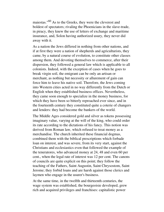maiestas."<sup>60</sup> As to the Greeks, they were the cleverest and boldest of spectators; rivaling the Phoenicians in the slave-trade, in piracy, they knew the use of letters of exchange and maritime insurance, and, Solon having authorized usury, they never did away with it.

As a nation the Jews differed in nothing from other nations, and if at first they were a nation of shepherds and agriculturists, they came, by a natural course of evolution, to constitute other classes among them. And devoting themselves to commerce, after their dispersion, they followed a general law which is applicable to all colonists. Indeed, with the exception of cases when he goes to break virgin soil, the emigrant can be only an artisan or merchant, as nothing but necessity or allurement of gain can force him to leave his native soil. Therefore, the Jews coming into Western cities acted in no way differently from the Dutch or English when they established business offices. Nevertheless, they came soon enough to specialize in the money business, for which they have been so bitterly reproached ever since, and in the fourteenth century they constituted quite a coterie of changers and lenders: they had become the bankers of the world.

The Middle Ages considered gold and silver as tokens possessing imaginary value, varying at the will of the king, who could order its rate according to the dictations of his fancy. This notion was derived from Roman law, which refused to treat money as a merchandise. The church inherited these financial dogmas, combined them with the biblical prescriptions which forbade loan on interest, and was severe, from its very start, against the Christians and ecclesiastics even that followed the example of the teneratores, who advanced money at 24, 48 and even 60 per cent., when the legal rate of interest was 12 per cent. The canons of councils are quite explicit on this point; they follow the teaching of the Fathers, Saint Augustin, Saint Chrysostom, Saint Jerome; they forbid loans and are harsh against those clerics and laymen who engage in the usurer's business.

At the same time, in the twelfth and thirteenth centuries, the wage system was established, the bourgeoisie developed, grew rich and acquired privileges and franchises: capitalistic power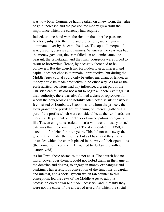was now born. Commerce having taken on a new form, the value of gold increased and the passion for money grew with the importance which the currency had acquired.

Indeed, on one hand were the rich, on the otherthe peasants, landless, subject to the tithe and prestations; workingmen dominated over by the capitalist laws. To cap it all, perpetual wars, revolts, diseases and famines. Whenever the year was bad, the money gave out, the crop failed, an epidemic came, the peasant, the proletarian, and the small bourgeois were forced to resort to borrowing. Hence, by necessity there had to be borrowers. But the church had forbidden loan at interest, and capital does not choose to remain unproductive, but during the Middle Ages capital could only be either merchant or lender, as money could be made productive in no other way. As far as the ecclesiastical decisions had any influence, a great part of the Christian capitalists did not want to begin an open revolt against their authority; there was also formed a class of reprobates for whom the bourgeoisie and nobility often acted as silent partners. It consisted of Lombards, Caeorsins, to whom the princes, the lords granted the privileges of loaning on interest, gathering a part of the profits which were considerable, as the Lombards lent money at 10 per cent. a month; or of unscrupulous foreigners, like Tuscan emigrants settled in Istria who went in usury to such extremes that the community of Triest suspended, in 1350, all execution for debts for three years. This did not take away the ground from under the usurers, but as I have said they found obstacles which the church placed in the way of their operations (the council of Lyons of 1215 wanted to declare the wills of usurers void).

As for Jews, these obstacles did not exist. The church had no moral power over them, it could not forbid them, in the name of the doctrine and dogma, to engage in money exchanging and banking. Thus a religious conception of the functions of capital and interest, and a social system which ran counter to this conception, led the Jews of the Middle Ages to adopt a profession cried down but made necessary; and in reality they were not the cause of the abuses of usury, for which the social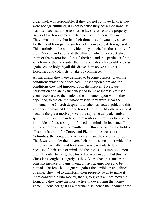order itself was responsible. If they did not cultivate land, if they were not agriculturists, it is not because they possessed none, as has often been said; the restrictive laws relative to the property rights of the Jews came at a date posterior to their settlement. They own property, but had their domains cultivated by slaves, for their stubborn patriotism forbade them to break foreign soil. This patriotism, the notion which they attached to the sanctity of their Palestinian fatherland, the allusion which they kept alive in them of the restoration of that fatherland and this particular faith which made them consider themselves exiles who would one day again see the holy cityall this drove them above all other foreigners and colonists to take up commerce.

As merchants they were destined to become usurers, given the conditions which the codes had imposed upon them and the conditions they had imposed upon themselves. To escape persecution and annoyance they had to make themselves useful, even necessary, to their rulers, the noblemen upon whom they depended, to the church whose vassals they were. Now the nobleman, the Church despite its anathemasneeded gold, and this gold they demanded from the Jews. During the Middle Ages gold became the great motive power, the supreme deity alchemists spent their lives in search of the magistery which was to produce it, the idea of possessing it inflamed the minds, in its name all kinds of cruelties were committed, the thirst of riches laid hold of all souls; later on, for Cortez and Pizarro, the successors of Columbus, the conquest of America meant the conquest of gold. The Jews fell under the universal charmthe same under which the Templars had fallen and for them it was particularly fatal, because of their state of mind and the civil status imposed upon them. In order to exist, they turned brokers in gold, but this the Christians sought as eagerly as they. More than that, under the constant menace of banishment, always acamp, forced to be nomads, the Jews had to guard against the terrible eventualities of exile. They had to transform their property so as to make it more convertible into money, that is, to give it a more movable form, and they were the most active in developing the money value, in considering it as a merchandise, hence the lending andto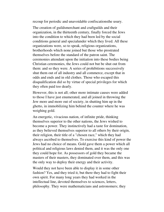recoup for periodic and unavoidable confiscationsthe usury.

The creation of guildsmerchant and craftguilds and their organization, in the thirteenth century, finally forced the Jews into the condition to which they had been led by the social conditions general and specialunder which they lived. All these organizations were, so to speak, religious organizations, brotherhoods which none joined but those who prostrated themselves before the standard of the patron saint. The ceremonies attendant upon the initiation into these bodies being Christian ceremonies, the Jews could not but be shut out from them: and so they were. A series of prohibitions successively shut them out of all industry and all commerce, except that in odds and ends and in old clothes. Those who escaped this disqualification did so by virtue of special privileges for which they often paid too dearly.

However, this is not all; other more intimate causes were added to those I have just enumerated, and all joined in throwing the Jew more and more out of society, in shutting him up in the ghetto, in immobilizing him behind the counter where he was weighing gold.

An energetic, vivacious nation, of infinite pride, thinking themselves superior to the other nations, the Jews wished to become a power. They instinctively had a taste for domination, as they believed themselves superior to all others by their origin, their religion, their title of a "chosen race," which they had always ascribed to themselves. To exercise this kind of power the Jews had no choice of means. Gold gave them a power which all political and religious laws denied them, and it was the only one they could hope for. As possessors of gold they became the masters of their masters, they dominated over them, and this was the only way to deploy their energy and their activity.

Would they not have been able to display it in some other fashion? Yes, and they tried it, but there they had to fight their own spirit. For many long years they had worked in the intellectual line, devoted themselves to sciences, letters, philosophy. They were mathematicians and astronomers; they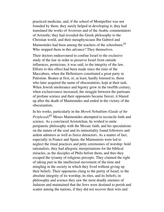practiced medicine, and, if the school of Montpellier was not founded by them, they surely helped in developing it; they had translated the works of Averroes and of the Arabic commentators of Aristotle; they had revealed the Greek philosophy to the Christian world, and their metaphysicians Ibn Gabirol and Maimonides had been among the teachers of the schoolmen.<sup>61</sup> Who stopped them in this advance? They themselves.

Their doctors endeavoured to confine Israel to the exclusive study of the law in order to preserve Israel from outside influences, pernicious, it was said, to the integrity of the law. Efforts to this effect had been made since the time of the Maccabees, when the Hellenizers constituted a great party in Palestine. Beaten at first, or, at least, hardly listened to, those who later acquired the name of obscurantists, kept at their task. When Jewish intolerance and bigotry grew in the twelfth century, when exclusiveness increased, the struggle between the partisans of profane science and their opponents became fiercer, it blazed up after the death of Maimonides and ended in the victory of the obscurantists.

In his works, particularly in the *Moreh Nebukhim (Guide of the Perplexed)*62 Moses Maimonides attempted to reconcile faith and science. As a convinced Aristotelian, he wished to unite peripatetic philosophy with the Mosaic faith, and his speculations on the nature of the soul and its immortality found followers and ardent admirers as well as fierce detractors. As a matter of fact, especially in France and Spain, the Maimunists were led to neglect the ritual practices and petty ceremonies of worship: bold rationalists, they had allegoric interpretations for the biblical miracles, as the disciples of Philo before them, and thus they escaped the tyranny of religious precepts. They claimed the right of taking part in the intellectual movement of the time and mingling in the society in which they lived without giving up their beliefs. Their opponents clung to the purity of Israel, to the absolute integrity of its worship, its rites, and its beliefs; in philosophy and science they saw the most deadly enemies of Judaism and maintained that the Jews were destined to perish and scatter among the nations, if they did not recover their wits and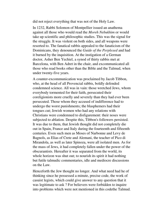did not reject everything that was not of the Holy Law.

In 1232, Rabbi Solomon of Montpellier issued an anathema against all those who would read the *Moreh Nebukhim* or would take up scientific and philosophic studies. This was the signal for the struggle. It was violent on both sides, and all weapons were resorted to. The fanatical rabbis appealed to the fanaticism of the Dominicans, they denounced the *Guide of the Perplexed* and had it burned by the inquisition. At the instigation of a German doctor, Asher Ben Yechiel, a synod of thirty rabbis met at Barcelona, with Ben Adret in the chair, and excommunicated all those who read books other than the Bible and the Talmud, when under twenty-five years.

A counter-excommunication was proclaimed by Jacob Tibbon, who, at the head of all Provencial rabbis, boldly defended condemned science. All was in vain: those wretched Jews, whom everybody tormented for their faith, persecuted their coreligionists more cruelly and severely than they had ever been persecuted. Those whom they accused of indifference had to undergo the worst punishments; the blasphemers had their tongues cut; Jewish women who had any relations with Christians were condemned to disfigurement: their noses were subjected to ablation. Despite this, Tibbon's followers persisted. It was due to them, that Jewish thought did not completely die out in Spain, France and Italy during the fourteenth and fifteenth centuries. Even such men as Moses of Narbonne and Levy de Bagnols, as Elias of Crete and Alemani, the teacher of Pico di Mirandola, as well as later Spinoza, were all isolated men. As for the mass of Jews, it had completely fallen under the power of the obscurantists. Hereafter it was separated from the world, its whole horizon was shut out; to nourish its spirit it had nothing but futile talmudic commentaries, idle and mediocre discussions on the Law.

Henceforth the Jew thought no longer. And what need had he of thinking since he possessed a minute, precise code, the work of casuist legists, which could give answer to any question that it was legitimate to ask ? For believers were forbidden to inquire into problems which were not mentioned in this codethe Talmud.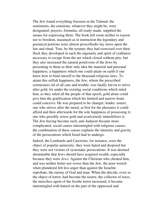The Jew found everything foreseen in the Talmud: the sentiments, the emotions, whatever they might be, were designated; prayers, formulas, all ready-made, supplied the means for expressing them. The book left room neither to reason nor to freedom, inasmuch as in instruction the legendary and gnomical portions were almost proscribedto lay stress upon the law and ritual. True, by the tyranny they had exercised over their flock they developed in each the ingenuity and spirit of craftiness necessary to escape from the net which closed without pity; but they also increased the natural positivism of the Jews by presenting to them as their only idea the material and personal happiness, a happiness which one could attain on earth if one knew how to bind oneself to the thousand religious laws. To attain this selfish happiness, the Jew, whom the prescribed ceremonies rid of all care and trouble, was fatally led on to strive after gold, for under the existing social conditions which ruled him, as they ruled all the people of that epoch, gold alone could give him the gratification which his limited and narrow brain could conceive. He was prepared to be changer, lender, usurer, one who strives after the metal, at first for the pleasures it could afford and then afterwards for the sole happiness of possessing it; one who greedily seizes gold and avariciously immobilizes it. The Jew having become such, anti-Judaism became more complicated, social causes intermingled with religious causes; the combination of these causes explains the intensity and gravity of the persecutions which Israel had to undergo.

Indeed, the Lombards and Caeorsins, for instance, were the object of popular animosity; they were hated and despised but they were not victims of systematic persecutions. It was deemed abominable that Jews should have acquired wealth, especially because they were *Jews*. Against the Christian who cheated him, and was neither better nor worse than the Jew, the poor wretch when plundered felt less anger than against the Israelite reprobate, the enemy of God and man. When the deicide, even so the object of terror, had become the usurer, the collector of taxes, the merciless agent of the fiscthe terror increased; it became intermingled with hatred on the part of the oppressed and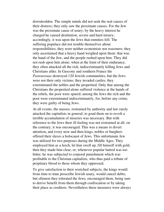downtrodden. The simple minds did not seek the real causes of their distress; they only saw the proximate causes. For the Jew was the proximate cause of usury; by the heavy interest he charged he caused destitution, severe and hard misery; accordingly, it was upon the Jews that enmities fell. The suffering populace did not trouble themselves about responsibilities; they were neither economists nor reasoners; they only ascertained that a heavy hand weighed upon them: that was the hand of the Jew, and the people rushed upon him. They did not rush upon him alone; when at the limit of their endurance, they often attacked all the rich, indiscriminately killing Jews and Christians alike. In Gascony and southern France the *Pastoureaux* destroyed 120 Jewish communities, but the Jews were not their only victims; they invaded castles, they exterminated the nobles and the propertied. Only that among the Christians the propertied alone suffered violence at the hands of the rebels, the poor were spared; among the Jews the rich and the poor were exterminated indiscriminately, for, before any crime, they were guilty of being Jews.

At all events, the masses, restrained by authority and law rarely attacked the capitalists in general; to goad them on to revolt a terrible accumulation of miseries was necessary. But with reference to the Jews their ill-feeling was not restrained at all; on the contrary, it was encouraged. This was a means to divert attention, and every now and then kings, nobles or burghers offered their slaves a holocaust of Jews. This unfortunate Jew was utilized for two purposes during the Middle Ages. They employed him as a leech, let him swell up, fill himself with gold, then they made him clear; or, whenever popular hatred was too bitter, he was subjected to corporal punishment which was profitable to the Christian capitalists, who thus paid a tribute of propitiary blood to those whom they oppressed.

To give satisfaction to their wretched subjects, the kings would from time to time proscribe Jewish usury, would cancel debts; but oftenest they tolerated the Jews, encouraged them, being sure to derive benefit from them through confiscation or by taking their place as creditors. Nevertheless these measures were always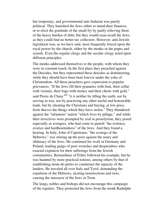but temporary, and governmental anti-Judaism was purely political. They banished the Jews either to mend their finances, or to elicit the gratitude of the small fry by partly relieving them of the heavy burden of debt; but they would soon recall the Jews, as they could find no better tax collectors. However, anti-Jewish legislation was, as we have said, most frequently forced upon the royal power by the church, either by the monks or the popes and synods. Even the regular clergy and the secular clergy acted upon different principles.

The monks addressed themselves to the people, with whom they were in constant touch. In the first place they preached against the Deicides, but they represented these deicides as domineering, while they should have been bent forever under the yoke of Christendom. All these preachers gave expression to popular grievances. "If the Jews fill their granaries with fruit, their cellar with victuals, their bags with money and their chests with gold," said Pierre de Cluny:  $63$  "it is neither by tilling the earth, nor by serving in war, nor by practicing any other useful and honourable trade, but by cheating the Christians and buying, at low price, from thieves the things which they have stolen." They thundered against the "infamous" nation "which lives by pillage," and while their invectives were prompted by zeal in proselytism, they posed especially as avengers, who had come to punish "the isolence, avarice and hardheartedness" of the Jews. And they found a hearing. In Italy, John of Capistrano, "the scourge of the Hebrews," was stirring up the poor against the usury and obduracy of the Jews. He continued his work in Germany and Poland, leading gangs of poor wretches and desperadoes who exacted expiation for their sufferings from the Jewish communities. Bernardinus of Feltre followed his example, but he was haunted by more practical notions, among others by that of establishing mont-de-pietes to counteract the rapacity of the lenders. He traveled all over Italy and Tyrol, demanding the expulsion of the Hebrews, inciting insurrections and riots, causing the massacre of the Jews in Trent.

The kings, nobles and bishops did not encourage this campaign of the regulars. They protected the Jews from the monk Radulphe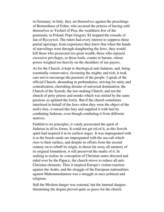in Germany; in Italy, they set themselves against the preachings of Bernardinus of Feltre, who accused the princes of having sold themselves to Yechiel of Pisa, the wealthiest Jew of the peninsula; in Poland, Pope Gregory XI stopped the crusade of Jan of Ryczywol. The rulers had every interest to suppress these partial uprisings; from experience they knew that when the bands of starvelings were through slaughtering the Jews, they would kill those who possessed too great wealth, those who enjoyed excessive privileges, or those lords, counts or barons, whose power weighed too heavily on the shoulders of tax-payers.

As for the Church, it kept to theological anti-Judaism, and, being essentially conservative, favouring the mighty and rich, it took care not to encourage the passions of the people. I speak of the official Church, abounding in prebendaries; striving for unity and centralization, cherishing dreams of universal domination; the Church of the Synods, the law-making Church, and not the church of petty priests and monks which was stirred by the same passions as agitated the lowly. But if the church sometimes interfered in behalf of the Jews when they were the object of the mob's fury, it nursed this fury and supplied it with fuel by combating Judaism, even though combating it from different motives.

Faithful to its principles, it vainly persecuted the spirit of Judaism in all its forms. It could not get rid of it, as this Jewish spirit had inspired it in its earliest stages. It was impregnated with it as the beach-sands are impregnated with the sea-salt which rises to their surface, and despite its efforts from the second century on to rebuff its origin, to thrust far away all memory of its original foundation, it still preserved the marks of it. In seeking to realize its conception of Christian states directed and ruled over by the Papacy, the church strove to reduce all anti-Christian elements. Thus it inspired Europe's violent reaction against the Arabs, and the struggle of the European nationalities against Mahommedanism was a struggle at once political and religious.

Still the Moslem danger was external, but the internal dangers threatening the dogma proved quite as grave for the church.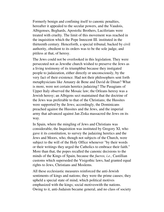Formerly benign and confining itself to canonic penalties, hereafter it appealed to the secular powers, and the Vaudois, Albigenses, Beghards, Apostolic Brothers, Luciferians were treated with cruelty. The limit of this movement was reached in the inquisition which the Pope Innocent III. instituted in the thirteenth century. Henceforth, a special tribunal, backed by civil authority, obedient to its orders was to be the sole judge, and pitiless at that, of heresy.

The Jews could not be overlooked in this legislation. They were persecuted not as Jewsthe church wished to preserve the Jews as a living testimony of its triumphbut because they instigated people to judaization, either directly or unconsciously, by the very fact of their existence. Had not their philosophers sent forth metaphysicians like Amaury de Bene and David de Dinan? What is more, were not certain heretics judaizing? The Pasagians of Upper Italy observed the Mosaic law; the Orleans heresy was a Jewish heresy; an Albigens sect maintained that the doctrine of the Jews was preferable to that of the Christians; the Hussites were supported by the Jews; accordingly, the Dominicans preached against the Hussites and the Jews, and the imperial army that advanced against Jan Ziska massacred the Jews on its way.

In Spain, where the mingling of Jews and Christians was considerable, the Inquisition was instituted by Gregory XI, who gave it its constitution, to survey the judaizing heretics and the Jews and Moors, who, though not subjects of the Church, were subject to the will of the Holy Office whenever "by their words or their writings they urged the Catholics to embrace their faith." More than that, the popes recalled the canonic decisions to the minds of the Kings of Spain, because the *fueros, i.e.,* Castillian customs which superseded the Visigothic laws, had granted equal rights to Jews, Christians and Moslems.

All these ecclesiastic measures reinforced the anti-Jewish sentiments of kings and nations; they were the prime causes; they upheld a special state of mind, which political motives emphasized with the kings; social motiveswith the nations. Owing to it, anti-Judaism became general, and no class of society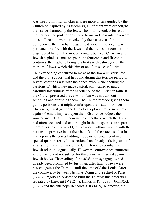was free from it, for all classes were more or less guided by the Church or inspired by its teachings, all of them were or thought themselves harmed by the Jews. The nobility took offense at their riches; the proletarians, the artisans and peasants, in a word the small people, were provoked by their usury; as for the bourgeoisie, the merchant class, the dealers in money, it was in permanent rivalry with the Jews, and their constant competition engendered hatred. The modern contest between Christian and Jewish capital assumes shape in the fourteenth and fifteenth centuries, the Catholic bourgeois looks with calm eyes on the murder of Jews, which rids him of an often successful rival.

Thus everything concurred to make of the Jew a universal foe, and the only support that he found during this terrible period of several centuries was with the popes, who, while abetting the passions of which they made capital, still wanted to guard carefully this witness of the excellence of the Christian faith. If the Church preserved the Jews, it often was not without schooling and punishing them. The Church forbade giving them public positions that might confer upon them authority over Christians, it instigated the kings to adopt restrictive measures against them; it imposed upon them distinctive badges, the *rouelle* and hat; it shut them in those ghettoes, which the Jews had often accepted and even sought in their eagerness to separate themselves from the world, to live apart, without mixing with the nations, to preserve intact their beliefs and their race; so that in many points the edicts bidding the Jews to remain confined in special quarters really but sanctioned an already existing state of affairs. But the chief task of the Church was to combat the Jewish religion dogmatically. However, controversies, numerous as they were, did not suffice for this; laws were issued against the Jewish books. The reading of the *Mishna* in synagogues had already been prohibited by Justinian; after him no laws were passed against the Talmud, until the time of Saint Louis. After the controversy between Nicholas Donin and Yechiel of Paris (1240) Gregory IX ordered to burn the Talmud; this order was repeated by Innocent IV (1244), Honorius IV (1286), John XXII  $(1320)$  and the anti-pope Benedict XIII  $(1415)$ . Moreover, the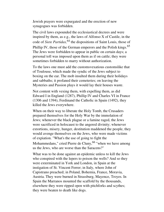Jewish prayers were expurgated and the erection of new synagogues was forbidden.

The civil laws expounded the ecclesiastical decrees and were inspired by them, as e.g., the laws of Alfonso X of Castile, in the code of *Siete Partidas,*64 the dispositions of Saint Louis, those of Phillip IV, those of the German emperors and the Polish kings.<sup>65</sup> The Jews were forbidden to appear in public on certain days; a personal toll was imposed upon them as if on cattle; they were sometimes forbidden to marry without authorization.

To the laws one must add the customsvexatious customslike that of Toulouse, which made the syndic of the Jews subject to boxing on the ear. The mob insulted them during their holidays and sabbaths; it profaned their cemeteries; on leaving the Mysteries and Passion plays it would lay their houses waste.

Not content with vexing them, with expelling them, as did Edward I in England (1287), Phillip IV and Charles VI in France (1306 and 1394), Ferdinand the Catholic in Spain (1492), they killed the Jews everywhere.

When on their way to liberate the Holy Tomb, the Crusaders prepared themselves for the Holy War by the immolation of Jews; whenever the black plague or a famine raged, the Jews were sacrificed in holocaust to the angered divinity; whenever extortions, misery, hunger, destitution maddened the people, they would avenge themselves on the Jews, who were made victims of expiation. "What's the use of going to fight the Mohammedans," cried Pierre de Cluny, <sup>66</sup> "when we have among us the Jews, who are worse than the Saracens?"

What was to be done against an epidemic unless to kill the Jews who conspired with the lepers to poison the wells? And so they were exterminated in York and London, in Spain at the instigation of St. Vincent Ferrer; in Italy, where John of Capistrano preached; in Poland, Bohemia, France, Moravia, Austria. They were burned in Strassburg, Mayence, Troyes. In Spain the Marranos mounted the scaffold by the thousands, elsewhere they were ripped open with pitchforks and scythes; they were beaten to death like dogs.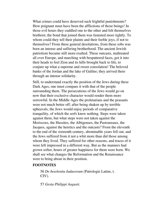What crimes could have deserved such frightful punishments? How poignant must have been the afflictions of those beings! In those evil hours they cuddled one to the other and felt themselves brethren; the bond that joined them was fastened more tightly. To whom could they tell their plaints and their feeble joys, if not to themselves? From these general desolations, from these sobs was born an intense and suffering brotherhood. The ancient Jewish patriotism became still more exalted. These outcasts, maltreated all over Europe, and marching with bespattered faces, got it into their heads to feel Zion and its hills brought back to life, to conjure up what a supreme and sweet consolation! The beloved banks of the Jordan and the lake of Galilee; they arrived there through an intense solidarity.

Still, to understand exactly the position of the Jews during these Dark Ages, one must compare it with that of the people surrounding them. The persecutions of the Jews would go on now that their exclusive character would render them more sorrowful. In the Middle Ages the proletarians and the peasants were not much better off; after being shaken up by terrible upheavals, the Jews would enjoy periods of comparative tranquility, of which the serfs knew nothing. Steps were taken against them, but what steps were not taken against the Moriscoes, the Hussites, the Albigenses, the Pastoureaux, the Jacques, against the heretics and the outcasts? From the eleventh to the end of the sixteenth century, abominable years fell out, and the Jews suffered from it not a whit more than did those among whom they lived. They suffered for other reasons, and traces of it were left impressed in a different way. But as the manners had grown softer, hours of greater happiness for them were born. We shall see what changes the Reformation and the Renaissance were to bring about in their position.

#### FOOTNOTES

56 *De Insolentia Iudaeorum* (Patrologie Latine, t. CIV).

57 *Gesta Philippi Augusti*.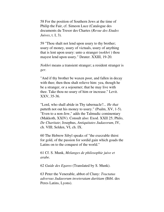58 For the position of Southern Jews at the time of Philip the Fair, cf. Simeon Luce (Catalogue des documents du Tresor des Chartes (*Revue des Etudes Juives*, t. I, 3).

59 "Thou shalt not lend upon usury to thy brother; usury of money, usury of victuals, usury of anything that is lent upon usury: unto a stranger (*nokhri* ) thou mayest lend upon usury." Deuter. XXIII, 19-20.

*Nokhri* means a transient stranger; a resident stranger is *ger*.

"And if thy brother be waxen poor, and fallen in decay with thee; then thou shalt relieve him: yea, though he be a stranger, or a sojourner; that he may live with thee. Take thou no usury of him or increase." Levit. XXV, 35-36.

"Lord, who shall abide in Thy tabernacle?... *He that* putteth not out his money to usury." (Psalm,  $XV$ , 1-5). "Even to a non-Jew," adds the Talmudic cominentary (Makkoth, XXIV). Consult also: Exod. XXII 25; Philo, *De Charitate*; Josephus, *Antiquitates Judaeorum*, IV, ch. VIII; Selden, VI, ch. IX.

60 The Hebrew Sibyl speaks of "the execrable thirst for gold, of the passion for sordid gain which goads the Latins on to the conquest of the world."

61 Cf. S. Munk, *Melanges de philosophie juive et arabe*.

62 *Guide des Egares* (Translated by S. Munk).

63 Peter the Venerable, abbot of Cluny: *Tractatus adversus Judaeorum inveteratam duritiam* (Bibl. des Peres Latins, Lyons).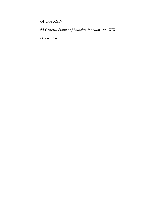64 Title XXIV.

*General Statute of Ladislas Jagellon*. Art. XIX.

*Loc. Cit.*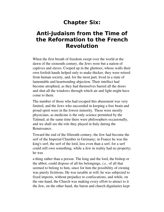# <span id="page-83-0"></span>**[Chapter Six:](#page-83-0)**

## **[Anti-Judaism from the Time of](#page-83-0) [the Reformation to the French](#page-83-0) [Revolution](#page-83-0)**

When the first breath of freedom swept over the world at the dawn of the sixteenth century, the Jews were but a nation of captives and slaves. Cooped up in the ghettoes, whose walls their own foolish hands helped only to make thicker, they were retired from human society, and, for the most part, lived in a state of lamentable and heartrending abjection. Their intellect had become atrophied, as they had themselves barred all the doors and shut all the windows through which air and light might have come to them.

The number of those who had escaped this abasement was very limited, and the Jews who succeeded in keeping a free brain and proud spirit were in the lowest minority. These were mostly physicians, as medicine is the only science permitted by the Talmud; at the same time there were philosophers occasionally, and we shall see the role they played in Italy during the Renaissance.

Toward the end of the fifteenth century, the Jew had become the serf of the Imperial Chamber in Germany; in France he was the king's serf, the serf of the lord, less even than a serf, for a serf could still own something, while a Jew in reality had no property; he was

a thing rather than a person. The king and the lord, the bishop or the abbot, could dispose of all his belongings, *i.e.,* of all that seemed to belong to him, since for him the possibility of owning was purely fictitious. He was taxable at will; he was subjected to fixed imposts, without prejudice to confiscations, and while, on the one hand, the Church was making every effort to attract to it the Jew, on the other hand, the baron and church dignitaries kept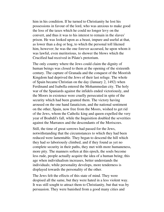him in his condition. If he turned to Christianity he lost his possessions in favour of the lord, who was anxious to make good the loss of the taxes which he could no longer levy on the convert, and thus it was to his interest to remain in the slaves' prison. He was looked upon as a beast, impure and useful at that, as lower than a dog or hog, to which the personal toll likened him, however; he was the one forever accursed, he upon whom it was lawful, even meritorious, to shower the blows which the Crucified had received in Pilate's pretorium.

The only country where the Jews could claim the dignity of human beings was closed to them at the opening of the sixteenth century. The capture of Granada and the conquest of the Moorish Kingdom had deprived the Jews of their last refuge. The whole of Spain became Christian on the day (January 2, 1492) when Ferdinand and Isabella entered the Mohammedan city. The holy war of the Spaniards against the infidels ended victoriously, and the Moors in existence were cruelly persecuted in spite of the security which had been granted them. The victory having aroused on the one hand fanaticism, and the national sentiment on the other, Spain, now free from the Moors, wished to get rid of the Jews, whom the Catholic king and queen expelled the very year of Boabdil's fall, while the Inquisition doubled the severities against the Marranos and the descendants of the Moriscoes.

Still, the time of great sorrows had passed for the Jews, notwithstanding that the circumstances to which they had been reduced were lamentable. They began to descend the hill which they had so laboriously climbed, and if they found as yet no complete security in their paths, they met with more humaneness, more pity. The manners soften at this epoch, the souls become less rude, people actually acquire the idea of a human being; this age when individualism increases, better understands the individuals; while personality develops, more tenderness is displayed towards the personality of the other.

The Jews felt the effects of this state of mind. They were despised all the same, but they were hated in a less violent way. It was still sought to attract them to Christianity, but that was by persuasion. They were banished from a good many cities and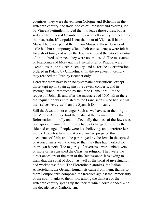countries; they were driven from Cologne and Bohemia in the sixteenth century; the trade-bodies of Frankfort and Worms, led by Vincent Fettmilch, forced them to leave those cities; but as serfs of the Imperial Chamber, they were efficiently protected by their suzerain. If Leopold I sent them out of Vienna, if later on Maria Theresa expelled them from Moravia, these decrees of exile had but a temporary effect, their consequences were felt but for a short time; and when the Jews re-entered the cities by virtue of un-doubted tolerance, they were not molested. The massacres of Franconia and Moravia, the funeral piles of Prague, were exceptions in the sixteenth century, and as for the extermination ordered in Poland by Chmielnicki, in the seventeenth century, they reached the Jews by ricochet only.

Hereafter there have been no systematic persecutions, except those kept up in Spain against the Jewish converts, and in Portugal when introduced by the Pope Clement VII, at the request of John III, and after the massacres of 1506. Even there the inquisition was entrusted to the Franciscans, who had shown themselves less cruel than the Spanish Dominicans.

Still the Jews did not change. Such as we have seen them right in the Middle Ages, we find them also at the moment of the the Reformation; morally and intellectually the mass of the Jews was perhaps even worse. But if they had not changed, those by their side had changed. People were less believing, and therefore less inclined to detest heretics. Averroism had prepared this decadence of faith, and the part played by the Jews in the spread of Averroism is well known; so that they thus had worked for their own benefit. The majority of Averroists were unbelievers, or more or less assailed the Christian religion. They were the direct ancestors of the men of the Renaissance. It is owing to them that the spirit of doubt, as well as the spirit of investigation, had worked itself out. The Florentine platonists, the Italian Aristotelians, the German humanists came from them; thanks to them Pomponazzo composed the treatises against the immortality of the soul; thanks to them, too, among the thinkers of the sixteenth century sprang up the theism which corresponded with the decadence of Catholicism.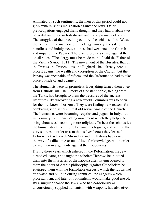Animated by such sentiments, the men of this period could not glow with religious indignation against the Jews. Other preoccupations engaged them, though, and they had to abate two powerful authoritiesscholasticism and the supremacy of Rome. The struggles of the preceding century, the schisms of the West, the license in the manners of the clergy, simony, the sale of benefices and indulgences, all these had weakened the Church and impaired the Papacy. There were protests rising against them on all sides. "The clergy must be made moral," said the Father of the Vienna Synod (1311). The movement of the Hussites, that of the Frerots, the Fraticellians, the Beghards, had already been a protest against the wealth and corruption of the Church; but the Papacy was incapable of reform, and the Reformation had to take place outside of and against it.

The Humanists were its promoters. Everything turned them away from Catholicism. The Greeks of Constantinople, fleeing from the Turks, had brought to them the treasures of the ancient literatures. By discovering a new world Columbus was to open for them unknown horizons. They were finding new reasons for combating scholasticism, that old servant-maid of the Church. The humanists were becoming sceptics and pagans in Italy, but in Germany the emancipating movement which they helped to bring about was becoming more religious. To beat the scholastics the humanists of the empire became theologians, and went to the very sources in order to arm themselves better; they learned Hebrew, not as Pico di Mirandola and the Italians had done, in the way of a dilettante or out of love for knowledge, but in order to find therein arguments against their opponents.

During these years which ushered in the Reformation, the Jew turned educator, and taught the scholars Hebrew; he initiated them into the mysteries of the kabbala after having opened to them the doors of Arabic philosophy. Against Catholicism he equipped them with the formidable exegesis which the rabbis had cultivated and built up during centuries: the exegesis which protestantism, and later on rationalism, would make good use of. By a singular chance the Jews, who had consciously or unconsciously supplied humanism with weapons, had also given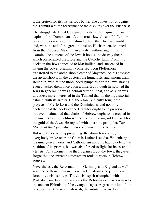it the pretext for its first serious battle. The contest for or against the Talmud was the forerunner of the disputes over the Eucharist.

The struggle started at Cologne, the city of the inquisition and capital of the Dominicans. A converted Jew, Joseph Pfefferkorn, once more denounced the Talmud before the Christian world, and, with the aid of the great inquisitor, Hochstraten, obtained from the Emperor Maximilian an edict authorizing him to examine the contents of the Jewish books and destroy those which blasphemed the Bible and the Catholic faith. From this decision the Jews appealed to Maximilian, and succeeded in having the power originally conferred upon Pfefferkorn transferred to the archbishop elector of Mayence. As his advisors the archbishop took the doctors, the humanists, and among them Reuchlin, who felt no unbounded sympathy for the Jews, having even attacked them once upon a time. But though he scorned the Jews in general, he was a hebraizer for all that, and as such was doubtless more interested in the Talmud than in the inquisitorial tribunal with its arrests. He, therefore, violently fought the projects of Pfefferkorn and the Dominicans, and not only declared that the books of the Israelites ought to be preserved, but even maintained that chairs of Hebrew ought to be created in the universities. Reuchlin was accused of having sold himself for the gold of the Jews. He replied with a terrible pamphlet, *The Mirror of the Eyes,* which was condemned to be burned.

But new times were approaching; the storm foreseen by everybody broke over the Church. Luther issued at Wittenberg his ninety-five theses, and Catholicism not only had to defend the position of its priests, but was also forced to fight for its essential tenets. For a moment the theologians forgot the Jews, they even forgot that the spreading movement took its roots in Hebrew sources.

Nevertheless, the Reformation in Germany and England as well was one of those movements when Christianity acquired new force in Jewish sources. The Jewish spirit triumphed with Protestantism. In certain respects the Reformation was a return to the ancient Ebionism of the evangelic ages. A great portion of the protestant sects was semi-Jewish, the anti-trinitarian doctrines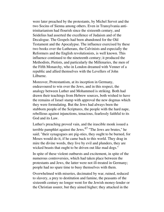were later preached by the protestants, by Michel Servet and the two Socins of Sienna among others. Even in Transylvania antitrinitarianism had flourish since the sixteenth century, and Seidelius had asserted the excellence of Judaism and of the Decalogue. The Gospels had been abandoned for the Old Testament and the Apocalypse. The influence exercised by these two books over the Lutherans, the Calvinists and especially the Reformers and the English revolutionists, is well known. This influence continued to the nineteenth century; it produced the Methodists, Pietists, and particularly the Millenaries, the men of the Fifth Monarchy, who in London dreamed with Venner of a republic and allied themselves with the Levellers of John Lilburne.

Moreover, Protestantism, at its inception in Germany, endeavoured to win over the Jews, and in this respect, the analogy between Luther and Mohammed is striking. Both had drawn their teachings from Hebrew sources, both wished to have the remains of Israel stamp with approval the new dogmas which they were formulating. But the Jews had always been the stubborn people of the Scriptures, the people with the hard nape, rebellious against injunctions, tenacious, fearlessly faithful to its God and its Law.

Luther's preaching proved vain, and the irascible monk issued a terrible pamphlet against the Jews.<sup>67</sup> "The Jews are brutes," he said; "their synagogues are pig-sties, they ought to be burned, for Moses would do it, if he came back to this world. They drag in mire the divine words, they live by evil and plunders, they are wicked beasts that ought to be driven out like mad dogs."

In spite of these violent outbursts and excitement, in spite of the numerous controversies, which had taken place between the protestants and Jews, the latter were not ill-treated in Germany; people had no spare time to busy themselves with them.

Overwhelmed with miseries, decimated by war, ruined, reduced to slavery, a prey to destitution and famine, the peasants of the sixteenth century no longer went for the Jewish money-lender or the Christian usurer, but they aimed higher; they attacked in the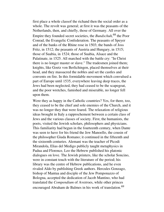first place a whole classof the richand then the social order as a whole. The revolt was general; at first it was the peasants of the Netherlands, then, and chiefly, those of Germany. All over the Empire they founded secret societies, the *Bundschuh,*68 the Poor Conrad, the Evangelic Confederation. The peasants of Speyer and of the banks of the Rhine rose in 1503; the bands of Joss Fritz, in 1512; the peasants of Austria and Hungary, in 1515; those of Suabia, in 1524; those of Suabia, Alsace and the Palatinate, in 1525. All marched with the battle cry: "In Christ there is no longer master or slave." The tradesmen joined them; knights, like Goetz von Berlichingen, placed themselves at their head, and they massacred the nobles and set the castles and convents on fire. In this formidable movement which convulsed a part of Europe until 1535, everywhere leaving deep traces, the Jews had been neglected, they had ceased to be the scapegoat, and the poor wretches, famished and miserable, no longer fell upon them.

Were they as happy in the Catholic countries? Yes, for there, too, they ceased to be the chief and sole enemies of the Church, and it was no longer they that were feared. The relaxation of religious ideas brought in Italy a rapprochement between a certain class of Jews and the various classes of society. First, the humanists, the poets, visited the Jewish scholars, philosophers and physicians. This familiarity had begun in the fourteenth century, when Dante was seen to have for his friend the Jew Manoello, the cousin of the philosopher Giuda Romano; it continued in the fifteenth and the sixteenth centuries. Alemani was the teacher of Picodi Mirandola, Elias del Medigo publicly taught metaphysics in Padua and Florence, Leo the Hebrew published his platonic dialogues on love. The Jewish printers, like the scholar Soncino, were in constant touch with the literature of the period; his library was the centre of Hebrew publications, and he even rivaled Aldo by publishing Greek authors. Hercules Gonzago, bishop of Mantua and disciple of the Jew Pomponazzo of Bologna, accepted the dedication of Jacob Mantino, who had translated the *Compendium* of Averroes, while other princes encouraged Abraham de Balmes in his work of translation.<sup>69</sup>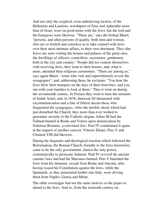And not only the sceptical, even unbelieving faction, of the Hellenists and Latinists, worshipers of Zeus and Aphrodite more than of Jesus, were on good terms with the Jews, but the lord and the bourgeois were likewise. "There are," says the bishop Maiol, "persons, and often persons of quality, both men and women, who are so foolish and senseless as to take counsel with Jews over their most intimate affairs, to their own detriment. They (the Jews) are seen visiting the houses and palaces of the great ones, the dwellings of officers, councillors, secretaries, gentlemen, both in the city and country." People did not content themselves with receiving Jews, they went to their houses, and, what is more, attended their religious ceremonies. "There are among us," says again Maiol, "some who visit and superstitiously revere the synagogues"; and, addressing them, he exclaims: "You hear the Jews blow their trumpets on the days of their festivities, and you run with your families to look at them." Thus it went on during the seventeenth century. In Ferrara they went to hear the sermons of Judah Azael, and, in 1676, Innocent XI threatened with excommunication and a fine of fifteen ducats those who frequented the synagogues. After the terrible shock which had just disturbed the Church, they more than ever wished to guarantee security to the Catholic dogma. Julius III had the Talmud burned in Rome and Venice upon denunciation by Solomon Romano, a converted Jew; Paul IV condemned it again at the request of another convert, Vittorio Eliano; Pius V and Clement VIII did likewise.

During the dogmatic and theological reaction which followed the Reformation, the Roman Church, friendly to the Jews heretofore, came to be the only government, almost the only power, systematically to persecute Judaism. Paul IV revived the ancient canonic laws and had the Marranos burned; Pius V banished the Jews from his domains, except from Rome and Ancona, after having issued his Constitution against the Jews, while the Spaniards, as they penetrated further into Italy, were driving them from Naples, Genoa and Milan.

The other sovereigns had not the same motives as the popes to attend to the Jews. And so, from the sixteenth century on,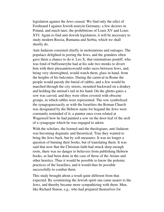legislation against the Jews ceased. We find only the edict of Ferdinand I against Jewish usuryin Germany; a few decrees in Poland, and much later, the prohibitions of Louis XV and Louis XVI. Again to find anti-Jewish legislation, it will be necessary to study modern Russia, Rumania and Serbia, which we shall shortly do.

Anti-Judaism consisted chiefly in molestations and outrages. The populace delighted in jeering the Jews, and the grandees often gave them a chance to do it. Leo X, that ostentatious pontiff, who was fond of buffooneryhe had at his side two monks to divert him with their pleasantrieswould order races between Jews, and, being very shortsighted, would watch them, glass in hand, from the heights of his balconies. During the carnival in Rome the people would parody the burial of rabbis, and a Jew would be marched through the city streets, mounted backward on a donkey and holding the animal's tail in his hand. On the ghetto-gates a sow was carved, and they were often covered with obscene groups, in which rabbis were represented. The sow symbolized the synagogueexactly as with the Israelites the Roman Church was designated by the Hebrew name for hogand the Jews were constantly reminded of it; a painter once even related at Wagenseil how he had painted a sow on the door-leaf of the arch of a synagogue which he was engaged to adorn.

With the scholars, the learned and the theologians, anti-Judaism was becoming dogmatic and theoretical. True they wanted to bring the Jews back, but by soft measures. It was no longer a question of burning their books, but of translating them. It was said that now that the Christian faith had struck deep enough roots, there was no danger to believers from publishing Hebrew books, as had been done in the case of those of the Arians and other heretics. Thus it would be possible to know the polemic practices of the Israelites, and it would thus be possible successfully to combat them.

This study brought about a result quite different from that expected. By scrutinizing the Jewish spirit one came nearer to the Jews, and thereby became more sympathizing with them. Men, like Richard Simon, e.g., who had prepared themselves for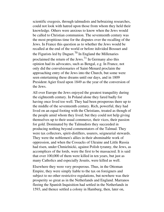scientific exegesis, through talmudists and hebraizing researches, could not look with hatred upon those from whom they held their knowledge. Others were anxious to know when the Jews would be called to Christian communion. The seventeenth century was the most propitious time for the disputes over the recalling of the Jews. In France this question as to whether the Jews would be recalled at the end of the world or before itdivided Bossuet and the Figurists led by Duguet.<sup>70</sup> In England the Millenaries proclaimed the return of the Jews.<sup>71</sup> In Germany also this opinion had its advocates, such as Bengal, e.g. In France, not only did the convulsionaries of Saint-Menard proclaim the approaching entry of the Jews into the Church, but some were seen entertaining these dreams until our days, and in 1809 President Agier fixed upon 1849 as the year of the conversion of the Jews.

All over Europe the Jews enjoyed the greatest tranquility during the eighteenth century. In Poland alone they fared badly for having once lived too well. They had been prosperous there up to the middle of the seventeenth century. Rich, powerful, they had lived on an equal footing with the Christians, treated as though of the people amid whom they lived; but they could not help giving themselves up to their usual commerce, their vices, their passion for gold. Dominated by the Talmudists they succeeded in producing nothing beyond commentators of the Talmud. They were tax collectors, spirit-distillers, usurers, seigneurial stewards. They were the noblemen's allies in their abominable work of oppression, and when the Cossacks of Ukraine and Little Russia had risen, under Chmielnicki, against Polish tyranny, the Jews, as accomplices of the lords, were the first to be massacred. It is said that over 100,000 of them were killed in ten years, but just as many Catholics and especially Jesuits, were killed as well.

Elsewhere they were very prosperous. Thus, in the Ottoman Empire, they were simply liable to the tax on foreigners and subject to no other restrictive regulations, but nowhere was their prosperity so great as in the Netherlands and England. Marranos fleeing the Spanish Inquisition had settled in the Netherlands in 1593, and thence settled a colony in Hamburg, then, later on,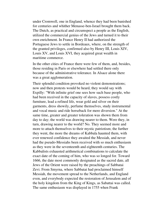under Cromwell, one in England, whence they had been banished for centuries and whither Menasse-ben-Israel brought them back. The Dutch, as practical and circumspect a people as the English, utilized the commercial genius of the Jews and turned it to their own enrichment. In France Henry II had authorized the Portuguese Jews to settle in Bordeaux, where, on the strength of the granted privileges, confirmed also by Henry III, Louis XIV, Louis XV, and Louis XVI, they acquired great wealth in maritime commerce.

In the other cities of France there were few of them, and, besides, those residing in Paris or elsewhere had settled there only because of the administrative tolerance. In Alsace alone there was a great agglomeration.

Their splendid condition provoked no violent demonstrations; now and then protests would be heard, they would say with Expilly: "With infinite grief one sees how such base people, who had been received in the capacity of slaves, possess costly furniture, lead a refined life, wear gold and silver on their garments, dress showily, perfume themselves, study instrumental and vocal music and ride horseback for mere diversion." At the same time, greater and greater toleration was shown them from day to day; the world was drawing nearer to them. Were they, in turn, drawing nearer to the world? No. They seemed more and more to attach themselves to their mystic patriotism; the further they went, the more the dreams of Kabbala haunted them, with ever renewed confidence they awaited the Messiah, and never had the pseudo-Messiahs been received with so much enthusiasm as they were in the seventeenth and eighteenth centuries. The Kabbalists exhausted arithmetical combinations to calculate the exact date of the coming of him, who was so longed for. Toward 1666, the date most commonly designated as the sacred date, all Jews of the Orient were raised by the preachings of Sabbatai Zevi. From Smyrna, where Sabbatai had proclaimed himself Messiah, the movement spread to the Netherlands, and England even, and everybody expected the restoration of Jerusalem and of the holy kingdom from the King of Kings, as Sabattai was called. The same enthusiasm was displayed in 1755 when Frank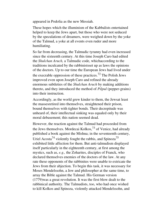appeared in Podolia as the new Messiah.

These hopes which the illuminism of the Kabbalists entertained helped to keep the Jews apart, but those who were not seduced by the speculations of dreamers, were weighed down by the yoke of the Talmud, a yoke at all events even ruder and more humiliating.

So far from decreasing, the Talmudic tyranny had even increased since the sixteenth century. At this time Joseph Caro had edited the *Shulchan Aruch,* a Talmudic code, whichaccording to the traditions inculcated by the rabbinistsset up as laws the opinions of the doctors. Up to our time the European Jews had lived under the execrable oppression of these practices.<sup>72</sup> The Polish Jews improved even upon Joseph Caro and refined the already enormous subtleties of the *Shulchan Aruch* by making additions thereto, and they introduced the method of *Pilpul* (pepper-grains) into their instruction.

Accordingly, as the world grew kinder to them, the Jewsat least the massesretired into themselves, straightened their prison, bound themselves with tighter bonds. Their decrepitude was unheard of, their intellectual sinking was equaled only by their moral debasement; this nation seemed dead.

However, the reaction against the Talmud had proceeded from the Jews themselves. Mordecai Kolkos,  $^{73}$  of Venice, had already published a book against the Mishna; in the seventeenth century, Uriel Acosta<sup>74</sup> violently fought the rabbis, and Spinoza<sup>75</sup> exhibited little affection for them. But anti-talmudism displayed itself particularly in the eighteenth century, at first among the mystics, such as, *e.g.,* the Zoharites, disciples of Franck, who declared themselves enemies of the doctors of the law. At any rate these opponents of the rabbinites were unable to extricate the Jews from their abjection. To begin this task, it was necessary for Moses Mendelssohn, a Jew and philosopher at the same time, to array the Bible against the Talmud. His German version (1779)was a great revolution. It was the first blow dealt to the rabbinical authority. The Talmudists, too, who had once wished to kill Kolkos and Spinoza, violently attacked Mendelssohn, and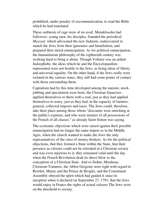prohibited, under penalty of excommunication, to read the Bible which he had translated.

These outbursts of rage were of no avail. Mendelssohn had followers: young men, his disciples, founded the periodical *Meassef,* which advocated the new Judaism, endeavoured to snatch the Jews from their ignorance and humiliation, and prepared their moral emancipation. As for political emancipation, the humanitarian philosophy of the eighteenth century was working hard to bring it about. Though Voltaire was an ardent Judoephobe, the ideas which he and the Encyclopaedists represented were not hostile to the Jews, as being ideas of liberty and universal equality. On the other hand, if the Jews really were isolated in the various states, they still had some points of contact with those surrounding them.

Capitalism had by this time developed among the nations; stockjobbing and speculation were born; the Christian financiers applied themselves to them with a zeal, just as they had applied themselves to usury, just as they had, in the capacity of farmersgeneral, collected imposts and taxes. The Jews could, therefore, take their place among those whom "discounts were enriching at the public's expense, and who were masters of all possessions of the French of all classes," as already Saint Simon was saying.

The economic objections which were raised against their possible emancipation had no longer the same import as in the Middle Ages, when the church wanted to make the Jews the only representatives of the class of money-brokers. As for the political objections, that they formed a State within the State, that their presence as citizens could not be tolerated in a Christian society and was even injurious to it, they remained valid until the day when the French Revolution dealt its direct blow to the conception of a Christian State. And so Dohm, Mirabeau, Clermont-Tonnerre, the Abbot Gregoire were right with regard to Rewbel, Maury and the Prince de Broglie, and the Constituent Assembly obeyed the spirit which had guided it since its inception when it declared on September 27, 1791, that the Jews would enjoy in France the rights of actual citizens The Jews were on the threshold to society.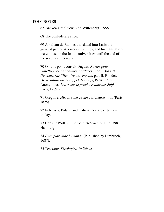#### FOOTNOTES

67 *The Jews and their Lies*, Wittenberg, 1558.

68 The confederate shoe.

69 Abraham de Balmes translated into Latin the greatest part of Averroes's writings, and his translations were in use in the Italian universities until the end of the seventeeth century.

70 On this point consult Duguet, *Regles pour l'intelligence des Saintes Ecritures*, 1723. Bossuet, *Discours sur l'Histoire universelle*, part II. Rondet, *Dissertation sur le rappel des Juifs*, Paris, 1778. Anonymous, *Lettre sur le proche retour des Juifs*, Paris, 1789, etc.

71 Gregoire, *Histoire des sectes religieuses*, t. II (Paris, 1825).

72 In Russia, Poland and Galicia they are extant even to-day.

73 Consult Wolf, *Bibliotheca Hebraea*, v. II, p. 798. Hamburg.

74 *Exemplar vitae humanae* (Published by Limbroch, 1687).

75 *Tractatus Theologico-Politicus.*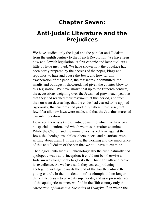# <span id="page-97-0"></span>**[Chapter Seven:](#page-97-0)**

## **[Anti-Judaic Literature and the](#page-97-0) [Prejudices](#page-97-0)**

We have studied only the legal and the popular anti-Judaism from the eighth century to the French Revolution. We have seen how anti-Jewish legislation, at first canonic and later civil, was little by little instituted. We have shown how the populace had been partly prepared by the decrees of the popes, kings and republics, to hate and abuse the Jews, and how far this exasperation of the people, the massacres it committed, the insults and outrages it showered, had given the counter-blow to this legislation. We have shown that up to the fifteenth century, the accusations weighing over the Jews, had grown each year, so that they had reached their maximum at this period, and from then on went decreasing, that the codes had ceased to be applied rigorously, that customs had gradually fallen into disuse, that few, if at all, new laws were made, and that the Jew thus marched towards liberation.

However, there is a kind of anti-Judaism to which we have paid no special attention, and which we must hereafter examine. While the Church and the monarchies issued laws against the Jews, the theologians, philosophers, poets, and historians were writing about them. It is the role, the working and the importance of this anti-Judaism of the pen that we still have to examine.

Theological anti-Judaism, chronologically the first, naturally had apologetic ways at its inception; it could not be otherwise as Judaism was fought only to glorify the Christian faith and prove its excellence. As we have said, they ceased producing apologetic writings towards the end of the fourth century; the young church, in the intoxication of its triumph, did no longer think it necessary to prove its superiority, and as representatives of the apologetic manner, we find in the fifth century only the *Altercation of Simon and Theopilus* of Evagrivs,76 in which the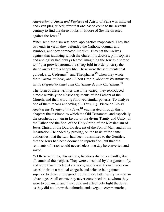*Altercation of Jason and Papiscus* of Aristo of Pella was imitated and even plagiarized; after that one has to come to the seventh century to find the three books of Isidore of Seville directed against the Jews.<sup>77</sup>

When scholasticism was born, apologetics reappeared. They had two ends in view: they defended the Catholic dogmas and symbols, and they combated Judaism. They set themselves against that judaizing which the church, its doctors, philosophers and apologists had always feared, imagining the Jew as a sort of wolf that prowled around the sheep-fold in order to carry the sheep away from a happy life. These were the sentiments that guided,  $e.g., Cedrenus<sup>78</sup>$  and Theophanes<sup>79</sup> when they wrote their *Contra Judaeos,* and Gilbert Crepin, abbot of Westminster, in his *Disputatio Judei cum Christiano de fide Christiana.*<sup>80</sup>

The form of these writings was little varied; they reproduced almost servilely the classic arguments of the Fathers of the Church, and their wording followed similar patterns. To analyze one of them means analyzing all. Thus, *e.g.,* Pierre de Blois's *Against the Perfidy of the Jews*, <sup>81</sup> enumerated through thirty chapters the testimonies which the Old Testament, and especially the prophets, contain in favour of the divine Trinity and Unity, of the Father and the Son, of the Holy Spirit, of the Messianism of Jesus Christ, of the Davidic descent of the Son of Man, and of his incarnation. He ended by proving, on the basis of the same authorities, that the Law had been transmitted to the Gentiles, that the Jews had been doomed to reprobation, but that the remnants of Israel would nevertheless one day be converted and saved.

Yet these writings, discussions, fictitious dialogues hardly, if at all, attained their object. They were consulted by clergymen only, and were thus directed at converts; rabbis read them in very rare cases; their own biblical exegesis and science being much superior to those of the good monks, these latter rarely were at an advantage. At all events they never convinced those whom they were to convince, and they could not effectively fight the Jews, as they did not know the talmudic and exegetic commentaries,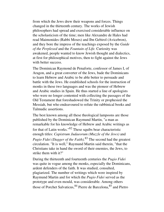from which the Jews drew their weapons and forces. Things changed in the thirteenth century. The works of Jewish philosophers had spread and exercised considerable influence on the scholasticism of the time; men like Alexandre de Hales had read Maimonides (Rabbi Moses) and Ibn Gebirol (Avicebron), and they bore the impress of the teachings exposed by the *Guide of the Perplexed* and the *Fountain of Life.* Curiosity was awakened, people wanted to know Jewish thought and dialectics, at first for philosophical motives, then to fight against the Jews with better success.

The Dominican Raymond de Penaforte, confessor of James I, of Aragon, and a great converter of the Jews, bade the Dominicans to learn Hebrew and Arabic to be able better to persuade and battle with the Jews. He established schools for the instruction of monks in these two languages and was the pioneer of Hebrew and Arabic studies in Spain. He thus started a line of apologists who were no longer contented with collecting the passages of the Old Testament that foreshadowed the Trinity or prophesied the Messiah, but who endeavoured to refute the rabbinical books and Talmudic assertions.

The best known among all these theological lampoons are those published by the Dominican Raymund Martin, "a man as remarkable for his knowledge of Hebrew and Arabic writings as for that of Latin works."82 These squibs bear characteristic enough titles: *Capistrum Judaeorum (Muzzle of the Jews)* and *Pugio Fidei (Dagger of the Faith).*83 The second had the greatest circulation. "It is well," Raymund Martin said therein, "that the Christians take in hand the sword of their enemies, the Jews, to strike them with it?"

During the thirteenth and fourteenth centuries the *Pugio Fidei* was quite in vogue among the monks, especially the Dominicans, ardent defenders of the faith. It was studied, consulted, plagiarized. The number of writings which were inspired by Raymund Martin and for which the *Pugio Fidei* served as the prototype and even mould, was considerable. Among others those of Porchet Salvaticus,<sup>84</sup> Pierre de Barcelona,<sup>85</sup> and Pietro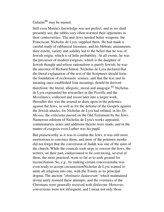Galatini<sup>86</sup> may be named.

Still even Martin's knowledge was not perfect, and as we shall presently see, the rabbis very often worsted their opponents in their controversies. The anti-Jews needed better weapons: the Franciscan, Nicholas de Lyra, supplied them. He had made a careful study of rabbinical literature, and his Hebraic attainments, their extent, variety and solidity led to the belief that he was of Jewish origin, which is of little probability. At all events, he was the precursor of modern exegesis, which is the daughter of Jewish thought and whose rationalism is purely Jewish; he was the ancestor of Richard Simon. Nicholas de Lyra declared that the literal explanation of the text of the Scriptures should form the foundation of ecclesiastic science, and that the text and its meaning once established four meanings should be derived therefrom: the literal, allegoric, moral and anagogic. $87$  Nicholas de Lyra expounded his researches in the *Postilla* and the *Moralitates,* collected and recast later into a larger work. Hereafter this was the arsenal to draw upon in the polemics against the Jews, as well as for the defense of the Gospels against the Jewish attacks, for Nicholas de Lyra had refuted, in his *De Messia,* the criticisms passed on the Old Testament by the Jews. Numerous editions of Nicholas de Lyra's works appeared, commentaries, notes and additions thereto were made, and in the matter of exegesis even Luther was his pupil.

But praiseworthy as it was to combat the Jews, it was still more meritorious to convince them, and most of the polemist monks did not forget that the conversion of Judah was one of the aims of the church. While the councils took steps to convert the Jews, the writers, on their part, endeavoured to be convincing, several of them, the more practical, went so far as to seek ground for reconciliation. So, e.g., by making certain concessionshe was even ready to accept circumcisionNicholas de Lyra wanted to unite all religions into one, with the Trinity as its principal dogma. The ancient *"obstinatio Judaeorum"* which maintained divine unity resisted these attempts, and the overtures of the Christians were generally received with disfavour. However, conversions were not infrequent, and I mean not only those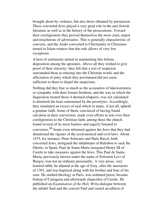brought about by violence, but also those obtained by persuasion. These converted Jews played a very great role in the anti-Jewish literature as well as in the history of the persecutions. Toward their coreligionists they proved themselves the most cruel, unjust and treacherous of adversaries. This is generally characteristic of converts, and the Arabs converted to Christianity or Christians turned to Islam witness that this rule allows of very few exceptions.

A host of sentiments united in maintaining this bilious disposition among the apostates. Above all they wished to give proof of their sincerity: they felt that a sort of suspicion surrounded them at entering into the Christian world, and the affectation of piety which they proclaimed did not seem sufficient to them to dispel the suspicions.

Nothing did they fear so much as the accusation of lukewarmness or sympathy with their former brethren, and the way in which the Inquisition treated those it deemed relapsers, was not calculated to diminish the fears entertained by the proselytes. Accordingly, they simulated an excess of zeal which in many, if not all, upheld a genuine faith. Some of them, convinced of having found salvation in their conversion, made even efforts to win over their coreligionists to the Christian faith; among these the church found several of its most fearless and eagerly listened to converters.88 Some even informed against the Jews that they had abandoned the rigours of the ecclesiastical and civil laws. About 1475, for instance, Peter Schwartz and Hans Bayol, both converted Jews, instigated the inhabitants of Ratisbon to sack the Ghetto; in Spain, Paul de Santa-Maria instigated Henry III of Castile to take measures against the Jews. This Paul de Santa-Maria, previously known under the name of Solomon Levi of Burgos, was not an ordinary personality. A very pious, very learned rabbi, he abjured at the age of forty, after the massacres of 1391, and was baptized along with his brother and four of his sons. He studied theology at Paris, was ordained priest, became bishop of Cartagena and afterwards chancellor of Castile. He published an *Examination of the Holy Writ*a dialogue between the infidel Saul and the convert Paul and issued an edition of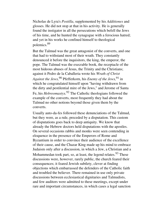Nicholas de Lyra's *Postilla*, supplemented by his *Additiones* and glosses. He did not stop at that in his activity. He is generally found the instigator in all the persecutions which befell the Jews of his time, and he hunted the synagogue with a ferocious hatred; and yet in his works he confined himself to theological polemics.<sup>89</sup>

But the Talmud was the great antagonist of the converts, and one that had to withstand most of their wrath. They constantly denounced it before the inquisitors, the king, the emperor, the pope. The Talmud was the execrable book, the receptacle of the most hideous abuses of Jesus, the Trinity and the Christians; against it Pedro de la Caballeria wrote his *Wrath of Christ Against the Jews*, <sup>90</sup> Pfefferkorn, his *Enemy of the Jews*, <sup>91</sup> in which he congratulated himself upon "having withdrawn from the dirty and pestilential mire of the Jews," and Jerome of Santa Fe, his *Hebreomastyx.*92 The Catholic theologians followed the example of the converts, most frequently they had about the Talmud no other notions beyond those given them by the converts.

Usually auto-da-fes followed these denunciations of the Talmud, but they were, as a rule, preceded by a disputation. This custom of disputations goes back to deep antiquity. We know that already the Hebrew doctors held disputations with the apostles. On several occasions rabbis and monks were seen contending in eloquence in the presence of the Emperors of Rome and Byzantium in order to convince their audience of the excellence of their cause, and the Chazar King made up his mind to embrace Judaism only after a discussion, in which a Jew, a Christian and a Mohammedan took part, so, at least, the legend relates.<sup>93</sup> These discussions were, however, rarely public, the church feared their consequences; it feared Jewish subtlety, clever at finding objections which embarrassed the defenders of the Catholic faith and troubled the believer. There remained in use only private discussions between ecclesiastical dignitaries and Talmudists, and few auditors were admitted to these meetings, except under rare and important circumstances, in which cases a legal sanction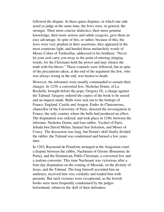followed the dispute. In these queer disputes, in which one side acted as judge at the same time, the Jews were, in general, the stronger. Their more concise dialectics, their more genuine knowledge, their more serious and subtle exegesis, gave them an easy advantage. In spite of this, or rather, because of this, the Jews were very prudent in their assertions, they appeared in the most courteous light, and heeded those melancholy words of Moses Cohen of Tordesillas, addressed to his brethren: "Never let your zeal carry you away to the point of uttering stinging words, for the Christians hold the power and may silence the truth with fist-blows." These counsels were followed, but in spite of the precautions taken, at the end of the argument the Jew, who was always wrong in the end, was beaten to death.

However, the informers were usually commanded to sustain their charges. In 1239, a converted Jew, Nicholas Donin, of La Rochelle, brought before the pope, Gregory IX, a charge against the Talmud. Gregory ordered the copies of the book to be seized and an inquest made. Bulls were sent out to the bishops of France, England, Castile and Aragon. Eudes de Chateauroux, chancellor of the University of Paris, directed the investigation in France, the only country where the bulls had produced an effect. The disputation was ordered, and took place in 1240, between the informer, Nicholas Donin, and four rabbis: Yechiel of Paris, Jehuda ben David Melun, Samuel ben Solomon, and Moses of Coucy. The discussion was long, but Donin's skill finally divided the rabbis; the Talmud was condemned and burned a few years later.

In 1263, Raymond de Penaforte arranged at the Aragonian court a dispute between the rabbis, Nachmani of Girone (Bonastruc de Porta), and the Dominican, Pablo Christiani, a converted Jew and a zealous converter. This time Nachmani was victorious after a four-day disputation on the coming of Messiah, on the divinity of Jesus, and the Talmud. The king himself accorded him an audience, received him very cordially and loaded him with presents. But such victories were exceptional, as the Jewish books were most frequently condemned by the judges beforehand, whatever the skill of their defenders.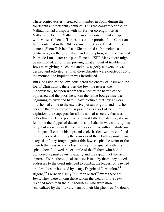These controversies increased in number in Spain during the fourteenth and fifteenth centuries. Thus the convert Alfonso of Valladolid had a dispute with his former coreligionists at Valladolid; John of Valladolid, another convert, had a dispute with Moses Cohen de Tordesillas on the proofs of the Christian faith contained in the Old Testament, but was defeated in the contest; Shem-Tob ben Isaac Shaprut had at Pampeluna a controversy on the original sin and redemption, with the cardinal Pedro de Luna, later anti-pope Benedict XIII. Many more might be mentioned, all of them proving what amount of trouble the Jews were giving the church and how eagerly conversion was desired and solicited. Still all these disputes were courteous up to the moment the Inquisition was introduced.

But alongside of the Jew, considered the enemy of Jesus and the foe of Christianity, there was the Jew, the usurer, the moneydealer, he upon whom fell a part of the hatred of the oppressed and the poor, he whom the rising bourgeoisie was beginning to envy and hate. I have pictured that Jew at work, how he had come to the exclusive pursuit of gold, and how he became the object of popular passions as a sort of victim of expiation, the scapegoat for all the sins of a society that was no better than he. If the populace oftenest killed the deicide, it also fell upon the clipper of ducats; its anti-Judaism was not religious only, but social as well. The case was similar with anti-Judaism of the pen. If certain bishops and ecclesiastical writers confined themselves to defending the symbols of their faith against Jewish exegesis, if they fought against this Jewish spiritthe terror of the church that was, nevertheless, deeply impregnated with this spiritothers followed the example of the Fathers who had thundered against Jewish rapacity and the rapacity of the rich in general. To the theological treatises issued by them they added addresses to the court intended to combat the leaders on pawned articles, those who lived by usury. Dagobard,  $94$  Amolon,  $95$ Rigord,  $96$  Pierre de Cluny,  $97$  Simon Maiol<sup>98</sup> were these anti-Jews. They were among those whom the wealth of the Jews revolted more than their ungodliness, who were more scandalized by their luxury than by their blasphemies. No doubt,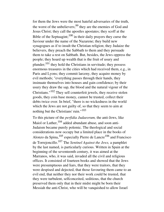for them the Jews were the most hateful adversaries of the truth, the worst of the unbelievers;  $99$  they are the enemies of God and Jesus Christ; they call the apostles apostates; they scoff at the Bible of the Septuagint; $100$  in their daily prayers they curse the Saviour under the name of the Nazarene; they build new synagogues as if to insult the Christian religion; they Judaize the believers, they preach the Sabbath to them and they persuade them to take a rest on Sabbath. But, besides, the Jews oppress the people; they hoard up wealth that is the fruit of usury and plunder;  $^{101}$  they hold the Christians in servitude; they possess enormous treasures in the cities which had received them, e.g., in Paris and Lyons; they commit larceny, they acquire money by evil methods; "everything passes through their hands, they insinuate themselves into houses and gain confidence; by their usury they draw the sap, the blood and the natural vigour of the Christians."102 They sell counterfeit jewels, they receive stolen goods, they coin base money, cannot be trusted, collect their debts twice over. In brief, "there is no wickedness in the world which the Jews are not guilty of, so that they seem to aim at nothing but the Christians' ruin."<sup>103</sup>

To this picture of the *perfidia Judaeorum*, the anti-Jews, like Maiol or Luther,  $104$  added abundant abuse, and soon anti-Judaism became purely polemic. The theological and social considerations now occupy but a limited place in the books of Alonzo da Spina,<sup>105</sup> especially Pierre de Lancre<sup>106</sup> and Francisco de Torrejoncillo.107 The *Sentinel Against the Jews,* a pamphlet by the last named, is particularly curious. Written in Spain at the beginning of the seventeenth century, it was aimed at the Marranos, who, it was said, invaded all the civil and religious offices. It consisted of fourteen books and showed that the Jews were presumptuous and liars, that they were traitors, that they were despised and dejected, that those favouring them came to an evil end, that neither they nor their work could be trusted, that they were turbulent, selfconceited, seditious, that the church preserved them only that in their midst might be born their Messiah the anti-Christ, who will be vanquished to allow Israel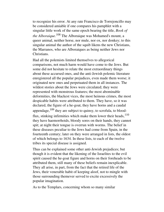to recognize his error. At any rate Francisco de Torrejoncillo may be considered amiable if one compares his pamphlet with a singular little work of the same epoch bearing the title, *Book of the Alboraique.*108 The Alboraique was Mohamed's mount, a queer animal, neither horse, nor mule, nor ox, nor donkey; to this singular animal the author of the squib likens the new Christians, the Marranos, who are Alboraiques as being neither Jews nor Christians.

Had all the polemists limited themselves to allegorical comparisons, not much harm would have come to the Jews. But some did not hesitate to relate the most extraordinary things about these accursed ones, and the anti-Jewish polemic literature enregistered all the popular prejudices, even made them worse; it originated new ones and perpetuated them in all instances. The wildest stories about the Jews were circulated; they were represented with monstrous features; the most abominable deformities, the blackest vices, the most heinous crimes, the most despicable habits were attributed to them. They have, so it was declared, the figure of a he-goat, they have horns and a caudal appendage,  $109$  they are subject to quinsy, to scrofula, to bloodflux, stinking infirmities which make them lower their heads,  $110$ they have haemorrhoids, bloody sores on their hands, they cannot spit; at night their tongue is overrun with worms. The belief in these diseases peculiar to the Jews had come from Spain, in the fourteenth century; later on they were arranged in lists, the oldest of which belongs to 1634. In these lists, to each of the twelve tribes its special disease is assigned.

Thus can be explained some other anti-Jewish prejudices; but though it is evident that the likening of the Israelites to the evil spirit caused the he-goat figure and horns on their foreheads to be attributed them, still many of these beliefs remain inexplicable. They all arise, in part, from the fact that the retired life of the Jews, their venerable habit of keeping aloof, not to mingle with those surrounding themever served to excite excessively the popular imagination.

As to the Templars, concerning whom so many similar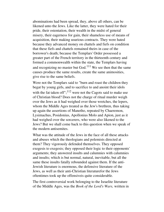abominations had been spread, they, above all others, can be likened unto the Jews. Like the latter, they were hated for their pride, their ostentation, their wealth in the midst of general misery, their eagerness for gain, their shameless use of means of acquisition, their making usurious contracts. They were hated because they advanced money on chattels and fiefs on condition that these fiefs and chattels remained theirs in case of the borrower's death; because the Templars' Order possessed a greater part of the French territory in the thirteenth century and formed a commonwealth within the state, the Templars having and recognizing no master but  $God.<sup>111</sup>$  We see then that the same causes produce the same results, create the same animosities, give rise to the same beliefs.

Were not the Templars said to "burn and roast the children they begat by young girls, and to sacrifice to and anoint their idols with the fat taken of  $f''$ ;  $^{112}$  were not the Cagots said to make use of Christian blood? Does not the charge of ritual murder weigh over the Jews as it had weighed over those wretches, the lepers, whom the Middle Ages treated as the Jew's brethren, thus taking up again the assertions of Manetho, repeated by Chaeremon, Lysimachus, Posidonius, Apollonius Molo and Apion, just as it had weighed over the sorcerers, who were also likened to the Jews? But we shall come back to this question when we speak of the modern antisemites.

What was the attitude of the Jews in the face of all these attacks and abuses which the theologians and polemists directed at them? They vigorously defended themselves. They opposed exegesis to exegesis; they opposed their logic to their opponents' arguments; they answered insults and calumnies with calumnies and insults; which is but normal, natural, inevitable, but all the same these insults fatally rebounded against them. If the anti-Jewish literature is enormous, the defensive literature of the Jews, as well as their anti-Christian literaturefor the Jews oftentimes took up the offensiveis quite considerable.

The first controversial work belonging to the Israelite literature of the Middle Ages, was the *Book of the Lord's Wars,* written in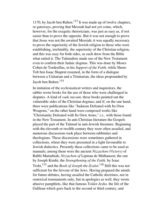1170, by Jacob ben Ruben.<sup>113</sup> It was made up of twelve chapters, or gateways, proving that Messiah had not yet come, which, however, for the exegetic rhetoricians, was just as easy as, if not easier than to prove the opposite. But it was not enough to prove that Jesus was not the awaited Messiah; it was equally necessary to prove the superiority of the Jewish religion to those who were establishing, irrefutably, the superiority of the Christian religion, and this was easy for both sides, as each drew from the Bible what suited it. The Talmudists made use of the New Testament even to confirm their Judaic dogmas. This was done by Moses Cohen de Tordesillas, in his *Support of the Faith,* while Shem-Tob ben Isaac Shaprut resumed, in the form of a dialogue between a Unitarian and a Trinitarian, the ideas propounded by Jacob ben Ruben. $114$ 

In imitation of the ecclesiastical writers and inquisitors, the rabbis wrote books for the use of those who were challenged in disputes. A kind of *vade mecum,* these books pointed out the vulnerable sides of the Christian dogmas; and if, on the one hand, there were publications like "Judaism Defeated with Its Own Weapons," on the other hand were composed works like "Christianity Defeated with Its Own Arms," *i.e.,* with those found in the New Testament. In anti-Christian literature the Gospels played the part of the Talmud in anti-Jewish literature. Beginning with the eleventh or twelfth century they were often assailed, and numerous discussions took place between rabbinites and theologians. These discussions were sometimes gathered in collections, where they were presented in a light favourable to Jewish dialectics. Presently these collections came to be used as manuals; among them were the ancient *Nizzachon (Victory)* of Rabbi Mattathiah; *Nizzachon of* Lipman de Mulhausen; the one by Joseph Kimhi; the *Strengthening of the Faith,* by Isaac Troki,115 and the *Book of Joseph the Zcalot.*116 Still this was not sufficient for the fervour of the Jews. Having prepared the minds for future debates, having assailed the Catholic doctrines, not in oratorical tournaments only, but in apologies as well, they wrote abusive pamphlets, like that famous *Toldot Jesho,* the life of the Galilean which goes back to the second or third century, and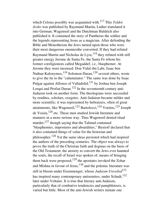which Celsius possibly was acquainted with.<sup>117</sup> This *Toldot Jesho* was published by Raymund Martin, Luther translated it into German; Wagenseil and the Dutchman Huldrich also published it. It contained the story of Pantherus the soldier and the legends representing Jesus as a magician. After defending the Bible and Monotheism the Jews turned upon those who were their most dangerous enemiesthe converted. If they had refuted Raymund Martin and Nicholas de Lyra,  $118$  they refuted with still greater energy Jerome de Santa Fe, the Santa Fe whom his former coreligionists called Megaddef, i.e., blasphemer. At Jerome they were incensed. Don Vidal ibn Labi, Isaac ben Nathan Kalonymos,  $119$  Solomon Duran,  $120$  several others, wrote to give the lie to the "calumniator." The same was done by Isaac Pulgar against Alfonso of Valladolid, $121$  by Joshua ben Joseph Lorqui and Profiat Duran.<sup>122</sup> In the seventeenth century anti-Judaism took on another form. The theologians were succeeded by erudites, scholars, exegetes. Anti-Judaism became milder and more scientific; it was represented by hebraizers, often of great attainments, like Wagenseil,<sup>123</sup> Bartolocci,<sup>124</sup> Voetius,<sup>125</sup> Joseph de Voisin,126 etc. These men studied Jewish literature and manners in a more serious way. Thus Wagenseil denied ritual murder;  $127$  though saying that the Talmud contained "blasphemies, impostures and absurdities," Buxtorf declared that it also contained things of value for the historian and philosopher.<sup>128</sup> Yet the same ideas persisted which had inspired the authors of the preceding centuries. The object was always to prove the truth of the Christian faith and dogmas on the basis of the Old Testament; the anxiety to convert the Jews ever haunted the souls, the recall of Israel was spoken of, means of bringing them back were proposed; $129$  the apostates invoked the Zohar and Mishna in favour of Jesus,  $130$  and the polemic literature was still in bloom under Eisenmenger, whose *Judaism Unveiled*<sup>131</sup> has inspired many contemporary antisemites; under Schudt,  $132$ later under Voltaire. It is true that literary anti-Judaism, particularly that of combative tendencies and pamphleteers, is varied but little. Most of the anti-Jewish writers imitate one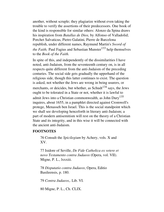another, without scruple; they plagiarize without even taking the trouble to verify the assertions of their predecessors. One book of the kind is responsible for similar others: Alonzo da Spina draws his inspiration from *Batallas de Dios,* by Alfonso of Valladolid; Porchet Salvaticus, Pietro Galatini, Pierre de Barcelona republish, under different names, Raymund Martin's *Sword of the Faith;* Paul Fagius and Sebastian Munster<sup>133</sup> help themselves to the *Book of the Faith.*

In spite of this, and independently of the dissimilarities I have noted, anti-Judaism, from the seventeenth century on, is in all respects quite different from the anti-Judaism of the preceding centuries. The social side gets gradually the upperhand of the religious side, though this latter continues to exist. The question is asked, not whether the Jews are wrong in being usurers, or merchants, or deicides, but whether, as Schudt<sup>134</sup> says, the Jews ought to be tolerated in a State or not, whether it is lawful to admit Jews into a Christian commonwealth, as John Dury<sup>135</sup> inquires, about 1655, in a pamphlet directed against Cromwell's protege, Menasseh ben Israel. This is the social standpoint which we shall see developing henceforth in literary anti-Judaism; a part of modern antisemitism will rest on the theory of a Christian State and its integrity, and in this wise it will be connected with the ancient anti-Judaism.

#### **FOOTNOTES**

76 Consult the *Spicilegium* by Achery, vols. X and XV.

77 Isidore of Seville, *De Fide Catholica ex vetere et novo Testamento contra Judaeos* (Opera, vol. VII). Migne, P. L., lxxxiii.

78 *Disputatio contra Judaeos*, Opera, Editio Basileensis, p. 180.

79 *Contra Judaeos*,. Lib. VI.

80 Migne, P. L., Ch. CLIX.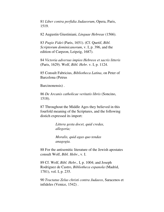81 *Liber contra perfidia Judaeorum*, Opera, Paris, 1519.

82 Augustin Giustiniani, *Linguae Hebreae* (1566).

83 *Pugio Fidei* (Paris, 1651). (Cf. Quetif, *Bibl. Scriptorum dominicanorum*, v. I, p. 396, and the edition of Carpzon, Leipzig, 1687).

84 *Victoria adversus impios Hebreos et sacris litteris* (Paris, 1629). Wolf, *Bibl. Hebr*. v. I, p. 1124.

85 Consult Fabricius, *Bibliotheca Latina*, on Peter of Barcelona (Petrus

Barcinonensis) .

86 *De Arcanis catholicae veritatis libris* (Soncino, 1518).

87 Throughout the Middle Ages they believed in this fourfold meaning of the Scriptures, and the following distich expressed its import:

> *Littera gesta docet, quid credas, allegoria;*

*Moralis, quid agas quo tendas anagogia.* 

88 For the antisemitic literature of the Jewish apostates consult Wolf, *Bibl. Hebr*., v. I.

89 Cf. Wolf, *Bibl. Hebr.,* I, p. 1004; and Joseph Rodriguez de Castro, *Bibliotheca espanola* (Madrid, 1781), vol. I, p. 235.

90 *Tractatus Zelus christi contra Judaeos*, Saracenos et infideles (Venice, 1542) .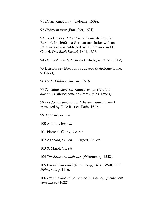91 *Hostis Judaeorum* (Cologne, 1509).

92 *Hebreomastyx* (Frankfort, 1601).

93 Juda Hallevy, *Liber Cosri*. Translated by John Buxtorf, Jr., 1660 -- a German translation with an introduction was published by H. Jolowicz and D. Cassel, *Das Buch Kuzari*, 1841, 1853.

94 *De Insolentia Judaeorum* (Patrologie latine v. CIV).

95 Epistola seu liber contra Judaeos (Patrologie latine, v. CXVI).

96 *Gesta Philippi Augusti*, 12-16.

97 *Tractatus adversus Judaeorum inveteratam duritiam* (Bibliotheque des Peres latins. Lyons).

98 *Les Jours caniculaires (Dierum canicularium)* translated by F. de Rosset (Paris, 1612).

99 Agobard, *loc. cit.*

100 Amolon, l*oc. cit.*

101 Pierre de Cluny, *loc. cit.*

102 Agobard, *loc. cit.* Rigord, *loc. cit.*

103 S. Maiol, *loc. cit.*

104 *The Jews and their lies* (Wittemberg, 1558).

105 F*ortalitium Fidei* (Nuremberg, 1494). Wolf, *Bibl. Hebr.*, v. I, p. 1116.

106 *L'lncredulite et mecreance du sortilege pleinement convaincue* (1622).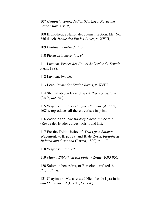107 *Centinela contra Judios* (Cf. Loeb, *Revue des Etudes Juives,* v. V).

108 Bibliotheque Nationale, Spanish section, Ms. No. 356 (Loeb, *Revue des Etudes Juives*, v. XVIII).

109 *Centinela contra Judios*.

110 Pierre de Lancre, *loc. cit.*

111 Lavocat, *Proces des Freres de l'ordre du Temple*, Paris, 1888.

112 Lavocat, l*oc. cit.*

113 Loeb, *Revue des Etudes Juives*, v. XVIII.

114 Shem-Tob ben Isaac Shaprut, *The Touchstone* (Loeb, *loc. cit*.).

115 Wagenseil in his *Tela ignea Satanae* (Altdorf, 1681), reproduces all these treatises in print.

116 Zadoc Kahn, *The Book of Joseph the Zealot* (Revue des Etudes Juives, vols. I and III).

117 For the Toldot Jesho, cf. *Tela ignea Satanae*, Wagenseil, v. II, p. 189, and B. de Rossi, *Biblotheca Judaica antichristiana* (Parma, 1800), p. 117.

118 Wagenseil, *loc. cit*.

119 *Magna Biblothica Rabbinica* (Rome, 1693-95).

120 Solomon ben Adret, of Barcelona, refuted the *Pugio Fidei*.

121 Chayim ibn Musa refuted Nicholas de Lyra in his *Shield and Sword* (Graetz, *loc. cit.*)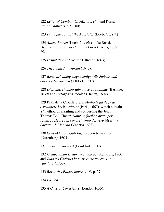122 *Letter of Combat* (Graetz, l*oc. cit*., and Rossi, *Bibloth. antichrist*, p. 100).

123 *Dialogue against the Apostates* (Loeb, *loc. cit*.)

124 *Alteca Boteca* (Loeb, *loc. cit*.) De Rossi, *Dizionario Storico degli autori Ebrei* (Parma, 1802), p. 89.

125 *Disputationes Selectae* (Utrecht, 1663).

126 *Theologia Judaeorum* (1647).

127 *Benachrichtung wegen einiger die Judenschaft engehenden Sachen* (Altdorf, 1709).

128 *Dictionn, chaldeo-talmadico-rabbinique* (Basiliae, 1639) and Synagogua Judaica (Hanau, 1604).

129 Pean de la Croullardiere, *Methode facile pour convaincre les heretiques* (Paris, 1667), which contains a "method of assailing and converting the Jews"; Thomas Bell, Hader, *Dottrina facile e breve per reduire l'Hebreo al conoscimento del vero Messia e Salvator del Mondo* (Venetia 1608).

130 Conrad Otton, *Gali Razia* (Secrets unveiled), (Nurenberg, 1605).

131 *Judaism Unveiled* (Frankfort, 1700).

132 *Compendium Historiae Judaicae* (Frankfort, 1700) and *Judaeas Christicida gravissime peccans et vapulans* (1700).

133 *Revue des Etudes juives,* v. V, p. 57.

134 *Loc. cit*.

135 *A Case of Conscience* (London 1655).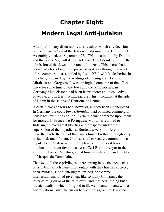# <span id="page-115-0"></span>**[Chapter Eight:](#page-115-0) [Modern Legal Anti-Judaism](#page-115-0)**

After preliminary discussions, as a result of which any decision on the emancipation of the Jews was adjourned, the Constituent Assembly voted, on September 27, 1791, on a motion by Duport, and thanks to Regnault de Saint-Jean-d'Angely's intervention, the admission of the Jews to the rank of citizens. This decree had been ready for a long time, prepared as it was through the work of the commission assembled by Louis XVI, with Malesherbes in the chair; prepared by the writings of Lessing and Dohm, of Mirabeau and Gregoire. It was the logical outcome of the efforts made for some time by the Jews and the philosophers; in Germany Mendelssohn had been its promoter and most active advocate, and in Berlin Mirabeau drew his inspiration at the side of Dohm in the salons of Henriette de Lemos.

A certain class of Jews had, however, already been emancipated. In Germany the court Jews *(Hofjuden)* had obtained commercial privileges; even titles of nobility were being conferred upon them for money. In France the Portuguese Marranos returned to Judaism, enjoyed great liberties and prospered under the supervision of their syndics at Bordeaux, very indifferent nevertheless to the fate of their unfortunate brethren, though very influential: one of them, Gradis, failed to secure a nomination as deputy to the States-General. In Alsace even, several Jews obtained important favours, as, *e.g.,* Cerf Berr, purveyor to the armies of Louis XV, who granted him naturalization and the title of Marquis de Tombelaine.

Thanks to all these privileges, there sprang into existence a class of rich Jews which came into contact with the christian society; open-minded, subtle, intelligent, refined, of extreme intellectualism, it had given up, like so many Christians, the letter of religion or of the faith even, and retained nothing but a mystic idealism which, for good or ill, went hand in hand with a liberal rationalism. The fusion between this group of Jews and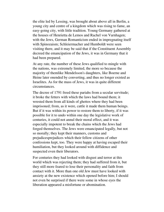the elite led by Lessing, was brought about above all in Berlin, a young city and centre of a kingdom which was rising to fame, an easy-going city, with little tradition. Young Germany gathered at the houses of Henrietta de Lemos and Rachel von Varnhagen; with the Jews, German Romanticism ended in impregnating itself with Spinozaism; Schleiermacher and Humboldt were seen visiting there, and it may be said that if the Constituent Assembly decreed the emancipation of the Jews, it was in Germany that it had been prepared.

At any rate, the number of these Jews qualified to mingle with the nations, was extremely limited, the more so because the majority of themlike Mendelsson's daughters, like Boerne and Heine later onended by converting, and thus no longer existed as Israelites. As for the mass of Jews, it was in quite different circumstances.

The decree of 1791 freed these pariahs from a secular servitude; it broke the fetters with which the laws had bound them; it wrested them from all kinds of ghettos where they had been imprisoned; from, as it were, cattle it made them human beings. But if it was within its power to restore them to liberty, if it was possible for it to undo within one day the legislative work of centuries, it could not annul their moral effect, and it was especially impotent to break the chains which the Jews had forged themselves. The Jews were emancipated legally, but not so morally; they kept their manners, customs and prejudicesprejudices which their fellow citizens of other confessions kept, too. They were happy at having escaped their humiliation, but they looked around with diffidence and suspected even their liberators.

For centuries they had looked with disgust and terror at this world which was rejecting them; they had suffered from it, but they still more feared to lose their personality and faith from contact with it. More than one old Jew must have looked with anxiety at the new existence which opened before him; I should not even be surprised if there were some in whose eyes the liberation appeared a misfortune or abomination.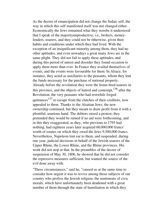As the decree of emancipation did not change the Judaic self, the way in which this self manifested itself was not changed either. Economically the Jews remained what they werebe it understood that I speak of the majorityunproductive, i.e., brokers, moneylenders, usurers, and they could not be otherwise, given their habits and conditions under which they had lived. With the exception of an insignificant minority among them, they had no other aptitudes, and even nowadays a great many Jews are in the same plight. They did not fail to apply these aptitudes, and during this period of unrest and disorder they found occasion to apply them more than ever. In France they availed themselves of events, and the events were favourable for them. In Alsace, for instance, they acted as auxiliaries to the peasants, whom they lent the funds necessary for the purchase of national property. Already before the revolution they were the home-bred usurers in this province, and the objects of hatred and contempt,  $136$  after the Revolution, the very peasants who had erstwhile forged quittances<sup>137</sup> to escape from the clutches of their creditors, now appealed to them. Thanks to the Alsatian Jews, the new ownership continued, but they meant to draw profit from it with a plentiful, usurious hand. The debtors raised a protest; they pretended they would be ruined if no aid were forthcoming, and in this they exaggerated, as they, who previous to 1795 had nothing, had eighteen years later acquired 60,000,000 francs' worth of estates on which they owed the Jews 9,500,000 francs. Nevertheless, Napoleon lent ear to them, and suspended, during one year, judicial decisions in behalf of the Jewish usurers of the Upper Rhine, the Lower Rhine, and the Rhine provinces. His work did not stop at that. In the preambles of the decree of suspension of May 30, 1806, he showed that he did not consider the repressive measures sufficient, but wanted the source of the evil done away with.

"These circumstances," said he, "caused us at the same time to consider how urgent it was to revive among those subjects of our country who profess the Jewish religion, the sentiments of civic morals, which have unfortunately been deadened with a great number of them through the state of humiliation in which they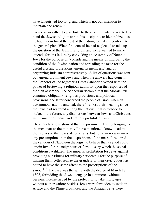have languished too long, and which is not our intention to maintain and renew."

To revive or rather to give birth to these sentiments, he wanted to bend the Jewish religion to suit his discipline, to hierarchize it as he had hierarchized the rest of the nation, to make it conform to the general plan. When first consul he had neglected to take up the question of the Jewish religion, and so he wanted to make amends for this failure by convoking an Assembly of Notable Jews for the purpose of "considering the means of improving the condition of the Jewish nation and spreading the taste for the useful arts and professions among its members," and of organizing Judaism administratively. A list of questions was sent out among prominent Jews and when the answers had come in, the Emperor called together a Great Sanhedrin vested with the power of bestowing a religious authority upon the responses of the first assembly. The Sanhedrin declared that the Mosaic law contained obligatory religious provisions, and political provisions; the latter concerned the people of Israel when an autonomous nation, and had, therefore, lost their meaning since the Jews had scattered among the nations; it also forbade to make, in the future, any distinctions between Jews and Christians in the matter of loans, and entirely prohibited usury.

These declarations showed that the prominent Jews belonging for the most part to the minority I have mentioned, knew to adapt themselves to the new state of affairs, but could in no way make any presumption upon the dispositions of the mass. It required the candour of Napoleon the legist to believe that a synod could enjoin love for the neighbour, or forbid usury which the social conditions facilitated. The imperial prohibition for Jews against providing substitutes for military servicethis for the purpose of making them better realize the grandeur of their civic dutieswas bound to have the same effect as the prescriptions of the synod.<sup>138</sup> The case was the same with the decree of March 17, 1808, forbidding the Jews to engage in commerce without a personal license issued by the prefect, or to take mortgages without authorization; besides, Jews were forbidden to settle in Alsace and the Rhine provinces, and the Alsatian Jews were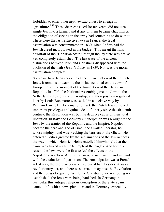forbidden to enter other *departments* unless to engage in agriculture.<sup>139</sup> These decrees issued for ten years, did not turn a single Jew into a farmer, and if any of them became chauvinists, the obligation of serving in the army had something to do with it. These were the last restrictive laws in France; the legal assimilation was consummated in 1830, when Lafitte had the Jewish creed incorporated in the budget. This meant the final downfall of the "Christian State," though the lay state was not, as yet, completely established. The last trace of the ancient distinctions between Jews and Christians disappeared with the abolition of the oath *More Judaico,* in 1839. Nor was the moral assimilation complete.

So far we have been speaking of the emancipation of the French Jews, it remains to examine the influence it had on the Jews of Europe. From the moment of the foundation of the Batavian Republic, in 1796, the National Assembly gave the Jews in the Netherlands the rights of citizenship, and their position regulated later by Louis Bonaparte was settled in a decisive way by William I, in 1815. As a matter of fact, the Dutch Jews enjoyed important privileges and quite a deal of liberty since the sixteenth century: the Revolution was but the decisive cause of their total liberation. In Italy and Germany emancipation was brought to the Jews by the armies of the Republic and the Empire. Napoleon became the hero and god of Israel, the awaited liberator, he whose mighty hand was breaking the barriers of the Ghetto. He entered all cities greeted by the acclamations of the Jewswitness the way in which Heinrich Heine extolled himwho felt that their cause was linked with the triumph of the eagles. And for this reason the Jews were the first to feel the effects of the Napoleonic reaction. A return to anti-Judaism went hand in hand with the exaltation of patriotism. The emancipation was a French act; it was, therefore, necessary to prove it bad, besides, it was a revolutionary act, and there was a reaction against the Revolution and the ideas of equality. While the Christian State was being reestablished, the Jews were being banished. In Germany in particular this antique religious conception of the State again came to life with a new splendour, and in Germany, especially,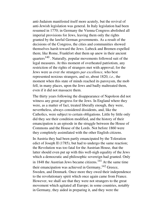anti-Judaism manifested itself more acutely, but the revival of anti-Jewish legislation was general. In Italy legislation had been resumed in 1770; in Germany the Vienna Congress abolished all imperial provisions for Jews, leaving them only the rights granted by the lawful German governments. As a result of the decisions of the Congress, the cities and communities showed themselves harsh toward the Jews. Lubeck and Bremen expelled them; like Rome, Frankfort shut them up anew in their ancient quarters<sup>140</sup>. Naturally, popular movements followed suit of the legal measures. At this moment of overheated patriotism, any restriction of the rights of strangers met with approval; for the Jews were as ever *the* strangers *par excellence,* who best represented noxious strangers, and so, about 1820, *i.e.,* the moment when this state of minds reached its paroxysm, the mob fell, in many places, upon the Jews and badly maltreated them, even if it did not massacre them.

The thirty years following the disappearance of Napoleon did not witness any great progress for the Jews. In England where they were, as a matter of fact, treated liberally enough, they were, nevertheless, always considered dissidents, and, like the Catholics, were subject to certain obligations. Little by little only did they see their condition modified, and the history of their emancipation is an episode in the struggle between the House of Commons and the House of the Lords. Not before 1860 were they completely assimilated with the other English citizens.

In Austria they had been partly emancipated by the Toleration edict of Joseph II (1785), but had to undergo the same reaction; the Revolution was too fatal for the Austrian House, that the latter should even put up with this well-nigh equality of the Jews which a democratic and philosophic sovereign had granted. Only in 1848 the Austrian Jews became citizens.<sup>141</sup> At the same time their emancipation was achieved in Germany,  $142$  Greece, Sweden, and Denmark. Once more they owed their independence to the revolutionary spirit which once again came from France. However, we shall see that they were not strangers to the great movement which agitated all Europe; in some countries, notably in Germany, they aided in preparing it, and they were the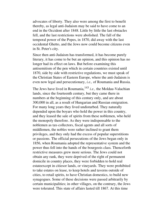advocates of liberty. They also were among the first to benefit thereby, as legal anti-Judaism may be said to have come to an end in the Occident after 1848. Little by little the last obstacles fell, and the last restrictions were abolished. The fall of the temporal power of the Popes, in 1870, did away with the last occidental Ghetto, and the Jews now could become citizens even in St. Peter's city.

Since then anti-Judaism has transformed, it has become purely literary, it has come to be but an opinion, and this opinion has no longer had its effect on laws. But before examining this antisemitism of the pen which in certain countries existed until 1870, side by side with restrictive regulations, we must speak of the Christian States of Eastern Europe, where the anti-Judaism is even now legal and persecutionary, *i.e.,* of Roumania and Russia.

The Jews have lived in Roumania,<sup>143</sup> *i.e.*, the Moldau-Valachian lands, since the fourteenth century, but they came there in numbers at the beginning of this century only, and are about 300,000 in all, as a result of Hungarian and Russian emigration. For many long years they lived undisturbed. They naturally depended upon the boyars who hold the power in this country, and they leased the sale of spirits from these noblemen, who held the monopoly therefore. As they were indispensable to the noblemen as tax-collectors, fiscal agents and all sorts of middlemen, the nobles were rather inclined to grant them privileges, and they only had the excess of popular superstitions or passions. The official persecutions of the Jews began only in 1856, when Roumania adopted the representative system and the power thus fell into the hands of the bourgeois class. Thenceforth restrictive measures grew more serious. The Jews could not obtain any rank, they were deprived of the right of permanent domicile in country places, they were forbidden to hold real estateexcept in citiesor lands, or vineyards. They were prohibited to take estates on lease, to keep hotels and taverns outside of cities, to retail spirits, to have Christian domestics, to build new synagogues. Some of these decisions were passed arbitrarily by certain municipalities; in other villages, on the contrary, the Jews were tolerated. This state of affairs lasted till 1867. At this time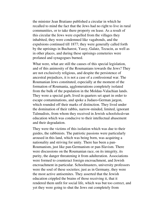the minister Jean Bratiano published a circular in which he recalled to mind the fact that the Jews had no right to live in rural communities, or to take there property on lease. As a result of this circular the Jews were expelled from the villages they inhabited, they were condemned like vagabonds, and the expulsions continued till 1877; they were generally called forth by the uprisings in Bucharest, Yassy, Galatz, Tecucin, as well as in other places, and during these uprisings cemeteries were profaned and synagogues burned.

What were, what are still the causes of this special legislation, and of this animosity of the Roumanians towards the Jews? They are not exclusively religious, and despite the persistence of ancestral prejudices, it is not a case of a confessional war. The Roumanian Jews constituted, especially at the moment of the formation of Roumania, agglomerations completely isolated from the bulk of the population in the Moldau-Valachian lands. They wore a special garb, lived in quarters set apart in order to escape contaminations, and spoke a Judaeo-German jargon, which rounded off their marks of distinction. They lived under the domination of their rabbis, narrow-minded, limited, ignorant Talmudists, from whom they received in Jewish schools*heder*an education which was conducive to their intellectual abasement and their degradation.

They were the victims of this isolation which was due to their guides, the rabbinists. The patriotic passions were particularly aroused in this land, which was being born, was acquiring a nationality and striving for unity. There has been a pan-Roumanism, just like pan-Germanism or pan-Slavism. There were discussions on the Roumanian race, on its integrity, its purity, the danger threatening it from adulteration. Associations were formed to counteract foreign encroachment, and Jewish encroachment in particular. Schoolmasters, university professors were the soul of these societies; just as in Germany, they were the most active antisemites. They asserted that the Jewish education crippled the brains of those receiving it, that it rendered them unfit for social life, which was but too correct, and yet they were going to shut the Jews out completely from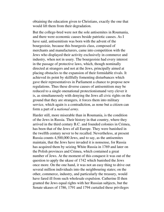obtaining the education given to Christians, exactly the one that would lift them from their degradation.

But the college-bred were not the sole antisemites in Roumania, and there were economic causes beside patriotic causes. As I have said, antisemitism was born with the advent of the bourgeoisie, because this bourgeois class, composed of merchants and manufacturers, came into competition with the Jews who displayed their activity exclusively in commerce and industry, when not in usury. The bourgeoisie had every interest in the passage of protective laws, which, though nominally directed at strangers and not at the Jews, principally aimed at placing obstacles to the expansion of their formidable rivals. It achieved its point by skillfully fomenting disturbances which gave their representatives in Parliament a chance to propose new regulations. Thus these diverse causes of antisemitism may be reduced to a single onenational protectionismand very clever it is, as simultaneously with denying the Jews all civic rights on the ground that they are strangers, it forces them into military service, which again is a contradiction, as none but a citizen can form a part of a *national army.*

Harder still, more miserable than in Roumania, is the condition of the Jews in Russia. Their history in that country, where they arrived in the third century B.C. and founded colonies in Crimea, has been that of the Jews of all Europe. They were banished in the twelfth century never to be recalled. Nevertheless, at present Russia counts 4,500,000 Jews, and to say, as the antisemites maintain, that the Jews have invaded it is nonsense, for Russia has acquired them by seizing White Russia in 1769 and later on the Polish provinces and Crimea, which contained a great number of Jews. At the moment of this conquest it was out of the question to apply the ukase of 1742 which banished the Jews once more. On the one hand, it was not an easy thing to drive out several million individuals into the neighbouring states; on the other, commerce, industry, and particularly the treasury, would have fared ill from such wholesale expulsion. Catherine II then granted the Jews equal rights with her Russian subjects, but the Senate ukases of 1786, 1791 and 1794 curtailed these privileges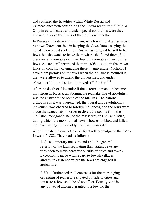and confined the Israelites within White Russia and Crimeathenceforth constituting the *Jewish territoryand Poland.* Only in certain cases and under special conditions were they allowed to leave the limits of this territorial Ghetto.

In Russia all modern antisemitism, which is official antisemitism *par excellence,* consists in keeping the Jews from escaping the Senate ukases just spoken of. Russia has resigned herself to her Jews, but she wants to leave them where she found them. Still there were favourable or rather less unfavourable times for the Jews. Alexander I permitted them in 1808 to settle in the crown lands on condition of engaging there in agriculture; Nicholas I gave them permission to travel when their business required it, they were allowed to attend the universities; and under Alexander II their position improved still further.<sup>144</sup>

After the death of Alexander II the autocratic reaction became monstrous in Russia: an abominable reawakening of absolutism was the answer to the bomb of the nihilists. The national orthodox spirit was overexcited, the liberal and revolutionary movement was charged to foreign influences, and the Jews were made the scapegoats, in order to divert the people from the nihilistic propaganda; hence the massacres of 1881 and 1882, during which the mob burned Jewish houses, robbed and killed the Jews, saying: "Our daddy, the Tsar, wants it."

After these disturbances General Ignatyeff promulgated the "May Laws" of 1882. They read as follows:

1. As a temporary measure and until the general revision of the laws regulating their status, Jews are forbidden to settle hereafter outside of cities and towns. Exception is made with regard to Jewish villages already in existence where the Jews are engaged in agriculture.

2. Until further order all contracts for the mortgaging or renting of real estate situated outside of cities and towns to a Jew, shall be of no effect. Equally void is any power of attorney granted to a Jew for the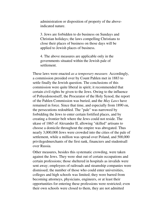administration or disposition of property of the aboveindicated nature.

3. Jews are forbidden to do business on Sundays and Christian holidays; the laws compelling Christians to close their places of business on those days will be applied to Jewish places of business.

4. The above measures are applicable only in the governments situated within the Jewish pale of settlement.

These laws were enacted *as a temporary measure.* Accordingly, a commission presided over by Count Pahlen met in 1883 to settle finally the Jewish question. The conclusions of this commission were quite liberal in spirit; it recommended that certain civil rights be given to the Jews. Owing to the influence of Pobyedonostseff, the Procurator of the Holy Synod, the report of the Pahlen Commission was buried, and the *May Laws* have remained in force. Since that time, and especially from 1890 on, the persecutions redoubled. The "pale" was narrowed by forbidding the Jews to enter certain fortified places, and by creating a frontier belt where the Jews could not reside. The ukase of 1865 of Alexander II, allowing "skilled" artisans to choose a domicile throughout the empire was abrogated. Thus nearly 3,000,000 Jews were crowded into the cities of the pale of settlement, while a million was spread over Poland, and 500,000 privilegedmerchants of the first rank, financiers and studentsall over Russia.

Other measures, besides this systematic crowding, were taken against the Jews. They were shut out of certain occupations and certain professions; those sheltered in hospitals as invalids were sent away; employees of railroads and steamship companies were dismissed; the number of those who could enter universities, colleges and high schools was limited; they were barred from becoming attorneys, physicians, engineers, or at least their opportunities for entering these professions were restricted; even their own schools were closed to them, they are not admitted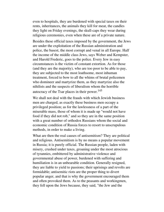even to hospitals, they are burdened with special taxes on their rents, inheritances, the animals they kill for meat, the candles they light on Friday evenings, the skull-caps they wear during religious ceremonies, even when these are of a private nature.

Besides these official taxes imposed by the government, the Jews are under the exploitation of the Russian administration and police, the basest, the most corrupt and venal in all Europe. Half the income of the middle class Jews, says Weber and Kempster, and Harold Frederic, goes to the police. Every Jew in easy circumstances is the victim of constant extortion. As for those (and they are the majority), who are too poor to be able to pay, they are subjected to the most loathsome, most inhuman treatment, forced to bow to all the whims of brutal policemen who domineer and martyrize them, as they martyrize also the nihilists and the suspects of liberalism whom the horrible autocracy of the Tsar places in their power.  $145$ 

We shall not deal with the frauds with which Jewish business men are charged, as exactly these business men occupy a privileged position; as for the lawlessness of a part of the miserable mass, those of whom it is made up "would not have food if they did not rob," and so they are in the same position with a great number of orthodox Russians whom the social and economic condition of Russia forces to resort to unscrupulous methods, in order to make a living.

What are then the real causes of antisemitism? They are political and religious. Antisemitism is by no means a popular movement in Russia; it is purely official. The Russian people, laden with misery, crushed under taxes, groaning under the most atrocious of tyrannies, embittered by administrative violence and governmental abuse of power, burdened with suffering and humiliation is in an unbearable condition. Generally resigned, they are liable to yield to passions; their uprisings and revolts are formidable; antisemitic riots are the proper thing to divert popular anger, and that is why the government encouraged them and often provoked them. As to the peasants and workingmen, they fell upon the Jews because, they said, "the Jew and the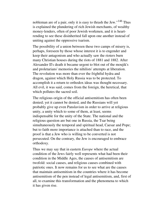nobleman are of a pair, only it is easy to thrash the Jew."<sup>146</sup> Thus is explained the plundering of rich Jewish merchants, of wealthy money-lenders, often of poor Jewish workmen, and it is heartrending to see these disinherited fall upon one another instead of uniting against the oppressive tsarism.

The possibility of a union between these two camps of misery is, perhaps, foreseen by those whose interest it is to engender and keep their antagonism and who actually saw the rioters burn many Christian houses during the riots of 1881 and 1882. After Alexander II's death it became urgent to blot out of the moujik's and proletarians' memories the nihilists' attempts at liberation. The revolution was more than ever the frightful hydra and dragon, against which Holy Russia was to be protected. To accomplish it a return to orthodox ideas was thought necessary. All evil, it was said, comes from the foreign, the heretical, that which pollutes the sacred soil.

The religious origin of the official antisemitism has often been denied; yet it cannot be denied, and the Russians will yet probably give up even Panslavism in order to arrive at religious unity, a unity which to some of them, at least, seems indispensable for the unity of the State. The national and the religious question are but one in Russia, the Tsar being simultaneously the temporal and spiritual head, Caesar and Pope; but to faith more importance is attached than to race, and the proof is that a Jew who is willing to be converted is not persecuted. On the contrary, the Jew is encouraged to embrace orthodoxy.

Thus we may say that in eastern *Europe* where the actual condition of the Jews fairly well represents what had been their condition in the Middle Ages, the causes of antisemitism are twofold: social causes, and religious causes combined with patriotic ones. It now remains for us to see what are the causes that maintain antisemitism in the countries where it has become antisemitism of the pen instead of legal antisemitism, and, first of all, to examine this transformation and the phenomena to which it has given rise.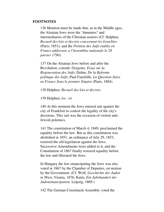### FOOTNOTES

136 Mention must be made that, as in the Middle ages, the Alsatian Jews were the "dummies" and intermediaries of the Christian usurers (Cf. Halphen, *Recueil des lois et decrets concernant les Israelites* (Paris, 1851), and the *Petition des Juifs etablis en France addressee a l'Assemblee nationale le 28 janvier 1790*).

137 On the Alsatian Jews before and after the Revolution, consult: Gregoire, *Essai sur la Regeneration des Juifs*; Dohm, *De la Reforme politique des Juifs*; Paul Fauchille, *La Question Juive en France Sous le premier Empire* (Paris, 1884).

138 Halphen, *Recueil des lois et decrets*.

139 Halphen, *loc. cit*.

140 At this moment the Jews entered suit against the city of Frankfort to contest the legality of the city's decisions. This suit was the occasion of violent anti-Jewish polemics.

141 The constitution of March 4, 1849, proclaimed the equality before the law. But as this constitution was abolished in 1851, an ordinance of July 29, 1853, restored the old legislation against the Jews. Successive Amendments were added to it, and the Constitution of 1867 finally restored equality before the law and liberated the Jews.

In Hungary the law emancipating the Jews was also voted in 1867 by the Chamber of Deputies, on motion by the Government. (Cf. Wolf, *Geschichte der Juden in Wien*, Vienna, 1876; Kaim, *Ein Jahrhundert der Judenemancipation*. Leipzig, 1869.)

142 The German Constituent Assembly voted the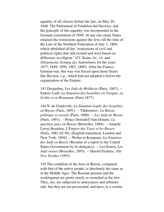equality of all citizens before the law, on May 20, 1848. The Parliament of Frankfort did likewise, and the principle of this equality was incorporated in the German constitution of 1849. At any rate many States retained the restrictions against the Jews till the time of the Law of the Northern Federation of July 3, 1869, which abolished all the "restrictions of civil and political rights that still existed and were based on difference in religion." (Cf. Kaim, *loc. cit.* and *Allegemeine Zeitung des Judenthums* for the years 1837, 1849, 1856, 1867, 1869). After the Franco-German war, this way was forced upon those States like Bavaria, e.g., which had not adopted it before the organization of the Empire.

143 Desjardins, *Les Juifs de Moldavie* (Paris, 1867). Isidore Loeb, *La Situation des Israelites en Turquie, en Serbie et en Roumanie* (Paris 1877).

144 N. de Gradovski, *La Situation legale des Israelites en Russie* (Paris, 1891). Tikhomirov, *La Russie politique et sociale* (Paris, 1888). *Les Juifs de Russie* (Paris, 1891). -- Prince Demidoff-San-Donato, *La question juive en Russie* (Bruxelles, 1884). -- Anatole Leroy-Beaulieu, *L'Empire des Tzars et les Russes*  $(Paris, 1881-82-89)$ . [English translation, London and New York, 1894]. Weber et Kempster, *La Situation des Juifs en Russie* (Resume of a report to the United States Government by its delegates). Leo Errera, *Les Juifs russes* (Bruxelles, 1893). -- Harold Frederic, *The New Exodus* (1892).

145 The condition of the Jews in Russia, compared with that of the native people, is absolutely the same as in the Middle Ages. The Russian peasant and the workingman are pretty nearly as wretched as the Jew. They, too, are subjected to annoyances and arbitrary rule, but they are not persecuted, and have, to a certain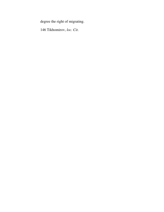degree the right of migrating.

146 Tikhomirov, *loc. Cit*.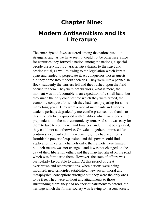## <span id="page-131-0"></span>**[Chapter Nine:](#page-131-0)**

### **[Modern Antisemitism and its](#page-131-0) [Literature](#page-131-0)**

The emancipated Jews scattered among the nations just like strangers, and, as we have seen, it could not be otherwise, since for centuries they formed a nation among the nations, a special people preserving its characteristics thanks to the strict and precise ritual, as well as owing to the legislation which kept it apart and tended to perpetuate it. As conquerors, not as guests did they come into modern societies. They were like a penned-in flock; suddenly the barriers fell and they rushed upon the field opened to them. They were not warriors, what is more, the moment was not favourable to an expedition of a small band, but they made the only conquest for which they were armed, the economic conquest for which they had been preparing for some many long years. They were a race of merchants and moneydealers, perhaps degraded by mercantile practice, but, thanks to this very practice, equipped with qualities which were becoming preponderant in the new economic system. And so it was easy for them to take to commerce and finances, and, it must be repeated, they could not act otherwise. Crowded together, oppressed for centuries, ever curbed in their soarings, they had acquired a formidable power of expansion, and this power could find application in certain channels only; their efforts were limited, but their nature was not changed, and it was not changed on the day of their liberation either, and they marched ahead on the road which was familiar to them. However, the state of affairs was particularly favourable to them. At this period of great overthrows and reconstructions, when nations were being modified, new principles established, new social, moral and metaphysical conceptions wrought out, they were the only ones to be free. They were without any attachments to those surrounding them; they had no ancient patrimony to defend, the heritage which the former society was leaving to nascent society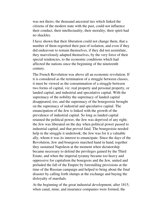was not theirs; the thousand ancestral ties which linked the citizens of the modern state with the past, could not influence their conduct, their intellectuality, their morality; their spirit had no shackles.

I have shown that their liberation could not change them, that a number of them regretted their past of isolation, and even if they did endeavour to remain themselves, if they did not assimilate, they marvelously adapted themselves, by the very force of their special tendencies, to the economic conditions which had affected the nations since the beginning of the nineteenth century.

The French Revolution was above all an economic revolution. If it is considered as the termination of a struggle between classes, it must be viewed as the consummation of a struggle between two forms of capital, viz: real property and personal property, or landed capital, and industrial and speculative capital. With the supremacy of the nobility the supremacy of landed capital disappeared, too, and the supremacy of the bourgeoisie brought on the supremacy of industrial and speculative capital. The emancipation of the Jew is linked with the growth of the prevalence of industrial capital. So long as landed capital retained the political power, the Jew was deprived of any right; the Jew was liberated on the day when political power passed to industrial capital, and that proved fatal. The bourgeoisie needed help in the struggle it undertook; the Jew was for it a valuable ally, whom it was its interest to emancipate. Since the days of the Revolution, Jew and bourgeois marched hand in hand, together they sustained Napoleon at the moment when dictatorship became necessary to defend the privileges gained by the Third Estate, and when the imperial tyranny became too heavy and oppressive for capitalism the bourgeois and the Jew, united and preluded the fall of the Empire by forestalling provisions at the time of the Russian campaign and helped to bring about the final disaster by calling forth slumps at the exchange and buying the disloyalty of marshals.

At the beginning of the great industrial development, after 1815, when canal, mine, and insurance companies were formed, the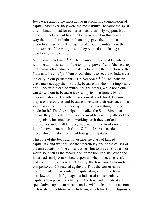Jews were among the most active in promoting combination of capital. Moreover, they were the most skillful, because the spirit of combination had for centuries been their only support. But they were not content to aid in bringing about in this practical way the triumph of industrialism, they gave their aid in a theoretical way, also. They gathered around Saint-Simon, the philosopher of the bourgeoisie; they worked at diffusing and developing his teaching.

Saint-Simon had said:  $147$  "The manufacturers must be entrusted with the administration of the temporal power," and "the last step that remains for industry to make is to obtain the direction of the State and the chief problem of our time is to secure to industry a majority in our parliaments." He had added: $148$  "The industrial class must occupy the first rank, because it is the most important of all; because it can do without all the others, while none other can do without it; because it exists by its own forces, by its personal labours. The other classes must work for it, because they are its creatures and because it sustains their existence; in a word, as everything is made by industry, everything must be made for it." The Jews helped to realize the Saint-Simonian dream; they proved themselves the most trustworthy allies of the bourgeoisie, inasmuch as in working for it they worked for themselves and, in all Europe, they were in the front rank of the liberal movement, which from 1815 till 1848 succeeded in establishing the domination of bourgeois capitalism.

This role of the Jews did not escape the class of landed capitalists, and we shall see that therein lay one of the causes of the anti-Judaism of the conservatives, but to the Jews it was not worth so much as the recognition of the bourgeoisie. When the latter had firmly established its power, when it became restful and secure, it discovered that its ally, the Jew, was its formidable competitor, and it reacted against it. Thus the conservative parties, made up, as a rule, of capitalist agriculturers, became anti-Jewish in their fight against industrial and speculative capitalism, represented chiefly by the Jew, and industrial and speculative capitalism became anti-Jewish in its turn, on account of Jewish competition. Anti-Judaism, which had been religious at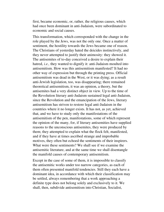first, became economic, or, rather, the religious causes, which had once been dominant in anti-Judaism, were subordinated to economic and social causes.

This transformation, which corresponded with the change in the role played by the Jews, was not the only one. Once a matter of sentiment, the hostility towards the Jews became one of reason. The Christians of yesterday hated the deicides instinctively, and they never attempted to justify their animosity: they showed it. The antisemites of to-day conceived a desire to explain their hatred, *i.e.*, they wanted to dignify it: anti-Judaism moulted into antisemitism. How was this antisemitism manifested? It had no other way of expression but through the printing press. Official antisemitism was dead in the West, or it was dying; as a result anti-Jewish legislation, too, was disappearing; there remained theoretical antisemitism, it was an opinion, a theory, but the antisemites had a very distinct object in view. Up to the time of the Revolution literary anti-Judaism sustained legal anti-Judaism, since the Revolution and the emancipation of the Jews, literary antisemitism has striven to restore legal anti-Judaism in the countries where it no longer exists. It has not, as yet, achieved that, and we have to study only the manifestations of the antisemitism of the pen, manifestations, some of which represent the opinion of the many, for, if literary antisemities have supplied reasons to the unconscious antisemites, they were produced by them; they attempted to explain what the flock felt, manifested, and if they have at times ascribed strange and improbable motives, they often but echoed the sentiments of their inspirers. What were these sentiments? We shall see if we examine the antisemitic literature, and at the same time we shall disentangle the manifold causes of contemporary antisemitism.

Except in the case of some of them, it is impossible to classify the antisemitic works under too narrow categories, as each of them often presented manifold tendencies. Still they each have a dominant idea, in accordance with which their classification may be settled, always remembering that a work approaching a definite type does not belong solely and exclusively to it. We shall, then, subdivide antisemitism into Christian, Socialist,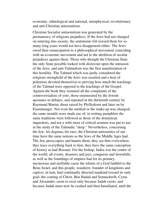economic, ethnological and national, metaphysical, revolutionary and anti-Christian antisemitism.

Christian Socialist antisemitism was generated by the permanency of religious prejudices. If the Jews had not changed on entering into society, the sentiments felt toward them for so many long years would not have disappeared either. The Jews owed their emancipation to a philosophical movement coinciding with an economic movement and not to the abolition of secular prejudices against them. Those who thought the Christian State the only State possible looked with disfavour upon the intrusion of the Jews, and anti-Talmudism was the first manifestation of this hostility. The Talmud which was justly considered the religious stronghold of the Jews was assailed and a host of polemists devoted themselves to proving how much the teachings of the Talmud were opposed to the teachings of the Gospel. Against the book they resumed all the complaints of the controversialists of yore, those enumerated by the Jewish apostates in debates, and repeated in the thirteenth century by Raymund Martin, those raised by Pfefferkorn and later on by Eisenmenger. Not even the method or the make-up was changed; the same moulds were made use of; in writing pamphlets the same traditions were followed as those of the dominican inquisitors, and not a whit more of critical acumen was put to use in the study of the Talmudic "deep." Nevertheless, concerning the Jew, his dogmas, his race, the Christian antisemites of our time have the same notions as the Jews of the Middle Ages had. The Jew preoccupies and haunts them, they see him everywhere, they trace everything back to him, they have the same conception of history as had Bossuet. For the bishop, Judea was the centre of the world; all events, disasters and joys, conquests and downfalls, as well as the foundings of empires had for its primary, mysterious and ineffable cause the whims of a God faithful to the Bene-Israel, and this people, wanderer, founder of kingdoms and captive, in turn, had continually directed mankind toward its only goal: the coming of Christ. Ben Hadad and Sennacherib, Cyrus and Alexander, seem to exist only because Judah exists, and because Judah must now be exalted and then humiliated, until the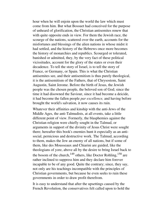hour when he will enjoin upon the world the law which must come from him. But what Bossuet had conceived for the purpose of unheard of glorification, the Christian antisemites renew that with quite opposite ends in view. For them the Jewish race, the scourge of the nations, scattered over the earth, accounts for the misfortunes and blessings of the alien nations in whose midst it had settled, and the history of the Hebrews once more becomes the history of monarchies and republics. Scourged or tolerated, banished or admitted, they, by the very fact of these political vicissitudes, account for the glory of the states or even their decadence. To tell the story of Israel, is to tell the story of France, or Germany, or Spain. This is what the Christian antisemites see, and their antisemitism is thus purely theological, it is the antisemitism of the Fathers, that of Chrysostom, Saint Augustin, Saint Jerome. Before the birth of Jesus, the Jewish people was the chosen people, the beloved son of God; since the time it had disowned the Saviour, since it had become a deicide, it had become the fallen people *par excellence,* and having before brought the world's salvation, it now causes its ruin.

Whatever their affinities and kinship with the anti-Jews of the Middle Ages, the anti-Talmudists, at all events, take a little different point of view. Formerly, the blasphemies against the Christian religion were chiefly sought in the Talmud, or arguments in support of the divinity of Jesus Christ were sought there; hereafter this book's enemies hunt it especially as an antisocial, pernicious and destructive work. The Talmud, according to them, makes the Jew an enemy of all nations, but if some of them, like des Mousseaux and Chiarini are guided, like the theologians of yore, above all by the desire to bring Israel back to the bosom of the church,<sup>149</sup> others, like Doctor Rohling,<sup>150</sup> are rather inclined to suppress him and they declare him forever incapable to be of any good. Quite the contrary; since, they say, not only are his teachings incompatible with the principles of Christian governments, but because he even seeks to ruin these governments in order to draw profit therefrom.

It is easy to understand that after the upsettings caused by the French Revolution, the conservatives felt called upon to hold the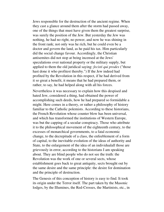Jews responsible for the destruction of the ancient regime. When they cast a glance around them after the storm had passed away, one of the things that must have given them the greatest surprise, was surely the position of the Jew. But yesterday the Jew was nothing, he had no right, no power, and now he was shining in the front rank; not only was he rich, but he could even be a doctor and govern the land, as he paid his tax. Him particularly did the social change favour. Accordingly, the Christian antisemites did not stop at being incensed at the Jews' speculations over national property or the military supply, but applied to them the old juridical saying: *fecisti qui prodes* ("those hast done it who profitest thereby.") If the Jew indeed had profited by the Revolution in this respect, if he had derived from it so great a benefit, it means that he had prepared them, or rather, to say, he had helped along with all his forces.

Nevertheless it was necessary to explain how this despised and hated Jew, considered a thing, had obtained the power of accomplishing such deeds, how he had prepared so formidable a might. Here comes in a theory, or rather a philosophy of history familiar to the Catholic polemists. According to these historians, the French Revolution whose counter blow has been universal, and which has transformed the institutions of Western Europe, was but the capping of a secular conspiracy. Those who attribute it to the philosophical movement of the eighteenth century, to the excesses of monarchical governments, to a fatal economic change, to the decrepitude of a class, the enfeeblement of a form of capital, to the inevitable evolution of the ideas of authority and State, to the enlargement of the idea of an individualall those are grievously in error, according to the historians I am speaking about. They are blind people who do not see the truth: the Revolution was the work of one or several sects, whose establishment goes back to great antiquity, sects brought out by the same desire and the same principle: the desire for domination and the principle of destruction.

The Genesis of this conception of history is easy to find. It took its origin under the Terror itself. The part taken by the Masonic lodges, by the Illumines, the Red-Crosses, the Martinists, etc., in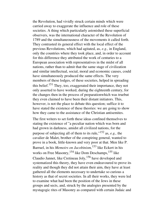the Revolution, had vividly struck certain minds which were carried away to exaggerate the influence and role of these societies. A thing which particularly astonished these superficial observers, was the international character of the Revolution of 1789 and the simultaneousness of the movements it called forth. They contrasted its general effect with the local effect of the previous Revolutions, which had agitated, as, *e.g.,* in England, only the countries where they took place, and, in order to account for this difference they attributed the work of centuries to a European association with representatives in the midst of all nations, rather than to admit that the same stage of civilization and similar intellectual, social, moral and economic causes, could have simultaneously produced the same effects. The very members of these lodges, of these societies, helped in spreading this belief.<sup>151</sup> They, too, exaggerated their importance, they not only asserted to have worked, during the eighteenth century, for the changes then in the process of preparationwhich was truebut they even claimed to have been their distant initiators. This, however, is not the place to debate this question; suffice it to have stated the existence of these theories: we are going to show how they came to the assistance of the Christian antisemites.

The first writers to set forth these ideas confined themselves to stating the existence of "a peculiar nation which was born and had grown in darkness, amidst all civilized nations, for the purpose of subjecting all of them to its rule,"152 as, *e.g.,* the cavalier de Malet, brother of the conspiring general, wanted to prove in a book, little-known and very poor at that. Men like P. Barruel, in his *Memoirs on Jacobinism,*153 like Eckert in his works on Free Masonry,<sup>154</sup> like Dom Deschamps,<sup>155</sup> like Claudio Jannet, like Cretineau Joly, <sup>156</sup> have developed and systematized this theory, they have even endeavoured to prove its reality and though they did not attain their aim, they have at least gathered all the elements necessary to undertake so curious a history as that of secret societies. In all their works, they were led to examine what had been the position of the Jews in these groups and sects, and, struck by the analogies presented by the mystagogic rites of Masonry as compared with certain Judaic and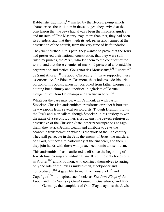Kabbalistic traditions,  $157$  misled by the Hebrew pomp which characterizes the initiation in these lodges, they arrived at the conclusion that the Jews had always been the inspirers, guides and masters of Free Masonry, nay, more than that, they had been its founders, and that they, with its aid, persistently aimed at the destruction of the church, from the very time of its foundation.

They went further in this path, they wanted to prove that the Jews had preserved their national constitution, that they were still ruled by princes, the *Nassi,* who led them to the conquest of the world, and that these enemies of mankind possessed a formidable organization and tactics. Gougenot des Mousseaux, <sup>158</sup> Rupert, <sup>159</sup> de Saint Andre,<sup>160</sup> the abbot Chabeauty,<sup>161</sup> have supported these assertions. As for Edouard Drumont, the whole pseudo-historic portion of his books, when not borrowed from father Loriquet, is nothing but a clumsy and uncritical plagiarism of Barruel, Gougenot, of Dom Deschamps and Cretineau Joly.<sup>162</sup>

Whatever the case may be, with Drumont, as with pastor Stoecker, Christian antisemitism transforms or rather it borrows new weapons from several sociologists. Though Drumont fights the Jew's anti-clericalism, though Stoecker, in his anxiety to win the name of a second Luther, rises against the Jewish religion as destructive of the Christian State, other preoccupations engage them; they attack Jewish wealth and attribute to Jews the economic transformation which is the work of the l9th century. They still persecute in the Jew, the enemy of Jesus, the murderer of a God, but they aim particularly at the financier, and therein they join hands with those who preach economic antisemitism.

This antisemitism has manifested itself since the beginning of Jewish financiering and industrialism. If we find only traces of it in Fourier<sup>163</sup> and Proudhon, who confined themselves to stating only the role of the Jew as middleman, stockjobber and nonproducer,  $164$  it gave life to men like Toussenel<sup>165</sup> and Capefigue<sup>166</sup>; it inspired such books as *The Jews Kings of the Epoch* and the *History of Great Financial Operations;* and later on, in Germany, the pamphlets of Otto Glagau against the Jewish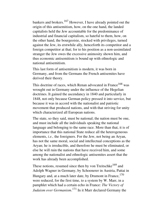bankers and brokers.<sup>167</sup> However, I have already pointed out the origin of this antisemitism, how, on the one hand, the landed capitalists held the Jew accountable for the predominance of industrial and financial capitalism, so hateful to them, how, on the other hand, the bourgeoisie, stocked with privileges, turned against the Jew, its erstwhile ally, henceforth its competitor and a foreign competitor at that; for to his position as a non-assimilated stranger the Jew owes the excessive animosity shown him, and thus economic antisemitism is bound up with ethnologic and national antisemitism.

This last form of antisemitism is modern, it was born in Germany, and from the Germans the French antisemites have derived their theory.

This doctrine of races, which Renan advocated in France<sup>168</sup> was wrought out in Germany under the influence of the Hegelian doctrines. It gained the ascendancy in 1840 and particularly in 1848, not only because German policy pressed it into service, but because it was in accord with the nationalist and patriotic movement that produced nations, and with that striving for unity which characterized all European nations.

The state, so they said, must be national; the nation must be one, and must include all the individuals speaking the national language and belonging to the same race. More than that, it is of importance that this national State reduce all the heterogeneous elements, *i.e.,* the foreigners. For the Jew, not being an Aryan, has not the same moral, social and intellectual conceptions as the Aryan; he is irreducible, and therefore he must be eliminated, or else he will ruin the nations that have received him, and some among the nationalist and ethnologic antisemites assert that the work has already been accomplished.

These notions, resumed since then by von Treitschke<sup>169</sup> and Adolph Wagner in Germany, by Schoenerer in Austria, Pattai in Hungary and, at a much later date, by Drumont in France,  $170$ were reduced, for the first time, to a system by W. Marr, in a pamphlet which had a certain echo in France: *The Victory of Judaism over Germanism*. <sup>171</sup> In it Marr declared Germany the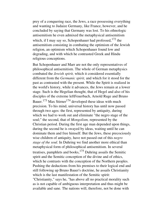prey of a conquering race, the Jews, a race possessing everything and wanting to Judaize Germany, like France, however, and he concluded by saying that Germany was lost. To his ethnologic antisemitism he even admixed the metaphysical antisemitism which, if I may say so, Schopenhauer had professed,  $172$  the antisemitism consisting in combating the optimism of the Jewish religion, an optimism which Schopenhauer found low and degrading, and with which he contrasted Greek and Hindu religious conceptions.

But Schopenhauer and Marr are not the only representatives of philosophical antisemitism. The whole of German metaphysics combated the *Jewish spirit,* which it considered essentially different from the *Germanic spirit,* and which for it stood for the past as contrasted with the present. While the Spirit is realized in the world's history, while it advances, the Jews remain at a lower stage. Such is the Hegelian thought, that of Hegel and also of his disciples of the extreme leftFeuerbach, Arnold Ruge and Bruno Bauer.<sup>173</sup> Max Stirner<sup>174</sup> developed these ideas with much precision. To his mind, universal history has until now passed through two ages: the first, represented by antiquity, during which we had to work out and eliminate "the negro stage of the soul;" the second, that of *Mongolism,* represented by the Christian period. During the first age man depended upon things, during the second he is swayed by ideas, waiting until he can dominate them and free himself. But the Jews, these precociously wise children of antiquity, have not passed out of this *negro stage of the soul.* In Duhring we find another more ethical than metaphysical form of philosophical antisemitism. In several treatises, pamphlets and books,  $175$  Duhring assails the Semitic spirit and the Semitic conception of the divine and of ethics, which he contrasts with the conception of the Northern peoples. Pushing the deductions from his premises to their logical end and still following up Bruno Bauer's doctrine, he assails Christianity which is the last manifestation of the Semitic spirit: "Christianity," says he, "has above all no practical morality such as is not capable of ambiguous interpretation and thus might be available and sane. The nations will, therefore, not be done with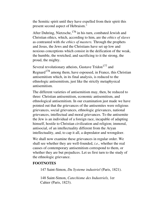the Semitic spirit until they have expelled from their spirit this present second aspect of Hebraism."

After Duhring, Nietzsche,  $176$  in his turn, combated Jewish and Christian ethics, which, according to him, are the *ethics of slaves* as contrasted with *the ethics of masters.* Through the prophets and Jesus, the Jews and the Christians have set up low and noxious conceptions which consist in the deification of the weak, the humble, the wretched, and sacrificing to it the strong, the proud, the mighty.

Several revolutionary atheists, Gustave Tridon<sup>177</sup> and Regnard<sup>178</sup> among them, have espoused, in France, this Christian antisemitism which, in its final analysis, is reduced to the ethnologic antisemitism, just like the strictly metaphysical antisemitism.

The different varieties of antisemitism may, then, be reduced to three: Christian antisemitism, economic antisemitism, and ethnological antisemitism. In our examination just made we have pointed out that the grievances of the antisemites were religious grievances, social grievances, ethnologic grievances, national grievances, intellectual and moral grievances. To the antisemite the Jew is an individual of a foreign race, incapable of adapting himself, hostile to Christian civilization and religion; immoral, antisocial, of an intellectuality different from the Aryan intellectuality, and, to cap it all, a depredator and wrongdoer.

We shall now examine these grievances in regular order. We shall see whether they are well-founded, *i.e.*, whether the real causes of contemporary antisemitism correspond to them, or whether they are but prejudices. Let us first turn to the study of the ethnologic grievance.

### **FOOTNOTES**

147 Saint-Simon, *Du Systeme industriel* (Paris, 1821).

148 Saint-Simon, *Catechisme des Industriels*, 1er Cahier (Paris, 1823).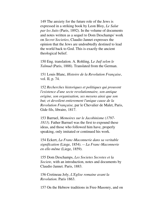149 The anxiety for the future role of the Jews is expressed in a striking book by Leon Bloy, *Le Salut par les Juits* (Paris, 1892). In the volume of documents and notes written as a sequel to Dom Deschamps' work on *Secret Societies*, Claudio Jannet expresses the opinion that the Jews are undoubtedly destined to lead the world back to God. This is exactly the ancient theological belief.

150 Eng. translation. A. Rohling, L*e Juif selon le Talmud* (Paris, 1888). Translated from the German.

151 Louis Blanc, *Histoire de la Revolution Française*, vol. II, p. 74.

152 *Recherches historiques et politiques qui prouvent l'existence d'une secte revolutionnaire, son antique origine, son organisation, ses moyens ainsi que son but; et devoilent entierement l'unique cause de la Revolution Française,* par le Chevalier de Malet, Paris, Gide fils, libraire, 1817.

153 Barruel, *Memoires sur le Jacobinisme (1797 1813).* Father Barruel was the first to expound these ideas, and those who followed him have, properly speaking, only imitated or continued his work.

154 Eckert, *La FrancMaconnerie dans sa veritable signification* (Liege, 1854). -- La Franc-Maconnerie *en ellemême* (Liege, 1859).

155 Dom Deschamps, *Les Societes Secretes et la Societe*, with an introduction, notes and documents by Claudio Jannet. Paris, 1883.

156 Cretineau Joly, *L'Eglise romaine avant la Revolution*. Paris 1863.

157 On the Hebrew traditions in Free-Masonry, and on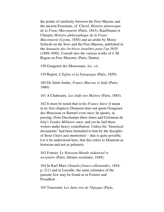the points of similarity between the Free-Masons and the ancient Essenians, cf. Clavel, *Histoire pittoresque de la FrancMaconnerie* (Paris, 1843); Kauffmann et Cherpin, *Histoire philosophique de la Franc-Maconnerie* (Lyons, 1856) and an artitle by Moise Schwab on the Jews and the Free-Masons, published in the *Annuaire des Archives israelites pour l'an 5650*  $(1889-1890)$ . Consult also the various works of J. M. Ragon on Free-Masonry (Paris, Dentu).

158 Gougenot des Mousseaux, *loc. cit*.

159 Rupert, *L'Eglise et la Synagogue* (Paris, 1859).

160 De Saint-Andre, *Francs-Macons et Juifs* (Paris, 1880).

161 A Chabeauty, *Les Juifs nos Maitres* (Paris, 1883).

162 It must be noted that in his *France Juive* (I mean in its first chapters) Drumont does not quote Gougenot des Mousseau or Barruel even once; he quotes, in passing, Dom Deschamps three times and Cretineau de Joly's *Vendee Militaire* once, and yet he laid these writers under heavy contribution. Unless his "historical documents" had been furnished to him by the disciples of those I have just mentioned -- that is quite possible. Let it be understood here, that this refers to Drumont as historian and not as polemist.

163 Fourier, *Le Nouveau Monde industrial et societaire* (Paris, libraire societaire, 1848).

164 In Karl Marx (*Annales franco-allemandes*, 1844, p. 211) and in Lassalle, the same estimates of the parasite Jew may be found as in Fourier and Proudhon .

165 Toussenel, *Les Juits rois de l'Epoque* (Paris,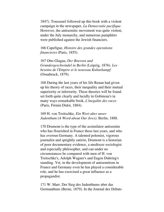1847). Toussenel followed up this book with a violent campaign in the newspaper, *La Democratie pacifique*. However, the antisemitic movement was quite violent, under the July monarchy, and numerous pamphlets were published against the Jewish financiers.

166 Capefigue, *Histoire des grandes operations financieres* (Paris, 1855).

167 Otto Glagau, *Der Boersen und Grundergeschwindel in Berlin* (Leipzig, 1876). *Les besoins de l'Empire et le nouveau Kulturkampf* (Osnabruck, 1879).

168 During the last years of his life Renan had given up his theory of races, their inequality and their mutual superiority or inferiority. These theories will be found set forth quite clearly and lucidly in Gobineau's in many ways remarkable book, *L'inegalite des races* (Paris, Firmin Didot, 1884).

169 H. von Treitschke, *Ein Wort uber unser Judenthum (A Word about Our Jews)*. Berlin, 1888.

170 Drumont is the type of the assimilator antisemite who has flourished in France these last years, and who has overrun Germany. A talented polemist, vigorous journalist and sprightly satirist, Drumont is a historian of poor documentary evidence, a mediocre sociologist and especially philosopher, and can under no circumstances be compared with men of H. von Treitschke's, Adolph Wagner's and Eugen Duhring's standing. Yet, in the development of antisemitism in France and Germany even he has played a considerable role, and he has exercised a great influence as a propagandist.

171 W. Marr, Der Sieg des Judenthums uber das Germanthum (Berne, 1879). In the Journal des Debats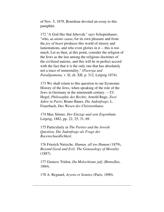of Nov. 5, 1879, Bourdeau devoted an essay to this pamphlet.

172 "A God like that Jehovah," says Schopenhauer, "who, as *animi causa*, for its own pleasure and from the *joy of heart* produces this world of misery and lamentations, and who even glories in it -- this is too much. Let us then, at this point, consider the religion of the Jews as the last among the religious doctrines of the civilized nations, and this will be in perfect accord with the fact that it is the only one that has absolutely not a trace of immortality." (*Parerga und Paralipomena,* v. II, ch. XII, p. 312, Leipzig 1874).

173 We shall return to this question in our Economic History of the Jews, when speaking of the role of the Jews in Germany in the nineteenth century. -- Cf. Hegel, *Philosophie des Rechts*; Arnold Ruge, *Zwei Jahre in Paris*; Bruno Bauer, *Die Judenfrage*; L. Feuerbach, *Das Wesen des Christenthums.*

174 Max Stirner, *Der Einzige und sein Eigenthum*. Leipzig, 1882, pp. 22, 25, 31, 69.

175 Particularly in *The Parties and the Jewish Question, Die Judenfrage als Frage der Racenschaedlichkeit.*

176 Frierich Nietzche, *Human, all too Human (*1879), *Beyond Good and Evil; The Geneaology of Morality* (1887).

177 Gustave Tridon, *Du Molochisme juif*, (Bruxelles, 1884).

178 A. Regnard, *Aryens et Semites* (Paris, 1890).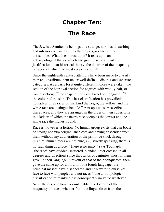## <span id="page-147-0"></span>**[Chapter Ten:](#page-147-0)**

## **[The Race](#page-147-0)**

The Jew is a Semite, he belongs to a strange, noxious, disturbing and inferior race such is the ethnologic grievance of the antisemites. What does it rest upon? It rests upon an anthropological theory which had given rise or at least justification to an historical theory: the doctrine of the inequality of races, of which we must speak first of all.

Since the eighteenth century attempts have been made to classify men and distribute them under well-defined, distinct and separate categories. As a basis for it quite different indices were taken: the section of the hair oval section for negroes with woolly hair, or round section;  $179$  the shape of the skull broad or elongated;  $180$ the colour of the skin. This last classification has prevailed: nowadays three races of mankind the negro, the yellow, and the white race are distinguished. Different aptitudes are ascribed to these races, and they are arranged in the order of their superiority in a ladder of which the negro race occupies the lowest and the white race the highest round.

Race is, however, a fiction. No human group exists that can boast of having had two original ancestors and having descended from them without any adulteration of the primitive stock through mixture; human races are not pure, *i.e.,* strictly speaking, there is no such thing as a race. "There is no unity," says Topinard:<sup>181</sup> "the races have divided, scattered, blended, inter crossed in all degrees and directions since thousands of centuries; most of them gave up their language in favour of that of their conquerors, then gave the same up for a third, if not a fourth language; the principal masses have disappeared and now we find ourselves face to face with peoples and not races." The anthropologic classification of mankind has consequently no value whatever.

Nevertheless, and however untenable this doctrine of the inequality of races, whether from the linguistic or from the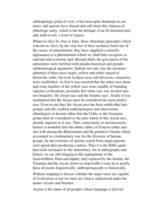anthropologic point of view, it has been quite dominant in our times, and nations have chased and still chase this chimera of ethnologic unity, which is but the heritage of an ill-informed past and, truth to tell, a form of regress.

Whatever they be, true or false, these ethnologic principles which concern us, have, by the very fact of their existence been one of the causes of antisemitism; they have supplied a scientific appearance to a phenomenon which we shall later recognize as national and economic and, through them, the grievances of the antisemites were fortified with pseudo-historical and pseudoanthropological arguments. Indeed, not only was the existence admitted of three races negro, yellow and white ranged in hierarchic order, but even in these races sub-divisions, categories, were established. At first it was asserted that the white race alone and some families of the yellow race were capable of founding superior civilizations; presently this white race was divided into two branches: the Aryan race and the Semitic race ; finally it was maintained that the Aryan must be considered the most perfect race. Even in our days the Aryan race has been subdivided into groups, and this enabled anthropologists and chauvinistic ethnologists to declare either that the Celtic or the Germanic group must be considered as the pure wheat of this Aryan race, already superior as it was. Thus, consciously or unconsciously, history is modeled after the ethnic tables of Genesis tables also met with among the Babylonians and the primitive Greeks which accounted in a rudimentary way for the diversity of human groups, by the existence of sprouts issued from single parents, each sprout then producing a nation. Thus it is the Bible again that lends assistance to the antisemites, for in ethnography and history we are still clinging to the explanations of the GenesisShem, Ham and Japhet, only replaced by the Semite, the Turanian and the Aryan, however impossible it may be to justify these divisions linguistically, anthropologically or historically.

Without stopping to discuss whether the negro races are capable of civilization or not we must see what is understood under the names Aryans and Semites.

Aryans is the name of all peoples whose language is derived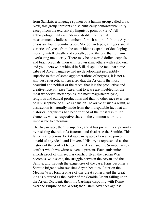from Sanskrit, a language spoken by a human group called arya. Now, this group "presents no scientifically demonstrable unity except from the exclusively linguistic point of view." All anthropologic unity is undemonstrable: the cranial measurements, indices, numbers, furnish no proof. In this Aryan chaos are found Semitic types, Mongolian types, all types and all varieties of types, from the one which is capable of developing morally, intellectually and socially, up to the one that remains in everlasting mediocrity. There may be observed dolichocephals and brachycephals, men with brown skin, others with yellowish and yet others with white skin Still, despite the fact that some tribes of Aryan language had no development perceptibly superior to that of some agglomerations of negroes, it is not a whit less energetically asserted that the Aryan is the most beautiful and noblest of the races, that it is the productive and creative race *par excellence,* that to it we are indebted for the most wonderful metaphysics, the most magnificent lyric, religious and ethical productions and that no other race ever was or is susceptible of a like expansion. To arrive at such a result, an abstraction is naturally made from the indisputable fact that all historical organisms had been formed of the most dissimilar elements, whose respective share in the common work it is impossible to determine.

The Aryan race, then, is superior, and it has proven its superiority by resisting the rule of a fraternal and rival race the Semitic. This latter is a ferocious, brutal race, incapable of creative power, devoid of any ideal, and Universal History is represented as the history of the conflict between the Aryan and the Semitic race, a conflict which we witness even at present. Each antisemite affords proof of this secular conflict. Even the Trojan War becomes, with some, the struggle between the Aryan and the Semite, and through the exigencies of the case, Paris becomes a Semitic brigand who ravishes Aryan beauties. Later on the Median Wars form a phase of this great contest, and the great king is pictured as the leader of the Semitic Orient falling upon the Aryan Occident; then it is Carthage disputing with Rome over the Empire of the World; then Islam advances against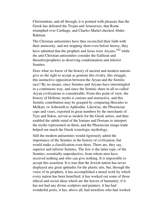Christendom, and all through, it is pointed with pleasure that the Greek has defeated the Trojan and Artaxerxes, that Rome triumphed over Carthage, and Charles Martel checked Abder-Rahman.

The Christian antisemites have thus reconciled their faith with their animosity, and not stopping short even before heresy, they have admitted that the prophets and Jesus were Aryans,  $182$  while the anti-Christian antisemites consider the Galilean and the*nabis*(prophets) as deserving condemnation and inferior Semites.

Does what we know of the history of ancient and modern nations give us the right to accept as genuine this rivalry, this struggle, this instinctive opposition between the Aryan and the Semitic race? By no means, since Semites and Aryans have intermingled in a continuous way, and since the Semitic share in all so-called Aryan civilizations is considerable. From this point of view, the history of Hellenic myths is curious and instructive, and this Semitic contribution may be grasped by comparing Hercules to Melkart, or Ashtoreth to Aphrodite. Likewise, the Phoenician cups and vases, exported in great numbers by the merchants of Tyre and Sidon, served as models for the Greek artists, and thus enabled the subtle mind of the Ionians and Dorians to interpret the myths represented on them, and the Phoenician image-trade helped out much the Greek iconologic mythology.

Still the modern antisemites would rigorously admit the importance of the Semites in the history of civilization, but would make a classification even there. There are, they say, superior and inferior Semites. The Jew is the latter type, of the Semites, essentially unproductive, from whom men have received nothing and who can give nothing. It is impossible to accept this assertion. It is true that the Jewish nation has never displayed any great aptitudes for the plastic arts, but, through the voice of its prophets, it has accomplished a moral work by which every nation has been benefited; it has worked out some of those ethical and social ideas which are the leaven of humanity; if it has not had any divine sculptors and painters, it has had wonderful poets, it has, above all, had moralists who had worked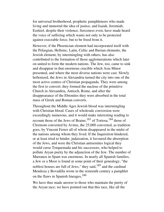for universal brotherhood, prophetic pamphleteers who made living and immortal the idea of justice, and Isaiah, Jeremiah, Ezekiel, despite their violence, fierceness even, have made heard the voice of suffering which wants not only to be protected against execrable force, but to be freed from it.

However, if the Phoenician element had incorporated itself with the Pelasgian, Hellenic, Latin, Celtic and Iberian elements, the Jewish element, by intermingling with others, has also contributed to the formation of those agglomerations which later on united to form the modern nations. The Jew, too, came to sink and disappear in that enormous crucible which Asia Minor presented, and where the most diverse nations were cast. Slowly hellenized, the Jews in Alexandria turned the city into one of the most active centres of Christian propaganda. They were among the first to convert; they formed the nucleus of the primitive Church in Alexandria, Antioch, Rome, and after the disappearance of the Ebionites they were absorbed in the total mass of Greek and Roman converts.

Throughout the Middle Ages Jewish blood was intermingling with Christian blood. Cases of wholesale conversion were exceedingly numerous, and it would make interesting reading to recount those of the Jews of Braine,  $183$  of Tortosa,  $184$  those of Clermont converted by Avitus, the 25,000 converted, as tradition goes, by Vincent Ferrer all of whom disappeared in the midst of the nations among whom they lived. If the Inquisition hindered, or at least tried to hinder, judaization, it favoured the absorption of the Jews, and were the Christian antisemites logical they would curse Torquemada and his successors, who helped to pollute Aryan purity by the adjunction of the Jew. The number of Marranos in Spain was enormous. In nearly all Spanish families, a Jew or a Moor is found at some point of their genealogy; "the noblest houses are full of Jews," they said, $185$  and the cardinal Mendoza y Bovadilla wrote in the sixteenth century a pamphlet on the flaws in Spanish lineages,  $186$ 

We have thus made answer to those who maintain the purity of the Aryan race; we have pointed out that this race, like all the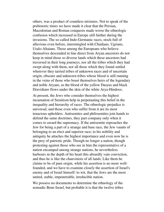others, was a product of countless mixtures. Not to speak of the prehistoric times we have made it clear that the Persian, Macedonian and Roman conquests made worse the ethnologic confusion which increased in Europe still further during the invasions. The so-called Indo-Germanic races, stock-full of alluvions even before, intermingled with Chudians, Ugrians, Uralo-Altaians. Those among the Europeans who believe themselves descended in line direct from Aryan ancestors do not keep in mind those so diverse lands which these ancestors had traversed in their long journeys, nor all the tribes which they had swept along with them, nor all those which they found settled wherever they tarried tribes of unknown races and of uncertain origin, obscure and unknown tribes whose blood is still running in the veins of those who boast themselves heirs of the legendary and noble Aryans, as the blood of the yellow Dasyus and black Dravidians flows under the skin of the white Arya-Hindoos.

At present, the Jews who consider themselves the highest incarnation of Semitism help in perpetuating this belief in the inequality and hierarchy of races. The ethnologic prejudice is universal, and those even who suffer from it are its most tenacious upholders. Antisemites and philosemites join hands to defend the same doctrines, they part company only when it comes to award the supremacy. If the antisemite reproaches the Jew for being a part of a strange and base race, the Jew vaunts of belonging to an elect and superior race; to his nobility and antiquity he attaches the highest importance and even now he is the prey of patriotic pride. Though no longer a nation, though protesting against those who see in him the representative of a nation encamped among strange nations, he nevertheless harbours in the depth of his heart this absurdly vain conviction, and thus he is like the chauvinists of all lands. Like them he claims to be of pure origin, while his assertion is no more wellfounded, and we have to examine closely the assertion of Israel's enemy and of Israel himself: to wit, that the Jews are the most united, stable, impenetrable, irreducible nation.

We possess no documents to determine the ethnology of the nomadic Bene-Israel, but probable it is that the twelve tribes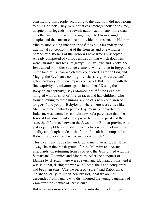constituting this people, according to the tradition, did not belong to a single stock. They were doubtless heterogeneous tribes, for, in spite of its legends, the Jewish nation cannot, any more than the other nations, boast of having originated from a single couple, and the current conception which represents the Hebrew tribe as subdividing into sub-tribes<sup>187</sup> is but a legendary and traditional conception that of the Genesis and one which a portion of historians of the Hebrews have wrongly accepted. Already composed of various unities among which doubtless were Turanian and Kushite groups, *i.e.,* yellows and blacks, the Jews added still other strange elements while living in Egypt and in the land of Canaan which they conquered. Later on Gog and Magog, the Scythians, coming in Josiah's reign to Jerusalem's gates, probably left their impress on Israel. But starting with the first captivity the mixtures grow in number. "During the Babylonian captivity," says Maimonides,  $188$  "the Israelites mingled with all sorts of foreign races and had children, who formed, owing to these unions, a kind of a new confusion of tongues," and yet this Babylonia, where there were cities like Mahuza, almost entirely peopled by Persians converted to Judaism, was deemed to contain Jews of a purer race than the Jews of Palestine. Said an old proverb: "For the purity of the race, the difference between the Jews of the Roman provinces is just as perceptible as the difference between dough of mediocre quality and dough made of the flour of meal; but, compared to Babylonia, Judea itself is like mediocre dough."

This means that Judea had undergone many vicissitudes. It had always been the transit ground for the Mizraim and Assur; afterwards, on returning from captivity, the Jews united with the Samaritans, Edomites and Moabites. After the conquest of Idumea by Hyrcan, there were Jewish and Idumean unions, and it was said that, during the war with Rome, the Latin conquerors had begotten sons. "Are we perfectly sure," said Rabbi Ulla, melancholically, to Judah-ben Ezekiel, "that we are not descended from pagans who dishonoured the young daughters of Zion after the capture of Jerusalem?"

But what was most conducive to the introduction of foreign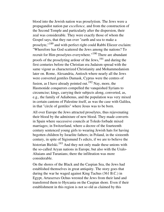blood into the Jewish nation was proselytism. The Jews were a propagandist nation par *excellence,* and from the construction of the Second Temple and particularly after the dispersion, their zeal was considerable. They were exactly those of whom the Gospel says, that they ran over "earth and sea to make a proselyte,"189 and with perfect right could Rabbi Eliezer exclaim: "Wherefore has God scattered the Jews among the nations? To recruit for Him proselytes everywhere."<sup>190</sup> There are abundant proofs of the proselyting ardour of the Jews, <sup>191</sup> and during the first centuries before the Christian era Judaism spread with the same vigour as characterized Christianity and Mohammedanism later on. Rome, Alexandria, Antioch where nearly all the Jews were converted gentiles Damask, Cyprus were the centres of fusion, as I have already pointed out.<sup>192</sup> Nay, more, the Hasmonide conquerors compelled the vanquished Syrians to circumcise; kings, carrying their subjects along, converted, as, e.g., the family of Adiabenus, and the population was very mixed in certain cantons of Palestine itself, as was the case with Galilea, in that "circle of gentiles" where Jesus was to be born.

All over Europe the Jews attracted proselytes, thus rejuvenating their blood by the admixture of new blood. They made converts in Spain where successive councils at Toledo forbade mixed marriages; in Switzerland, where a decree of the fourteenth century sentenced young girls to wearing Jewish hats for having begotten children by Israelite fathers; in Poland, in the sixteenth century, in spite of Sigismund I's edicts, if we are to believe the historian Bielski.<sup>193</sup> And they not only made these unions with the so-called Aryan nations in Europe, but also with the Uralo-Altaians and Turanians; there the infiltration was more considerable.

On the shores of the Black and the Caspian Sea, the Jews had established themselves in great antiquity. The story goes that during the war he waged against King Tachus (361 B.C.) in Egypt, Artaxerxes Ochus wrested the Jews from their land and transferred them to Hyrcania on the Caspian shore. Even if their establishment in this region is not so old as claimed by this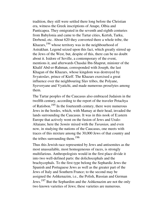tradition, they still were settled there long before the Christian era, witness the Greek inscriptions of Anape, Olbia and Panticapea. They emigrated in the seventh and eighth centuries from Babylonia and came to the Tartar cities, Kertsh, Tarku, Derbend, etc. About 620 they converted there a whole tribe, the Khazars,194 whose territory was in the neighbourhood of Astrakhan. Legend seized upon this fact, which greatly stirred up the Jews of the West, but, despite of this, there can be no doubt about it. Isidore of Seville, a contemporary of the event, mentions it, and afterwards Chasdai Ibn-Shaprut, minister of the Khalif Abd-er-Rahman, corresponded with Joseph, the last Khagan of the Khazars, whose kingdom was destroyed by Svyatoslav, prince of Kieff. The Khazars exercised a great influence over the neighbouring Slav tribes, the Polyane, Syeveryane and Vyatichi, and made numerous proselytes among them.

The Tartar peoples of the Caucasus also embraced Judaism in the twelfth century, according to the report of the traveler Petachya of Ratisbon.<sup>195</sup> In the fourteenth century, there were numerous Jews in the hordes, which, with Mamay at their head, invaded the lands surrounding the Caucasus. It was in this nook of E:astern Europe that actively went on the fusion of Jews and Uralo-Altaians; here the *Semite* mixed with the *Turanian,* and even now, in studying the nations of the Caucasus, one meets with traces of this mixture among the 30,000 Jews of that country and the tribes surrounding them.<sup>196</sup>

Thus this Jewish race represented by Jews and antisemites as the most unassailable, most homogeneous of races, is strongly multifarious. Anthropologists would in the first place divide it into two well-defined parts: the dolichocephals and the brachycephals. To the first type belong the Sephardic Jews the Spanish and Portuguese Jews as well as the greater part of the Jews of Italy and Southern France; to the second may be assigned the Ashkenazim, i.e., the Polish, Russian and German Jews.<sup>197</sup> But the Sephardim and the Ashkenazim are not the only two known varieties of Jews; these varieties are numerous.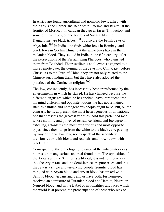In Africa are found agricultural and nomadic Jews, allied with the Kabyls and Berberians, near Setif, Guelma and Biskra, at the frontier of Morocco; in caravan they go as far as Timbuctoo, and some of their tribes, on the borders of Sahara, like the Daggatouns, are black tribes,  $198$  as also are the Fellah Jews of Abyssinia.199 In India, one finds white Jews in Bombay, and black Jews in Cochin China, but the white Jews have in them melanian blood. They settled in India in the fifth century, after the persecutions of the Persian King Pheroces, who banished them from Baghdad. Their settling is at all events assigned to a more remote date: the coming of the Jews into China, i.e., before Christ. As to the Jews of China, they are not only related to the Chinese surrounding them, but they have also adopted the practices of the Confucian religion.<sup>200</sup>

The Jew, consequently, has incessantly been transformed by the environments in which he stayed. He has changed because the different languages which he has spoken, have introduced into his mind different and opposite notions; he has not remained such as a united and homogeneous people ought to be, but, on the contrary, he is, at present, the most heterogeneous of all nations, one that presents the greatest varieties. And this pretended race whose stability and power of resistance friend and foe agree in extolling, affords us the most multifarious and most opposite types, since they range from the white to the black Jew, passing by way of the yellow Jew, not to speak of the secondary divisions Jews with blond and red hair, and brown Jews with black hair.

Consequently, the ethnologic grievance of the antisemites does not rest upon any serious and real foundation. The opposition of the Aryans and the Semites is artificial; it is not correct to say that the Aryan race and the Semitic race are pure races, and that the Jew is a single and unvarying people. Semitic blood has mingled with Aryan blood and Aryan blood has mixed with Semitic blood. Aryans and Semites have both, furthermore, received an admixture of Turanian blood and Hamite, Negro or Negroid blood, and in the Babel of nationalities and races which the world is at present, the preoccupation of those who seek to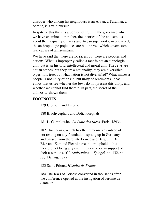discover who among his neighbours is an Aryan, a Turanian, a Semite, is a vain pursuit.

In spite of this there is a portion of truth in the grievance which we have examined, or, rather, the theories of the antisemites about the inequality of races and Aryan superiority, in one word, the anthropologic prejudices are but the veil which covers some real causes of antisemitism.

We have said that there are no races, but there are peoples and nations. What is improperly called a race is not an ethnologic unit, but is an historic, intellectual and moral unit. The Jews are not an ethnos, but they are a nationality, they are diversified types, it is true, but what nation is not diversified? What makes a people is not unity of origin, but unity of sentiments, ideas, ethics. Let us see whether the Jews do not present this unity, and whether we cannot find therein, in part, the secret of the animosity shown them.

### **FOOTNOTES**

179 Ulotrichi and Leiotrichi.

180 Brachycephals and Dolichocephals.

181 L. Gumplowicz, *La Lutte des races* (Paris, 1893).

182 This theory, which has the immense advantage of not resting on any foundation, sprang up in Germany and passed from there into France and Belgium. De Biez and Edmond Picard have in turn upheld it, but they did not bring any even illusory proof in support of their assertions. (Cf. *Antisemiten -- Spiegel*, pp. 132, *et seq*, Danzig, 1892).

183 Saint-Prioux, *Histoire de Braine*.

184 The Jews of Tortosa converted in thousands after the conference opened at the instigation of Jerome de Santa Fe.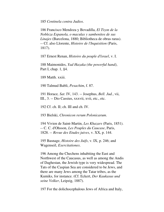185 *Centinela contra Judios*.

186 Francisco Mendoza y Bovadilla, *El Tizon de la Nobleza Espanola, o maculas y sambenitos de sus Linajes* (Barcelona, 1880; Bibliotheca de obras raras). Cf. also Llorente, *Histoire de l'Inquisition* (Paris, 1817).

187 Ernest Renan, *Histoire du peuple d'lsrael*, v. I.

188 Maimonides, *Yad Hazaka (the powerful hand)*, Part I, chap. 1, §4.

189 Matth. xxiii.

190 Talmud Babli, *Pesachim*, f. 87.

191 Horace*, Sat*. IV, 143. Josephus, *Bell. Jud.*, vii, III., 3. -- Dio Cassius, xxxvii, xvii, etc., etc.

192 Cf. ch. II; ch. III and ch. IV.

193 Bielski, *Chronicon rerum Polonicarum*.

194 Vivien de Saint-Martin, *Les Khazars* (Paris, 1851). C. C. d'Ohsson, *Les Peuples du Caucase*, Paris, 1828. *Revue des Etudes juives*, v. XX, p. 144.

195 Basnage, *Histoire des Juifs*, v. IX, p. 246; and Wagenseil, *Exercitationes*.

196 Among the Chechens inhabiting the East and Northwest of the Caucasus, as well as among the Andis of Daghestan, the Jewish type is very widespread. The Tats of the Caspian Sea are considered to be Jews, and there are many Jews among the Tatar tribes, as the Kumiks, for instance. (Cf. Eckert, *Der Kaukasus und seine Volker*, Leipzig, 1887).

197 For the dolichocephalous Jews of Africa and Italy,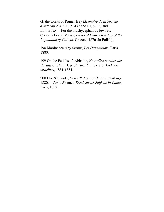cf. the works of Pruner-Bey (Memoire de la Societe *d'anthropologie*, II, p. 432 and III, p. 82) and Lombroso. -- For the brachycephalous Jews cf. Copernicki and Mayer, *Physical Characteristics of the Population of Galicia,* Cracow, 1876 (in Polish).

198 Mardochee Aby Serour, *Les Daggatouns*, Paris, 1880.

199 On the Fellahs cf. Abbadie, *Nouvelles annales des Voyages,* 1845, III, p. 84, and Ph. Luzzato, *Archives israelites*, 1851-1854.

200 Elie Schwartz, *God's Nation in China*, Strassburg, 1880. Abbe Sionnet, *Essai sur les Juifs de la Chine*, Paris, 1837.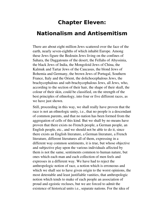# <span id="page-160-0"></span>**[Chapter Eleven:](#page-160-0) [Nationalism and Antisemitism](#page-160-0)**

There are about eight million Jews scattered over the face of the earth, nearly seven-eighths of which inhabit Europe. Among these Jews figure the Bedouin Jews living on the confines of Sahara, the Daggatouns of the desert, the Fellahs of Abyssinia, the black Jews of India, the Mongoloid Jews of China, the Kalmuk and Tartar Jews of the Caucasus, the blond Jews of Bohemia and Germany, the brown Jews of Portugal, Southern France, Italy and the Orient, the dolichocephalous Jews, the brachycephalous and sub-brachycephalous Jews, all Jews, who, according to the section of their hair, the shape of their skull, the colour of their skin, could be classified, on the strength of the best principles of ethnology, into four or five different races, as we have just shown.

Still, proceeding in this way, we shall really have proven that the race is not an ethnologic unity, i.e., that no people is a descendant of common parents, and that no nation has been formed from the aggregation of cells of this kind. But we shall by no means have proven that there exists no French people, a German people, an English people, etc., and we should not be able to do it, since there exists an English literature, a German literature, a French literature, different literatures all of them, expressing in a different way common sentiments, it is true, but whose objective and subjective play upon the various individuals affected by them is not the same, sentiments common to human nature, but ones which each man and each collection of men feels and expresses in a different way. We have had to reject the anthropologic notion of race, a notion which is erroneous and which we shall see to have given origin to the worst opinions, the most detestable and least justifiable vanities, that anthropologic notion which tends to make of each people an association of proud and egoistic recluses, but we are forced to admit the existence of historical units i.e., separate nations. For the idea of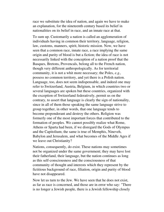race we substitute the idea of nation, and again we have to make an explanation, for the nineteenth century based its belief in nationalities on its belief in race, and an innate race at that.

To sum up. Customarily a nation is called an agglomeration of individuals having in common their territory, language, religion, law, customs, manners, spirit, historic mission. Now, we have seen that a common race, innate race, a race implying the same origin and purity of blood is but a fiction; the idea of race is not necessarily linked with the conception of a nation proof that the Basques, Bretons, Provencals, belong all to the French nation, though very different anthropologically. As for territorial community, it is not a whit more necessary; the Poles, *e.g.,* possess no common territory, and yet there is a Polish nation. Language, too, does not seem indispensable, and indeed one may refer to Switzerland, Austria, Belgium, in which countries two or several languages are spoken but these countries, organized with the exception of Switzerland federatively, permit us on the contrary, to assert that language is clearly the sign of nationality, since in all of them those speaking the same language strive to group together, in other words, that one language tends to become preponderant and destroy the others. Religion was formerly one of the most important forces that contributed to the formation of peoples. We cannot possibly realize what Rome, Athens or Sparta had been, if we disregard the Gods of Olympus and the Capitolium; the same is true of Memphis, Nineveh, Babylon and Jerusalem, and what becomes of the Middle Ages if we leave out Christianity?

Nations, consequently, do exist. These nations may sometimes not be organized under the same government; they may have lost their fatherland, their language, but the nation continues as long as this self-consciousness and the consciousness of that community of thought and interests which they represent by the fictitious background of race, filiation, origin and purity of blood have not disappeared.

Now let us turn to the Jew. We have seen that he does not exist, as far as race is concerned, and those are in error who say: "There is no longer a Jewish people, there is a Jewish fellowship closely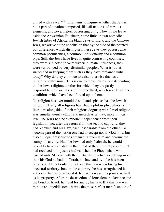united with a race." $201$  It remains to inquire whether the Jew is not a part of a nation composed, like all nations, of various elements, and nevertheless possessing unity. Now, if we leave aside the Abyssinian Fellaheen, some little known nomadic Jewish tribes of Africa, the black Jews of India, and the Chinese Jews, we arrive at the conclusion that by the side of the pointed out differences which distinguish these Jews they possess also common peculiarities, a common individuality and a common type. Still, the Jews have lived in quite contrasting countries, they were subjected to very diverse climatic influences, they were surrounded by very dissimilar peoples. What is it that succeeded in keeping them such as they have remained until today? Why do they continue to exist otherwise than as a religious confession ? This is due to three causes: one depending on the Jews religion; another for which they are partly responsible their social condition; the third, which is external the conditions which have been forced upon them.

No religion has ever moulded soul and spirit as has the Jewish religion. Nearly all religions have had a philosophy, ethics, a literature alongside of their religious dogmas; with Israel religion was simultaneously ethics and metaphysics, nay, more, it was law. The Jews had no symbolic independence from their legislation; no, after the return from the second captivity, they had Yahweh and his Law, each inseparable from the other. To become part of the nation one had to accept not its God only, but also all legal prescriptions emanating from Him and bearing the stamp of sanctity. Had the Jew had only Yahweh, he would probably have vanished in the midst of the different peoples that had received him, just as had vanished the Phoenicians who carried only Melkart with them. But the Jew had something more than his God he had his Torah, his law, and by it he has been preserved. He not only did not lose this law when losing his ancestral territory, but, on the contrary, he has strengthened its authority; he has developed it; he has increased its power as well as its property. After the destruction of Jerusalem the law became the bond of Israel; he lived for and by his law. But this law was minute and meddlesome, it was the most perfect manifestation of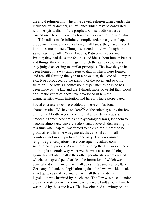the ritual religion into which the Jewish religion turned under the influence of its doctors, an influence which may be contrasted with the spiritualism of the prophets whose tradition Jesus carried on. These rites which foresaw every act in life, and which the Talmudists made infinitely complicated, have given shape to the Jewish brain, and everywhere, in all lands, they have shaped it in the same manner. Though scattered, the Jews thought the same way in Seville, York, Ancona, Ratisbon, Troyes and Prague; they had the same feelings and ideas about human beings and things; they viewed things through the same eye-glasses; they judged according to similar principles. The Jewish type has been formed in a way analogous to that in which were formed and are still forming the type of a physician, the type of a lawyer, etc., types produced by the identity of the social and psychic function. The Jew is a confessional type; such as he is he has been made by the law and the Talmud; more powerful than blood or climatic varieties, they have developed in him the characteristics which imitation and heredity have perpetuated.

Social characteristics were added to these confessional characteristics. We have spoken<sup>202</sup> of the role played by the Jew during the Middle Ages, how internal and external causes, proceeding from economic and psychological laws, led them to become almost exclusively traders, and above all dealers in gold at a time when capital was forced to be creditor in order to be productive. This role was general; the Jews filled it in all countries, not in any particular one only. To their common religious preoccupations were consequently added common social preoccupations. As a religious being the Jew was already thinking in a certain way wherever he was; as a social being he again thought identically; thus other peculiarities were created, which, too, spread peculiarities, the formation of which was general and simultaneous with all Jews. In Spain, France, Italy, Germany, Poland, the legislation against the Jews was identical, a fact quite easy of explanation as in all these lands the legislation was inspired by the church. The Jew was placed under the same restrictions, the same barriers were built around him, he was ruled by the same laws. The Jew obtained a territory on the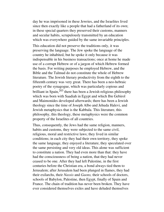day he was imprisoned in these Jewries, and the Israelites lived since then exactly like a people that had a fatherland of its own; in these special quarters they preserved their customs, manners and secular habits, scrupulously transmitted by an education which was everywhere guided by the same invariable principles.

This education did not preserve the traditions only, it was preserving the language. The Jew spoke the language of the country he inhabited, but he spoke it only because it was indispensable in his business transactions; once at home he made use of a corrupt Hebrew or of a jargon of which Hebrew formed the basis. For writing purposes he employed Hebrew, and the Bible and the Talmud do not constitute the whole of Hebrew literature. The Jewish literary productivity from the eighth to the fifteenth century was very great. There has been a neo-hebraic poetry of the synagogue, which was particularly copious and brilliant in Spain,  $203$  there has been a Jewish religious philosophy which was born with Saadiah in Egypt and which Ibn Gebirol and Maimonides developed afterwards; there has been a Jewish theology since the time of Joseph Albo and Jehuda Halevi, and Jewish metaphysics that is the Kabbala. This literature, this philosophy, this theology, these metaphysics were the common property of the Israelites of all countries.

Thus, consequently, the Jews had the same religion, manners, habits and customs, they were subjected to the same civil, religious, moral and restrictive laws; they lived in similar conditions; in each city they had their own territory, they spoke the same language, they enjoyed a literature, they speculated over the same persisting and very old ideas. This alone was sufficient to constitute a nation. They had even more than that: they have had the consciousness of being a nation, that they had never ceased to be one. After they had left Palestine, in the first centuries before the Christian era, a bond always tied them to Jerusalem; after Jerusalem had been plunged in flames, they had their exilarchs, their *Nassis* and *Gaons,* their schools of doctors, schools of Babylon, Palestine, then Egypt, finally of Spain and France. The chain of tradition has never been broken. They have ever considered themselves exiles and have deluded themselves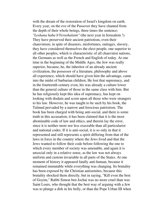with the dream of the restoration of Israel's kingdom on earth. Every year, on the eve of the Passover they have chanted from the depth of their whole beings, three times the sentence: *"Leshana haba b'Yerushalaim"* (the next year in Jerusalem !). They have preserved their ancient patriotism, even their chauvinism; in spite of disasters, misfortunes, outrages, slavery, they have considered themselves the elect people, one superior to all other peoples, which is characteristic of all chauvinist nations, the Germans as well as the French and English of today. At one time in the beginning of the Middle Ages, the Jew was really superior, because, he, the inheritor of an already ancient civilization, the possessor of a literature, philosophy and above all experience, which should have given him the advantage, came into the midst of barbarian children. He lost that supremacy, and in the fourteenth century even, his was already a culture lower than the general culture of those in the same class with him. But he has religiously kept this idea of supremacy, has kept on looking with disdain and scorn upon all those who were strangers to his law. However, he was taught to be such by his book, the Talmud pervaded by a narrow and ferocious patriotism. The book has been charged with being anti-social, and there is some truth in this accusation; it has been claimed that it is the most abominable code of law and ethics, and therein lay the error, since it is neither more nor less execrable than all particularist and national codes. If it is anti-social, it is so only in that it represented and still represents a spirit differing from that of the laws in force in the country where the Jews lived and that the Jews wanted to follow their code before following the one to which every member of society was amenable, and again it is unsocial only in a relative sense, as the law was not always uniform and custom invariable in all parts of the States. At one moment of history it appeared fatally anti-human, because it remained immutable while everything was changing. Its brutality has been exposed by the Christian antisemites, because this brutality shocked them directly, but in saying, "Kill even the best of Goyim," Rabbi Simon ben Jochai was no more cruel than was Saint Louis, who thought that the best way of arguing with a Jew was to plunge a dirk in his belly, or than the Pope Urban III when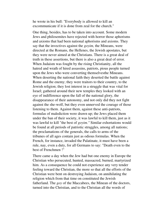he wrote in his bull: "Everybody is allowed to kill an excommunicate if it is done from zeal for the church."

One thing, besides, has to be taken into account. Some modern Jews and philosemites have rejected with horror those aphorisms and axioms that had been national aphorisms and axioms. They say that the invectives against the *goyim,* the Mineans, were directed at the Romans, the Hellenes, the Jewish apostates, but they were never aimed at the Christians. There is a great deal of truth in these assertions, but there is also a great deal of error. When Judaism was fought by the rising Christianity, all the hatred and wrath of hired assassins, patriots, pious people turned upon the Jews who were converting themselvesthe Mineans. When deserting the national faith they deserted the battle against Rome and the enemy; they were traitors to their country, to the Jewish religion; they lost interest in a struggle that was vital for Israel; gathered around their new temples they looked with an eye of indifference upon the fall of the national glory, the disappearance of their autonomy, and not only did they not fight against the she-wolf, but they even unnerved the courage of those listening to them. Against them, against these anti-patriots, formulas of malediction were drawn up; the Jews placed them under the ban of their society, it was lawful to kill them, just as it was lawful to kill "the best of *goyim."* Similar exhortations would be found at all periods of patriotic struggles, among all nations; the proclamations of the generals, the calls to arms of the tribunes of all ages contain just as odious formulas. When the French, for instance, invaded the Palatinate, it must have been a rule, nay, even a duty, for all Germans to say: "Death even to the best of Frenchmen !"

There came a day when the Jew had but one enemy in Europe the Christian who persecuted, hunted, massacred, burned, martyrized him. As a consequence he could not experience any very tender feeling toward the Christian, the more so that all the efforts of the Christian were bent on destroying Judaism, on annihilating the religion which from that time on constituted the Jewish fatherland. The *goy* of the Maccabees, the Minean of the doctors, turned into the Christian, and to the Christian all the words of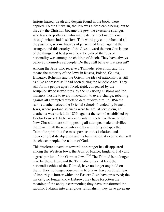furious hatred, wrath and despair found in the book, were applied. To the Christian, the Jew was a despicable being, but to the Jew the Christian became the *goy,* the execrable stranger, who fears no pollution, who maltreats the elect nation, one through whom Judah suffers. This word *goy* comprehended all the passions, scorns, hatreds of persecuted Israel against the stranger, and this cruelty of the Jews toward the non-Jew is one of the things that best prove how long-lived the idea of nationality was among the children of Jacob. They have always believed themselves a people. Do they still believe it at present?

Among the Jews who receive a Talmudic education, and this means the majority of the Jews in Russia, Poland, Galicia, Hungary, Bohemia and the Orient, the idea of nationality is still as alive at present as it had been during the Middle Ages. They still form a people apart, fixed, rigid, congealed by the scrupulously observed rites, by the unvarying customs and the manners; hostile to every innovation, to every change, rebelling against all attempted efforts to detalmudize him. In 1854 the rabbis anathematized the Oriental schools founded by French Jews, where profane sciences were taught; at Jerusalem, an anathema was hurled, in 1856, against the school established by Doctor Franckel. In Russia and Galicia, sects like those of the New Chassidim are still opposing all attempts made to civilize the Jews. In all these countries only a minority escapes the Talmudic spirit, but the mass persists in its isolation, and however great its abjection and its humiliation, it ever holds itself the chosen people, the nation of God.

This intolerant aversion toward the stranger has disappeared among the Western Jews, the Jews of France, England, Italy and a great portion of the German Jews.204 The Talmud is no longer read by these Jews, and the Talmudic ethics, at least the nationalist ethics of the Talmud, have no longer any hold on them. They no longer observe the 613 laws, have lost their fear of impurity, a horror which the Eastern Jews have preserved; the majority no longer know Hebrew; they have forgotten the meaning of the antique ceremonies; they have transformed the rabbinic Judaism into a religious rationalism; they have given up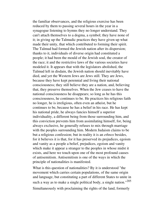the familiar observances, and the religious exercise has been reduced by them to passing several hours in the year in a synagogue listening to hymns they no longer understand. They can't attach themselves to a dogma, a symbol; they have none of it; in giving up the Talmudic practices they have given up what made their unity, that which contributed to forming their spirit. The Talmud had formed the Jewish nation after its dispersion; thanks to it, individuals of diverse origin had constituted a people; it had been the mould of the Jewish soul, the creator of the race; it and the restrictive laws of the various societies have modeled it. It appears that with the legislators abolished, the Talmud left in disdain, the Jewish nation should inevitably have died, and yet the Western Jews are Jews still. They are Jews, because they have kept perennial and living their national consciousness; they still believe they are a nation, and, believing that, they preserve themselves. When the Jew ceases to have the national consciousness he disappears; so long as he has this consciousness, he continues to be. He practices his religious faith no longer, he is irreligious, often even an atheist, but he continues to be, because he has a belief in his race. He has kept his national pride, he always fancies himself a superior individuality, a different being from those surrounding him, and this conviction prevents him from assimilating himself, for, being always exclusive, he generally refuses to mix through marriage with the peoples surrounding him. Modern Judaism claims to be but a religious confession; but in reality it is an *ethnos* besides, for it believes it is that, for it has preserved its prejudices, egoism and vanity as a people a belief, prejudices, egoism and vanity which make it appear a stranger to the peoples in whose midst it exists, and here we touch upon one of the most profound causes of antisemitism. Antisemitism is one of the ways in which the principle of nationalities is manifested.

What is this question of nationalities? By it is understood "the movement which carries certain populations, of the same origin and language, but constituting a part of different States to unite in such a way as to make a single political body, a single nation."<sup>205</sup> Simultaneously with proclaiming the rights of the land, formerly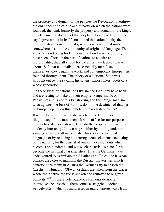the property and domain of the peoples the Revolution overthrew the old conception of rule and dynasty on which the nations were founded; the land, formerly the property and domain of the kings, now became the domain of the people that occupied them. The royal government in itself constituted the national unity the representative, constitutional government placed that unity somewhere else: in the community of origin and language. The artificial bond being broken, a natural bond was sought for; there have been efforts on the part of nations to acquire an individuality; they all strove for the unity they lacked. It was about 1840 that nationalist ideas especially manifested themselves, they began the work, and contemporary Europe was founded through them. The theory of a National State was wrought out by the savants, historians, philosophers, poets of a whole generation.

On these ideas of nationalities Russia and Germany have been and are resting to make up their empire, Pangermanic or Panslavic; and is not this Panslavism, and this Pangermanism what agitates the East of Europe, do not the destinies of that part of Europe depend on this remote or near clash of theirs?

It would be out of place to discuss here the legitimacy or illegitimacy of this movement. It will suffice for our purpose merely to state its existence. How do the peoples construe this tendency into unity? In two ways: either by uniting under the same government all individuals who speak the national language, or by reducing all heterogeneous elements coexisting in the nations, for the benefit of one of these elements which becomes preponderant and whose characteristics henceforth become the national characteristics. Thus the Germans have endeavoured to assimilate the Alsatians and Poles; the Russians compel the Poles to maintain the Russian universities which denationalize them; in Austria the Germans try to absorb the Czechs; in Hungary, "Slovak orphans are taken from the places where their native tongue is spoken and removed to Magyar comitats."206 If these heterogeneous elements do not let themselves be absorbed, there comes a struggle, a violent struggle often, which is manifested in many various ways from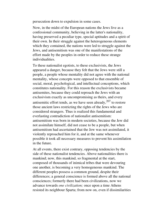persecution down to expulsion in some cases.

Now, in the midst of the European nations the Jews live as a confessional community, believing in the latter's nationality, having preserved a peculiar type, special aptitudes and a spirit of their own. In their struggle against the heterogeneous elements which they contained, the nations were led to struggle against the Jews, and antisemitism was one of the manifestations of the effort made by the peoples in order to reduce these strange individualities.

To these nationalist egotists, to these exclusivists, the Jews appeared a danger, because they felt that the Jews were still a people, a people whose mentality did not agree with the national mentality, whose concepts were opposed to that ensemble of social, moral, psychological, and intellectual conceptions, which constitutes nationality. For this reason the exclusivists became antisemites, because they could reproach the Jews with an exclusivism exactly as uncompromising as theirs, and every antisemitic effort tends, as we have seen already,  $207$  to restore those ancient laws restricting the rights of the Jews who are considered strangers. Thus is realized this fundamental and everlasting contradiction of nationalist antisemitism: antisemitism was born in modern societies, because the Jew did not assimilate himself, did not cease to be a people, but when antisemitism had ascertained that the Jew was not assimilated, it violently reproached him for it, and at the same whenever possible it took all necessary measures to prevent his assimilation in the future.

At all events, there exist contrary, opposing tendencies by the side of these nationalist tendencies. Above nationalities there is mankind; now, this mankind, so fragmental at the start, composed of thousands of inimical tribes that were devouring one another, is becoming a very homogeneous mankind. The different peoples possess a common ground, despite their differences; a general conscience is formed above all the national consciences; formerly there had been civilizations, now we advance towards *one civilization;* once upon a time Athens resisted its neighbour Sparta; from now on, even if dissimilarities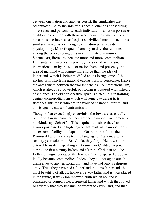between one nation and another persist, the similarities are accentuated. As by the side of his special qualities constituting his essence and personality, each individual in a nation possesses qualities in common with those who speak the same tongue and have the same interests as he, just so civilized mankind acquires similar characteristics, though each nation preserves its physiognomy. More frequent from day to day, the relations among the peoples bring on a more intimate communion. Science, art, literature, become more and more cosmopolitan. Humanitarianism takes its place by the side of patriotism, internationalism by the side of nationalism, and presently the idea of mankind will acquire more force than the idea of fatherland, which is being modified and is losing some of that exclusivism which the national egoists wish to perpetuate. Hence the antagonism between the two tendencies. To internationalism, which is already so powerful, patriotism is opposed with unheard of violence. The old conservative spirit is elated; it is in training against cosmopolitanism which will some day defeat it; it fiercely fights those who are in favour of cosmopolitanism, and this is again a cause of antisemitism.

Though often exceedingly chauvinist, the Jews are essentially cosmopolitan in character; they are the cosmopolitan element of mankind, says Schaeffle. This is quite true, since they have always possessed in a high degree that mark of cosmopolitanism the extreme facility of adaptation. On their arrival into the Promised Land they adopted the language of Canaan; after a seventy year sojourn in Babylonia, they forgot Hebrew and reentered Jerusalem, speaking an Aramaic or Chaldee jargon; during the first century before and after the Christian era, the Hellenic tongue pervaded the Jewries. Once dispersed the Jews fatally became cosmopolites. Indeed they did not again attach themselves to any territorial unit, and have had only a religious unity. True, they have had a fatherland, but this fatherland, the most beautiful of all, as, however, every fatherland is, was placed in the future, it was Zion renewed, with which no land is compared or comparable; a spiritual fatherland which they loved so ardently that they became indifferent to every land, and that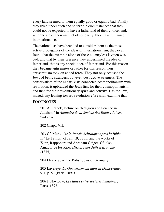every land seemed to them equally good or equally bad. Finally they lived under such and so terrible circumstances that they could not be expected to have a fatherland of their choice, and, with the aid of their instinct of solidarity, they have remained internationalists.

The nationalists have been led to consider them as the most active propagators of the ideas of internationalism; they even found that the example alone of these countryless laymen was bad, and that by their presence they undermined the idea of fatherland, that is any special idea of fatherland. For this reason they became antisemites or rather for this reason their antisemitism took on added force. They not only accused the Jews of being strangers, but even destructive strangers. The conservatism of the exclusivists connected cosmopolitanism with revolution; it upbraided the Jews first for their cosmopolitanism, and then for their revolutionary spirit and activity. Has the Jew, indeed, any leaning toward revolution ? We shall examine that.

#### FOOTNOTES

201 A. Franck, lecture on "Religion and Science in Judaism," in *Annuaire dc la Societe des Etudes Juives*, 2nd year.

202 Chapt. VII.

203 Cf. Munk, *De la Poesie hebraique apres la Bible*, in "Le Temps" of Jan. 19, 1835, and the works of Zunz, Rappoport and Abraham Geiger. Cf. also Amador de los Rios, *Histoire des Juifs d'Espagne* (1875).

204 I leave apart the Polish Jews of Germany.

205 Laveleye, *Le Gouvernement dans la Democratie*, v. I, p. 53 (Paris, 1891)

206 J. Novicow, *Les luttes entre societes humaines*, Paris, 1893.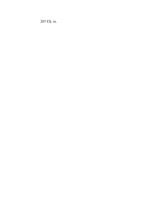207 Ch. ix.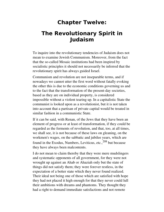## <span id="page-174-0"></span>**[Chapter Twelve:](#page-174-0)**

## **[The Revolutionary Spirit in](#page-174-0) [Judaism](#page-174-0)**

To inquire into the revolutionary tendencies of Judaism does not mean to examine Jewish Communism. Moreover, from the fact that the so-called Mosaic institutions had been inspired by socialistic principles it should not necessarily be inferred that the revolutionary spirit has always guided Israel.

Communism and revolution are not inseparable terms, and if nowadays we cannot utter the first word without fatally evoking the other this is due to the economic conditions governing us and to the fact that the transformation of the present-day societies, based as they are on individual property, is considered impossible without a violent tearing up. In a capitalistic State the communist is looked upon as a revolutionist, but it is not taken into account that a partisan of private capital would be treated in similar fashion in a communistic State.

If it can be said, with Renan, of the Jews that they have been an element of progress or at least of transformation, if they could be regarded as the ferments of revolution, and that, too, at all times, we shall see, it is not because of these laws on gleaning, on the workmen's wages, on the sabbatic and jubilee years, which are found in the Exodus, Numbers, Leviticus, etc.,  $208$  but because they have always been malcontents.

I do not mean to claim thereby that they were mere mudslingers and systematic opponents of all government, for they were not wrought up against an Ahab or Ahaziah only but the state of things did not satisfy them; they were forever restless, in the expectation of a better state which they never found realized. Their ideal not being one of those which are satisfied with hope they had not placed it high enough for that they never could lull their ambitions with dreams and phantoms. They thought they had a right to demand immediate satisfactions and not remote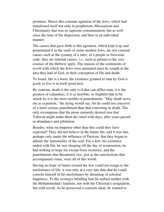promises. Hence this constant agitation of the Jews, which had manifested itself not only in prophetism, Messianism and Christianity that was its supreme consummation, but as well since the time of the dispersion, and then in an individual manner.

The causes that gave birth to this agitation, which kept it up and perpetuated it in the souls of some modern Jews, are not external causes such as the tyranny of a ruler, of a people or ferocious code: they are internal causes, *i.e.,* such as pertain to the very essence of the Hebrew spirit. The reasons of the sentiments of revolt with which the Jews were animated must be sought in the idea they had of God, in their conception of life and death.

To Israel, life is a boon, the existence granted to man by God is good; to live is in itself good luck.

By contrast, death is the only evil that can afflict man, it is the greatest of calamities; it is so horrible, so frightful that to be struck by it is the most terrible of punishments. "May death serve me as expiation," the dying would say, for he could not conceive of a more serious punishment than that consisting in death. The only recompense that the pious earnestly desired was that Yahweh might make them die sated with days, after years passed in abundance and jubilation.

Besides, what recompense other than this could they have expected? They did not believe in the future life, and it was late, perhaps only under the influence of Parsism, that they began to admire the immortality of the soul. For a Jew, his existence ended with life, he was sleeping till the day of resurrection, he had nothing to hope for except from existence, and the punishments that threatened vice, just as the satisfactions that accompanied virtue, were all of this world.

Having no hope of future reward the Jew could not resign to the misfortunes of life; it was only at a very late date that he could console himself in his misfortunes by dreaming of celestial happiness. To the scourges befalling him he replied neither with the Mohammedan's fatalism, nor with the Christian's resignation, but with revolt. As he possessed a concrete ideal, he wanted to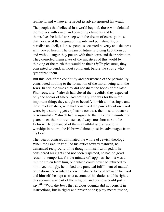realize it, and whatever retarded its advent aroused his wrath.

The peoples that believed in a world beyond, those who deluded themselves with sweet and consoling chimeras and let themselves be lulled to sleep with the dream of eternity; those that possessed the dogma of rewards and punishments, of paradise and hell, all these peoples accepted poverty and sickness with bowed heads. The dream of future rejoicing kept them up, and without anger they put up with their sores and their privation. They consoled themselves of the injustices of this world by thinking of the mirth that would be their *idyllic* pleasures, they consented to bend, without complaint, before the strong who tyrannized them.

But this idea of the continuity and persistence of the personality contributed nothing to the formation of the moral being with the Jews. In earliest times they did not share the hopes of the later Pharisees; after Yahweh had closed their eyelids, they expected only the horror of Sheol. Accordingly, life was for them the important thing; they sought to beautify it with all blessings, and these mad idealists, who had conceived the pure idea of one God were, by a startling yet explicable contrast, the most untractable of sensualists. Yahweh had assigned to them a certain number of years on earth; in this existence, always too short to suit the Hebrew, He demanded of them a faithful and scrupulous worship; in return, the Hebrew claimed positive advantages from his Lord.

The idea of contract dominated the whole of Jewish theology. When the Israelite fulfilled his duties toward Yahweh, he demanded reciprocity. If he thought himself wronged, if he considered his rights had not been respected, he had no good reason to temporize, for the minute of happiness he lost was a minute stolen from him, one which could never be returned to him. Accordingly, he looked to a punctual fulfillment of mutual obligations; he wanted a correct balance to exist between his God and himself; he kept a strict account of his duties and his rights, this account was part of the religion, and Spinoza could justly say: $209$  "With the Jews the religious dogmas did not consist in instructions, but in rights and prescriptions; piety meant justice,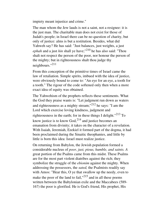impiety meant injustice and crime."

The man whom the Jew lauds is not a saint, not a resignee: it is the just man. The charitable man does not exist for those of Judah's people; in Israel there can be no question of charity, but only of justice: alms is but a restitution. Besides, what did Yahweh say? He has said: "Just balances, just weights, a just *ephah* and a just *hin* shall ye have;"210 he has also said: "Thou shalt not respect the person of the poor, nor honour the person of the mighty; but in righteousness shalt thou judge thy neighbours."<sup>211</sup>

From this conception of the primitive times of Israel came the law of retaliation. Simple spirits, imbued with the idea of justice, were obviously bound to come to: "An eye for an eye, a tooth for a tooth." The rigour of the code softened only then when a more exact idea of equity was obtained.

The Yahwehism of the prophets reflects these sentiments. What the God they praise wants is: "Let judgment run down as waters and righteousness as a mighty stream;  $2^{12}$  he says: "I am the Lord which exercise loving kindness, judgment and righteousness in the earth; for in these things I delight."213 To know justice is to know God,  $2^{14}$  and justice becomes an emanation from divinity; it takes on the character of a revelation. With Isaiah, Jeremiah, Ezekiel it formed part of the dogma, it had been proclaimed during the Sinaitic theophanies, and little by little is born this idea: Israel must realize justice.

On returning from Babylon, the Jewish population formed a considerable nucleus of *poor, just, pious, humble, and saints. A* great portion of the Psalms came from this midst. These Psalms are for the most part violent diatribes against the rich; they symbolize the struggle of the *ebionim* against the mighty. When addressing the possessors, the *sated,* the Psalmists readily say with Amos: "Hear this, O ye that swallow up the needy, even to make the poor of the land to fail,  $12^{15}$  and in all these poems written between the Babylonian exile and the Maccabees (589 167) the poor is glorified. He is God's friend, His prophet, His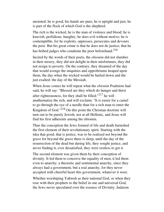anointed; he is good, his hands are pure; he is upright and just; he is part of the flock of which God is the shepherd.

The rich is the wicked, he is the man of violence and blood; he is knavish, perfidious, haughty; he does evil without motive; he is contemptible, for he exploits, oppresses, persecutes and devours the poor. But his great crime is that he does not do justice; that he has bribed judges who condemn the poor beforehand.<sup>216</sup>

Incited by the words of their poets, the *ebionim* did not slumber in their misery, they did not delight in their misfortunes, they did not resign to poverty. On the contrary, they dreamed of the day that would avenge the iniquities and opprobriums heaped upon them, the day when the wicked would be hurled down and the just exalted: the day of the Messiah.

When Jesus comes he will repeat what the *ebionim* Psalmists had said, he will say: "Blessed are they which do hunger and thirst after righteousness, for they shall be filled;"217 he will anathematize the rich, and will exclaim: "It is easier for a camel to go through the eye of a needle than for a rich man to enter the Kingdom of God."218 On this point the Christian doctrine will turn out to be purely Jewish, not at all Hellenic, and Jesus will find his first adherents among the ebionim.

Thus the conception the Jews formed of life and death furnished the first element of their revolutionary spirit. Starting with the idea that good, that is justice, was to be realized not beyond the grave for beyond the grave there is sleep, until the day of the resurrection of the dead but during life, they sought justice, and never finding it, ever dissatisfied, they were restless to get it.

The second element was given them by their conception of divinity. It led them to conceive the equality of men, it led them even to anarchy; a theoretic and sentimental anarchy, since they always had a government, but a real anarchy, for they never accepted with cheerful heart this government, whatever it were.

Whether worshiping Yahweh as their national God, or when they rose with their prophets to the belief in one and universal God, the Jews never speculated over the essence of Divinity. Judaism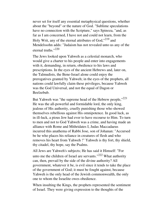never set for itself any essential metaphysical questions, whether about the "beyond" or the nature of God. "Sublime speculations have no connection with the Scripture," says Spinoza, "and, as far as I am concerned, I have not and could not learn, from the Holy Writ, any of the eternal attributes of God,"<sup>219</sup> and Mendelssohn adds: "Judaism has not revealed unto us any of the eternal truths."<sup>220</sup>

The Jews looked upon Yahweh as a celestial monarch, who would give a charter to his people and enter into engagements with it, demanding, in return, obedience to his laws and prescriptions. In the eyes of the ancient Hebrews and, later on, the Talmudists, the Bene-Israel alone could enjoy the prerogatives granted by Yahweh; in the eyes of the prophets, all nations could lawfully claim these privileges, because Yahweh was the God Universal, and not the equal of Dagon or Beelzebub.

But Yahweh was "the supreme head of the Hebrew people,"<sup>221</sup> He was the all-powerful and formidable lord, the only king, jealous of His authority, cruelly punishing those who showed themselves rebellious against His omnipotence. In good luck, as in ill-luck, a pious Jew had ever to have recourse to Him. To turn to men and not to God Yahweh was a crime, and having made an alliance with Rome and Mithridates I, Judas Maccadaeus incurred this anathema of Rabbi Jose, son of Johanan: "Accursed be he who places his reliance in creatures of flesh and who removes his heart from Yahweh !" Yahweh is thy fort, thy shield, thy citadel, thy hope, say the Psalms.

All Jews are Yahweh's subjects; He has said it Himself: "For unto me the children of Israel are servants." $^{222}$  What authority can, then, prevail by the side of the divine authority? All government, whatever it be, is evil since it tends to take the place of the government of God; it must be fought against, because Yahweh is the only head of the Jewish commonwealth, the only one to whom the Israelite owes obedience.

When insulting the Kings, the prophets represented the sentiment of Israel. They were giving expression to the thoughts of the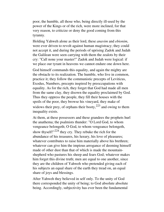poor, the humble, all those who, being directly ill-used by the power of the Kings or of the rich, were more inclined, for that very reason, to criticize or deny the good coming from this tyranny.

Holding Yahweh alone as their lord, these *anavim* and *ebionim*, were ever driven to revolt against human magistracy; they could not accept it, and during the periods of uprising Zadok and Judah the Galilean were seen carrying with them the zealots by their cry: "Call none your master!" Zadok and Judah were logical: if we place our tyrant in heavens we cannot endure one down here.

God himself commands this equality, and again the mighty are the obstacle to its realization. The humble, who live in common, practice it; they follow the communistic precepts of Leviticus, Exodus, Numbers, precepts inspired by preoccupations with equality. As for the rich, they forget that God had made all men from the same clay, they disown the equality proclaimed by God. Thus they oppress the people, they fill their houses with the spoils of the poor, they browse his vineyard, they make of widows their prey, of orphans their booty,  $223$  and owing to them inequality exists.

At them, at these possessors and these grandees the prophets hurl the anathema; the psalmists thunder: "O Lord God, to whom vengeance belongeth; O God, to whom vengeance belongeth, show thyself!" $^{224}$  they cry. They rebuke the rich for the abundance of his treasures, his luxury, his love of pleasures; whatever contributes to raise him materially above his brethren; whatever can give him the impious arrogance of deeming himself made of other dust than that of which is made the mountainshepherd who pastures his sheep and fears God; whatever makes him forget this divine truth; men are equal to one another, since they are the children of Yahweh who pretended giving each of his subjects an equal share of the earth they tread on, an equal share of joys and blessings.

After Yahweh they believed in self only. To the unity of God there corresponded the unity of being; to God absolute absolute being. Accordingly, subjectivity has ever been the fundamental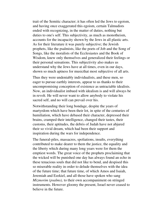trait of the Semitic character; it has often led the Jews to egoism, and having once exaggerated this egoism, certain Talmudists ended with recognizing, in the matter of duties, nothing but duties to one's self. This subjectivity, as much as monotheism, accounts for the incapacity shown by the Jews in all plastic arts. As for their literature it was purely subjective; the Jewish prophets, like the psalmists, like the poets of Job and the Song of Songs, like the moralists of the Ecclesiastes and the Book of Wisdom, knew only themselves and generalized their feelings or their personal sensations. This subjectivity also makes us understand why the Jews have at all times, even in our days, shown so much aptness for musicthat most subjective of all arts.

Thus they were undeniably individualists, and these men, so eager to pursue earthly interests, appear to us thanks to their uncompromising conception of existence as untractable idealists. Now, an individualist imbued with idealism is and will always be in revolt. He will never want to allow anybody to violate his sacred self, and no will can prevail over his.

Notwithstanding their long bondage, despite the years of martyrdom which have been their lot, in spite of the centuries of humiliation, which have debased their character, depressed their brains, cramped their intelligence, changed their tastes, their customs, their aptitudes, the debris of Judah have not abjured their so vivid dream, which had been their support and inspiration during the wars for independence.

The funeral-piles, massacres, spoliations, insults, everything contributed to make dearer to them the justice, the equality and the liberty which during many long years were for them the emptiest words. The great voice of the prophets proclaiming that the wicked will be punished one day has always found an echo in these tenacious souls that did not like to bend, and despised this so miserable reality in order to delude themselves with the idea of the future time; that future time, of which Amos and Isaiah, Jeremiah and Ezekiel, and all those have spoken who sang *Mizmorim (psalms),* to their own accompaniment on stringed instruments. However gloomy the present, Israel never ceased to believe in the future.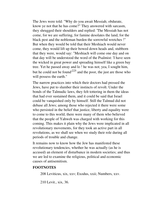The Jews were told: "Why do you await Messiah; obdurate, know ye not that he has come?" They answered with sarcasm, they shrugged their shoulders and replied: 'The Messiah has not come, for we are suffering, for famine desolates the land, for the black pest and the nobleman burden the sorrowful wretches !" But when they would be told that their Meshiach would never come, they would lift up their bowed down heads and, stubborn that they were, would say: "Meshiach will come one day and on that day will be understood the word of the Psalmist: 'I have seen the wicked in great power and spreading himself like a green bay tree. Yet he passed away and lo ! he was not; yea, I sought him, but he could not be found<sup> $225$ </sup> and the poor, the just are those who will possess the earth."

The narrow practices into which their doctors had pressed the Jews, have put to slumber their instincts of revolt. Under the bonds of the Talmudic laws, they felt tottering in them the ideas that had ever sustained them, and it could be said that Israel could be vanquished only by himself. Still the Talmud did not debase all Jews; among those who rejected it there were some who persisted in the belief that justice, liberty and equality were to come to this world; there were many of them who believed that the people of Yahweh was charged with working for this coming. This makes it plain why the Jews were implicated in all revolutionary movements, for they took an active part in all revolutions, as we shall see when we study their role during all periods of trouble and change.

It remains now to know how the Jew has manifested these revolutionary tendencies, whether he was actually (as he is accused) an element of disturbance in modern societies; and thus we are led to examine the religious, political and economic causes of antisemitism.

#### **FOOTNOTES**

208 Leviticus, xix, xxv; Exodus, xxii; Numbers, xxv.

210 Levit., xix, 36.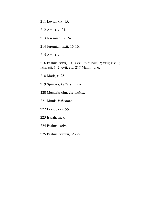211 Levit., xix, 15.

212 Amos, v, 24.

213 Jeremiah, ix, 24.

214 Jeremiah, xxii, 15-16.

215 Amos, viii, 4.

216 Psalms, xxvi, 10; lxxxii, 23; lviii, 2; xxii; xlviii; lxix; cii, 1, 2; cvii, etc. 217 Matth., v, 6.

218 Mark, x, 25.

219 Spinoza, *Letters*, xxxiv.

220 Mendelssohn, *Jerusalem.*

221 Munk, *Palestine*.

222 Levit., xxv, 55.

223 Isaiah, iii; x.

224 Psalms, xciv.

225 Psalms, xxxvii, 35-36.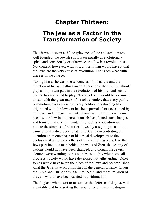## <span id="page-184-0"></span>**[Chapter Thirteen:](#page-184-0)**

# **[The Jew as a Factor in the](#page-184-0) [Transformation of Society](#page-184-0)**

Thus it would seem as if the grievance of the antisemite were well founded; the Jewish spirit is essentially a revolutionary spirit, and consciously or otherwise, the Jew is a revolutionist. Not content, however, with this, antisemitism would have it that the Jews are the very cause of revolution. Let us see what truth there is in the charge.

Taking him as he was, the tendencies of his nature and the direction of his sympathies made it inevitable that the Jew should play an important part in the revolutions of history; and such a part he has not failed to play. Nevertheless it would be too much to say, with the great mass of Israel's enemies, that every public commotion, every uprising, every political overturning has originated with the Jews, or has been provoked or occasioned by the Jews, and that governments change and take on new forms because the Jew in his secret counsels has plotted such changes and transformations. In maintaining such a proposition we violate the simplest of historical laws, by assigning to a minute cause a totally disproportionate effect, and concentrating our attention upon one phase of historical development to the exclusion of a thousand others of its manifold aspects. Had the Jews perished to a man behind the walls of Zion, the destiny of nations would not have been changed, and though the Jewish element were wanting to this wondrous totality which we call progress, society would have developed notwithstanding. Other forces would have taken the place of the Jews and accomplished what the Jews have accomplished in the general scheme. Given the Bible and Christianity, the intellectual and moral mission of the Jew would have been carried out without him.

Theologians who resort to reason for the defense of dogma, will inevitably end by asserting the superiority of reason to dogma,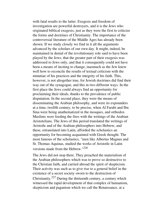with fatal results to the latter. Exegesis and freedom of investigation are powerful destroyers, and it is the Jews who originated biblical exegesis, just as they were the first to criticize the forms and doctrines of Christianity. The importance of the controversial literature of the Middle Ages has already been shown. If we study closely we find in it all the arguments advanced by the scholars of our own day. It might, indeed, be maintained in denial of the revolutionary role said to have been played by the Jews, that the greater part of their exegesis was addressed to Jews only, and that it consequently could not have been a means of inciting to change, inasmuch as the Jew knew well how to reconcile the results of textual criticism with the minutiae of his practices and the integrity of his faith. This, however, is not altogether true, for Jewish doctrines did find their way out of the synagogue, and this in two different ways. In the first place the Jews could always find an opportunity for proclaiming their ideals, thanks to the prevalence of public disputation. In the second place, they were the means of disseminating the Arabian philosophy, and were its expounders at a time, twelfth century, to be precise, when Al Farabi and Ibn Sina were being anathematized in the mosques, and orthodox Muslims were feeding the fires with the writings of the Arabian Aristotelians. The Jews of this period translated the writings of Aristotle and of the Arabian philosophers into Hebrew, and these, retranslated into Latin, afforded the scholastics an opportunity for becoming acquainted with Greek thought. The most famous of the scholastics, "men like Albertus Magnus and St. Thomas Aquinas, studied the works of Aristotle in Latin versions made from the Hebrew."<sup>226</sup>

The Jews did not stop there. They preached the materialism of the Arabian philosophers which was to prove so destructive to the Christian faith, and carried abroad the spirit of skepticism. Their activity was such as to give rise to a general belief in the existence of a secret society sworn to the destruction of Christianity.<sup>227</sup> During the thirteenth century, a century which witnessed the rapid development of that complex of humanism, skepticism and paganism which we call the Renaissance, at a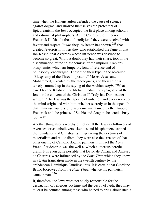time when the Hohenstaufen defended the cause of science against dogma, and showed themselves the protectors of Epicureanism, the Jews occupied the first place among scholars and rationalist philosophers. At the Court of the Emperor Frederick II, "that hotbed of irreligion," they were received with favour and respect. It was they, as Renan has shown,  $228$  that created Averroism; it was they who established the fame of that Ibn-Roshd, that Averroes whose influence was destined to become so great. Without doubt they had their share, too, in the dissemination of the "blasphemies" of the impious Arabians; blasphemies which an Emperor, fond of science and of philosophy, encouraged. These find their type in the so-called "Blasphemy of the Three Impostors," Moses, Jesus and Mohammed, invented by the theologians, and their spirit is tersely summed up in the saying of the Arabian *soufis,* "What care I for the Kaaba of the Mohammedan, the synagogue of the Jew, or the convent of the Christian !" Truly has Darmesteter written: "The Jew was the apostle of unbelief, and every revolt of the mind originated with him, whether secretly or in the open. In that immense foundry of blasphemy maintained by the Emperor Frederick and the princes of Suabia and Aragon, he acted a busy part."<sup>229</sup>

Another thing also is worthy of notice. If the Jews as followers of Averroes, or as unbelievers, skeptics and blasphemers, sapped the foundations of Christianity in spreading the doctrines of materialism and rationalism, they were also the creators of that other enemy of Catholic dogma, pantheism. In fact the *Fons Vitae* of Avicebron was the well at which numerous heretics drank. It is even quite possible that David de Dinant and Amaury de Chartres, were influenced by the *Fons Vitae* which they knew in a Latin translation made in the twelfth century by the archdeacon Dominique Gundissalinus. It is certain that Giordano Bruno borrowed from the *Fons Vitae,* whence his pantheism came in part.<sup>230</sup>

If, therefore, the Jews were not solely responsible for the destruction of religious doctrine and the decay of faith, they may at least be counted among those who helped to bring about such a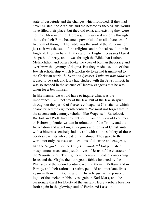state of desuetude and the changes which followed. If they had never existed, the Arabians and the heterodox theologians would have filled their place; but they did exist, and existing they were not idle. Moreover the Hebrew genius worked not only through them, for their Bible became a powerful aid to all advocates of freedom of thought. The Bible was the soul of the Reformation, just as it was the soul of the religious and political revolution in England. Bible in hand, Luther and the English recusants blazed the path to liberty, and it was through the Bible that Luther, Melanchthon and others broke the yoke of Roman theocracy and overthrew the tyranny of dogma. But they made use, too, of that Jewish scholarship which Nicholas de Lyra had transmitted to the Christian world. Si *Lyra non Iyrasset, Lutherus non saltasset,* it used to be said, and Lyra had studied with the Jews; in fact, he was so steeped in the science of Hebrew exegesis that he was taken for a Jew himself.

In like manner we would have to inquire what was the importance, I will not say of the Jew, but of the Jewish spirit throughout the period of fierce revolt against Christianity which characterized the eighteenth century. We must not forget that in the seventeenth century, scholars like Wagenseil, Bartolocci, Buxtorf and Wolf, had brought forth from oblivion old volumes of Hebrew polemic, written in refutation of the Trinity and the Incarnation and attacking all dogmas and forms of Christianity with a bitterness entirely Judaic, and with all the subtlety of those peerless casuists who created the Talmud. They gave to the world not only treatises on questions of doctrine and exegesis, like the *Nizzachon* or the *Chizuk Emunah,*231 but published blasphemous tracts and pseudo-lives of Jesus, of the character of the *Toldoth Jesho.* The eighteenth century repeated, concerning Jesus and the Virgin, the outrageous fables invented by the Pharisees of the second century; we find them in Voltaire and in Parney, and their rationalist satire, pellucid and mordant, lives again in Heine, in Boerne and in Disraeli; just as the powerful logic of the ancient rabbis lives again in Karl Marx, and the passionate thirst for liberty of the ancient Hebrew rebels breathes forth again in the glowing soul of Ferdinand Lassalle.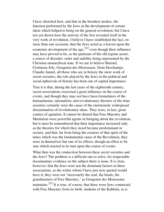I have sketched here, and that in the broadest strokes, the function performed by the Jews in the development of certain ideas which helped to bring on the general revolution; but I have not yet shown how the activity of the Jew revealed itself in the very work of revolution. I believe I have established the fact, on more than one occasion, that the Jews acted as a leaven upon the economic development of the age,  $232$  even though their influence may have proved to be, as the partisans of the old regime assert, a source of disorder; order and stability being represented by the Christian monarchical state. If we are to believe Barruel, Cretineau-Joly, Gougenot des Mousseaux, Dom Deschamps, Claudio Jannet, all those who see in history the mere work of secret societies, the role played by the Jews in the political and social upheavals of history has been one of capital importance.

True it is that, during the last years of the eighteenth century, secret associations exercised a great influence on the course of events, and though they may not have been formulators of the humanitarian, rationalistic and revolutionary theories of the time, societies certainly were the cause of the enormously widespread dissemination of revolutionary ideas. They were, in fact, great centres of agitation. It cannot be denied that Free Masonry and Martinism were powerful agents in bringing about the revolution, but it must be remembered that their importance increased only as the theories for which they stood became predominant in society, and that, far from being the creators of that spirit of the times which was the fundamental cause of the Revolution, they were in themselves but one of its effects, though an effect to be sure which reacted in its turn upon the course of events.

What then was the connection between these secret societies and the Jews? The problem is a difficult one to solve, for respectable documentary evidence on the subject there is none. It is clear, however, that the Jews were not the dominant factors in these associations, as the writer whom I have just now quoted would have it; they were not "necessarily the soul, the heads, the grandmasters of Free Masonry," as Gougenot des Mousseaux maintains.<sup>233</sup> It is true, of course, that there were Jews connected with Free Masonry from its birth, students of the Kabbala, as is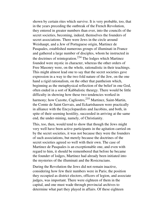shown by certain rites which survive. It is very probable, too, that in the years preceding the outbreak of the French Revolution, they entered in greater numbers than ever, into the councils of the secret societies, becoming, indeed, themselves the founders of secret associations. There were Jews in the circle around Weishaupt, and a Jew of Portuguese origin, Martinez de Pasquales, established numerous groups of illuminati in France and gathered a large number of disciples, whom he instructed in the doctrines of reintegration.<sup>234</sup> The lodges which Martinez founded were mystic in character, whereas the other orders of Free Masonry were, on the whole, rationalistic in their teachings. This might almost lead one to say that the secret societies gave expression in a way to the two fold nature of the Jew, on the one hand a rigid rationalism, on the other that pantheism which, beginning as the metaphysical reflection of the belief in one God, often ended in a sort of Kabbalistic theurgy. There would be little difficulty in showing how these two tendencies worked in harmony; how Cazotte, Cagliostro,<sup>235</sup> Martinez, Saint-Martin, the Comte de Saint Gervais, and Eckartshausen were practically in alliance with the Encyclopaedists and Jacobins, and both, in spite of their seeming hostility, succeeded in arriving at the same end, the under-mining, namely, of Christianity.

This, too, then, would tend to show that though the Jews might very well have been active participants in the agitation carried on by the secret societies, it was not because they were the founders of such associations, but merely because the doctrines of the secret societies agreed so well with their own. The case of Martinez de Pasquales is an exceptionable one, and even with regard to him, it should be remembered that before he became the founder of lodges, Martinez had already been initiated into the mysteries of the illuminati and the Rosicrucians.

During the Revolution the Jews did not remain inactive, considering how few their numbers were in Paris; the position they occupied as district electors, officers of legion, and associate judges, was important. There were eighteen of them in the capital, and one must wade through provincial archives to determine what part they played in affairs. Of these eighteen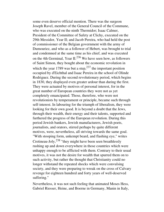some even deserve official mention. There was the surgeon Joseph Ravel, member of the General Council of the Commune, who was executed on the ninth Thermidor; Isaac Calmer, President of the Committee of Safety at Clichy, executed on the 29th Messidor, Year II; and Jacob Pereira, who had held the post of commissioner of the Belgian government with the army of Dumouriez, and who as a follower of Hebert, was brought to trial and condemned at the same time as his chief, and was executed on the 4th Germinal, Year II.<sup>236</sup> We have seen how, as followers of Saint Simon, they bought about the economic revolution in which the year 1789 was but a step,  $237$  the important position occupied by d'Eichthal and Isaac Pereira in the school of Olinde Rodriguez. During the second revolutionary period, which begins in 1830, they displayed even greater ardour than during the first. They were actuated by motives of personal interest, for in the great number of European countries they were not as yet completely emancipated. Those, therefore, who were not revolutionists by temperament or principle, became such through self-interest. In labouring for the triumph of liberalism, they were looking for their own good. It is beyond a doubt that the Jews, through their wealth, their energy and their talents, supported and furthered the progress of the European revolution. During this period Jewish bankers, Jewish manufacturers, Jewish poets, journalists, and orators, stirred perhaps by quite different motives, were, nevertheless, all striving towards the same goal. "With stooping form, unkempt beard, and flashing eye," writes Cretineau-Joly, $238$  "they might have been seen breathlessly rushing up and down everywhere in those countries which were unhappy enough to be afflicted with them. Contrary to their usual motives, it was not the desire for wealth that spurred them on to such activity, but rather the thought that Christianity could no longer withstand the repeated shocks which were convulsing society, and they were preparing to wreak on the cross of Calvary revenge for eighteen hundred and forty years of well-deserved suffering."

Nevertheless, it was not such feeling that animated Moses Hess, Gabriel Riesser, Heine, and Boerne in Germany, Manin in Italy,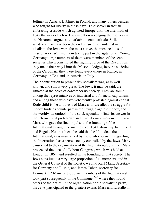Jellinek in Austria, Lubliner in Poland, and many others besides who fought for liberty in those days. To discover in that all embracing crusade which agitated Europe until the aftermath of 1848 the work of a few Jews intent on revenging themselves on the Nazarene, argues a remarkable mental attitude. Still, whatever may have been the end pursued, self-interest or idealism, the Jews were the most active, the most zealous of missionaries. We find them taking part in the agitation of Young Germany; large numbers of them were members of the secret societies which constituted the fighting force of the Revolution; they made their way l into the Masonic lodges, into the societies of the Carbonari, they were found everywhere in France, in Germany, in England, in Austria, in Italy.

Their contribution to present-day socialism was, as is well known, and still is very great. The Jews, it may be said, are situated at the poles of contemporary society. They are found among the representatives of industrial and financial capitalism, and among those who have vehemently protested against capital. Rothschild is the antithesis of Marx and Lassalle; the struggle for money finds its counterpart in the struggle against money, and the worldwide outlook of the stock-speculator finds its answer in the international proletarian and revolutionary movement. It was Marx who gave the first impulse to the founding of the International through the manifesto of 1847, drawn up by himself and Engels. Not that it can be said that he "founded" the International, as is maintained by those who persist in regarding the International as a secret society controlled by the Jews. Many causes led to the organization of the International, but from Marx proceeded the idea of a Labour Congress, which was held at London in 1864, and resulted in the founding of that society. The Jews constituted a very large proportion of its members, and in the General Council of the society, we find Karl Marx, Secretary for Germany and Russia, and James Cohen, secretary for Denmark.239 Many of the Jewish members of the International took part subsequently in the Commune,  $240$  where they found others of their faith. In the organization of the socialistic party, the Jews participated to the greatest extent. Marx and Lassalle in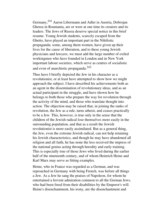Germany,<sup>241</sup> Aaron Libermann and Adler in Austria, Dobrojan Gherea in Roumania, are or were at one time its creators and its leaders. The Jews of Russia deserve special notice in this brief resume. Young Jewish students, scarcely escaped from the Ghetto, have played an important part in the Nihilistic propaganda; some, among them women, have given up their lives for the cause of liberation, and to these young Jewish physicians and lawyers, we must add the large number of exiled workingmen who have founded in London and in New York important labour societies, which serve as centres of socialistic and even of anarchistic propaganda.<sup>242</sup>

Thus have I briefly depicted the Jew in his character as a revolutionist, or at least have attempted to show how we might approach the subject. I have described his achievements both as an agent in the dissemination of revolutionary ideas, and as an actual participant in the struggle, and have shown how he belongs to both those who prepare the way for revolution through the activity of the mind, and those who translate thought into action. The objection may be raised that, in joining the ranks of revolution, the Jew as a rule, turns atheist, and ceases practically to be a Jew. This, however, is true only in the sense that the children of the Jewish radical lose themselves more easily in the surrounding population, and that as a result the Jewish revolutionist is more easily assimilated. But as a general thing, the Jew, even the extreme Jewish radical, can not help retaining his Jewish characteristics, and though he may have abandoned all religion and all faith, he has none the less received the impress of the national genius acting through heredity and early training. This is especially true of those Jews who lived during the earlier half of the nineteenth century, and of whom Heinrich Heine and Karl Marx may serve as fitting examples.

Heine, who in France was regarded as a German, and was reproached in Germany with being French, was before all things a Jew. As a Jew he sang the praises of Napoleon, for whom he entertained a fervent admiration common to all the German Jews, who had been freed from their disabilities by the Emperor's will. Heine's disenchantment, his irony, are the disenchantment and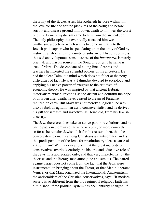the irony of the Ecclesiastes; like Koheleth he bore within him the love for life and for the pleasures of the earth; and before sorrow and disease ground him down, death to him was the worst of evils. Heine's mysticism came to him from the ancient Job. The only philosophy that ever really attracted him was pantheism, a doctrine which seems to come naturally to the Jewish philosopher who in speculating upon the unity of God by instinct transforms it into a unity of substance. His sensuousness, that sad and voluptuous sensuousness of the *Intermezzo,* is purely oriental, and has its source in the Song of Songs. The same is true of Marx. The descendant of a long line of rabbis and teachers he inherited the splendid powers of his ancestors. He had that clear Talmudic mind which does not falter at the petty difficulties of fact. He was a Talmudist devoted to sociology and applying his native power of exegesis to the criticism of economic theory. He was inspired by that ancient Hebraic materialism, which, rejecting as too distant and doubtful the hope of an Eden after death, never ceased to dream of Paradise realized on earth. But Marx was not merely a logician, he was also a rebel, an agitator, an acrid controversialist, and he derived his gift for sarcasm and invective, as Heine did, from his Jewish ancestry.

The Jew, therefore, does take an active part in revolutions; and he participates in them in so far as he is a Jew, or more correctly in so far as he remains Jewish. Is it for this reason, then, that the conservative elements among Christians are antisemites, and is this predisposition of the Jews for revolutionary ideas a cause of antisemitism? We may say at once that the great majority of conservatives overlook entirely the historic and educative role of the Jews. It is appreciated only, and that very imperfectly, by the theorists and the literary men among the antisemites. The hatred against Israel does not come from the fact that the Jews were instrumental in bringing about the Terror, or that Manin liberated Venice, or that Marx organized the International. Antisemitism, the antisemitism of the Christian conservatives, says: "If modern society is so different from the old regime; if religious faith has diminished; if the political system has been entirely changed; if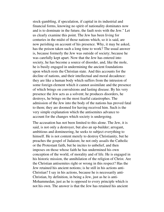stock-gambling, if speculation, if capital in its industrial and financial forms, knowing no spirit of nationality dominates now and is to dominate in the future, the fault rests with the Jew." Let us clearly examine this point. The Jew has been living for centuries in the midst of those nations which, so it is said, are now perishing on account of his presence. Why, it may be asked, has the poison taken such a long time to work? The usual answer is, because formerly the Jew was outside of society; because he was carefully kept apart. Now that the Jew has entered into society, he has become a source of disorder, and, like the mole, he is busily engaged in undermining the ancient foundations upon which rests the Christian state. And this accounts for the decline of nations, and their intellectual and moral decadence: they are like a human body which suffers from the intrusion of some foreign element which it cannot assimilate and the presence of which brings on convulsions and lasting disease. By his very presence the Jew acts as a solvent; he produces disorders, he destroys, he brings on the most fearful catastrophes. The admission of the Jew into the body of the nations has proved fatal to them; they are doomed for having received him. Such is the very simple explanation which the antisemites advance to account for the changes which society is undergoing.

The accusation has not been limited to this alone. The Jew, it is said, is not only a destroyer, but also an up-builder; arrogant, ambitious and domineering, he seeks to subject everything to himself. He is not content merely to destroy Christianity, but he preaches the gospel of Judaism; he not only assails the Catholic or the Protestant faith, but he incites to unbelief, and then imposes on those whose faith he has undermined his own conception of the world, of morality and of life. He is engaged in his historic mission, the annihilation of the religion of Christ. Are the Christian antisemites right or wrong in this respect? Has the Jew retained his ancient notions; is he still in his actions anti-Christian? I say in his actions, because he is necessarily anti-Christian, by definition, in being a Jew, just as he is anti-Mohammedan, just as he is opposed to every principle which is not his own. The answer is that the Jew has retained his ancient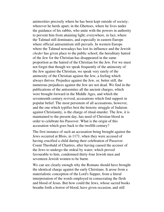animosities precisely where he has been kept outside of society; wherever he herds apart; in the Ghettoes, where he lives under the guidance of his rabbis, who unite with the powers in authority to prevent him from attaining light; everywhere, in fact, where the Talmud still dominates, and especially in eastern Europe where official antisemitism still prevails. In western Europe where the Talmud nowadays has lost its influence and the Jewish *cheder* has given place to the public school, the hereditary hatred of the Jew for the Christian has disappeared in the same proportion as the hatred of the Christian for the Jew. For we must not forget that though we speak frequently of the animosity of the Jew against the Christian, we speak very rarely of the animosity of the Christian against the Jew, a feeling which always thrives. Prejudice against the Jew, or, better still, the numerous prejudices against the Jew are not dead. We find in the publications of the antisemites all the ancient charges, which were brought forward in the Middle Ages, and which the seventeenth century revived, accusations which find support in popular belief. The most persistent of all accusations, however, and the one which typifies best the historic struggle of Judaism against Christianity, is the charge of ritual-murder. The Jew, it is maintained to the present day, has need of Christian blood in order to celebrate his Passover. What is the origin of this accusation which goes back to the twelfth century?

The first instance of such an accusation being brought against the Jews occurred at Blois, in 1171, when they were accused of having crucified a child during their celebration of Passover. Count Theobald of Chartres, after having caused the accuser of the Jews to undergo the ordeal by water, which proved favourable to him, condemned thirty-four Jewish men and seventeen Jewish women to be burnt.

We can see clearly enough why the Romans should have brought the identical charge against the early Christians. It arose from a materialistic conception of the Lord's Supper, from a literal interpretation of the words employed in consecrating the flesh and blood of Jesus. But how could the Jews, whose sacred books breathe forth a horror of blood, have given occasion, and still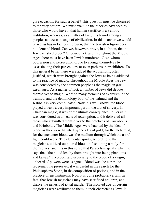give occasion, for such a belief? This question must be discussed to the very bottom. We must examine the theories advanced by those who would have it that human sacrifice is a Semitic institution, whereas, as a matter of fact, it is found among all peoples at a certain stage of civilization. In this manner we would prove, as has in fact been proven, that the Jewish religion does not demand blood. Can we, however, prove, in addition, that no Jew ever shed blood? Of course not, and throughout the Middle Ages there must have been Jewish murderers, Jews whom oppression and persecution drove to avenge themselves by assassinating their persecutors or even perhaps their children. To this general belief there were added the accusations, often justified, which were brought against the Jews as being addicted to the practice of magic. Throughout the Middle Ages the Jew was considered by the common people as the magician *par excellence.* As a matter of fact, a number of Jews did devote themselves to magic. We find many formulas of exorcism in the Talmud, and the demonology both of the Talmud and the Kabbala is very complicated. Now it is well known the blood played always a very important part in the arts of sorcery. In Chaldean magic, it was of the utmost consequence; in Persia it was considered as a means of redemption, and it delivered all those who submitted themselves to the practices of Taurobolus and Kriobolus. The Middle Ages were haunted by the idea of blood as they were haunted by the idea of gold; for the alchemist, for the enchanter blood was the medium through which the astral light could work. The elemental spirits, according to the magicians, utilized outpoured blood in fashioning a body for themselves, and it is in this sense that Paracelsus speaks when he says that "the blood lost by them brought into being phantoms and larvae." To blood, and especially to the blood of a virgin, unheard of powers were assigned. Blood was the curer, the redeemer, the preserver; it was useful in the search for the Philosopher's Stone, in the composition of potions, and in the practice of enchantments. Now it is quite probable, certain, in fact, that Jewish magicians may have sacrificed children, and thence the genesis of ritual murder. The isolated acts of certain magicians were attributed to them in their character as Jews. It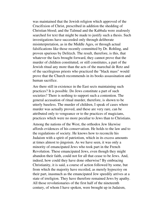was maintained that the Jewish religion which approved of the Crucifixion of Christ, prescribed in addition the shedding of Christian blood; and the Talmud and the Kabbala were zealously searched for text that might be made to justify such a thesis. Such investigations have succeeded only through deliberate misinterpretation, as in the Middle Ages, or through actual falsifications like those recently committed by Dr. Rohling, and proven spurious by Delitzch. The result, therefore, is this, that whatever the facts brought forward, they cannot prove that the murder of children constituted, or still constitutes, a part of the Jewish ritual any more than the acts of the marechal de Retz and of the sacrilegious priests who practiced the "black mass" would prove that the Church recommends in its books assassination and human sacrifice.

Are there still in existence in the East sects maintaining such practices? It is possible. Do Jews constitute a part of such societies? There is nothing to support such a contention. The general accusation of ritual murder, therefore, is shown to be utterly baseless. The murder of children, I speak of cases where murder was actually proved, and these are very rare, can be attributed only to vengeance or to the practices of magicians, practices which were no more peculiar to Jews than to Christians.

Among the nations of the West, the orthodox Jew likewise affords evidences of his conservatism. He holds to the law and to the regulations of society. He knows how to reconcile his Judaism with a spirit of patriotism, which in its excess amounts at times almost to jingoism. As we have seen, it was only a minority of emancipated Jews who took part in the French Revolution. These emancipated Jews, even though they might abandon their faith, could not for all that cease to be Jews. And, indeed, how could they have done otherwise? By embracing Christianity, it is said, a course of action followed by some, but from which the majority have recoiled, as merely hypocrisy on their part, inasmuch as the emancipated Jew speedily arrives at a state of irreligion. They have therefore remained Jews by apathy. All those revolutionaries of the first half of the nineteenth century, of whom I have spoken, were brought up in Judaism,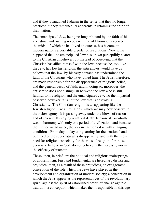and if they abandoned Judaism in the sense that they no longer practiced it, they remained its adherents in retaining the spirit of their nation.

The emancipated Jew, being no longer bound by the faith of his ancestors, and owning no ties with the old forms of a society in the midst of which he had lived an outcast, has become in modern nations a veritable breeder of revolutions. Now it has happened that the emancipated Jew has drawn perceptibly nearer to the Christian unbeliever; but instead of observing that the Christian has allied himself with the Jew, because he, too, like the Jew, has lost his religion, the antisemites would have us believe that the Jew, by his very contact, has undermined the faith of the Christians who have joined him. The Jews, therefore, are made responsible for the disappearance of religious belief, and the general decay of faith; and in doing so, moreover, the antisemite does not distinguish between the Jew who is still faithful to his religion and the emancipated Jew. To the impartial observer, however, it is not the Jew that is destroying Christianity. The Christian religion is disappearing like the Jewish religion, like all religions, which we may now observe in their slow agony. It is passing away under the blows of reason and of science. It is dying a natural death, because it essentially was in harmony with only one period of civilization, and because the further we advance, the less in harmony it is with changing conditions. From day to day our yearning for the irrational and our need of the supernatural is disappearing, and with them our need for religion, especially for the rites of religion: for those even who believe in God, do not believe in the necessity nor in the efficacy of worship.

These, then, in brief, are the political and religious mainsprings of antisemitism. First and fundamental are hereditary dislike and prejudice; then, as a result of these prejudices, an exaggerated conception of the role which the Jews have played in the development and organization of modern society; a conception in which the Jews appear as the representatives of the revolutionary spirit, against the spirit of established order; of change against tradition; a conception which makes them responsible in this age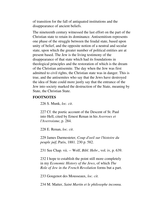of transition for the fall of antiquated institutions and the disappearance of ancient beliefs.

The nineteenth century witnessed the last effort on the part of the Christian state to retain its dominance. Antisemitism represents one phase of the struggle between the feudal state, based upon unity of belief, and the opposite notion of a neutral and secular state, upon which the greater number of political entities are at present based. The Jew is the living testimony of the disappearance of that state which had its foundations in theological principles and the restoration of which is the dream of the Christian antisemite. The day when the Jew was first admitted to civil rights, the Christian state was in danger. This is true, and the antisemites who say that the Jews have destroyed the idea of State could more justly say that the entrance of the Jew into society marked the destruction of the State, meaning by State, the Christian State.

### FOOTNOTES

226 S. Munk, *loc. cit*.

227 Cf. the poetic account of the Descent of St. Paul into Hell, cited by Ernest Renan in his *Averroes et l'Averroisme*, p. 284.

228 E. Renan, *loc. cit*.

229 James Darmesteter, *Coup d'oeil sur l'histoire du peuple juif*, Paris, 1881. 230 p. 582.

231 See Chap. vii. Wolf, *Bibl. Hebr*., vol. iv, p. 639.

232 I hope to establish the point still more completely in my *Economic History of the Jews*, of which *The Role of Jew in the French Revolution* forms but a part.

233 Gougenot des Mousseaux, *loc. cit.*

234 M. Matter, *Saint Martin et le philosophe inconnu.*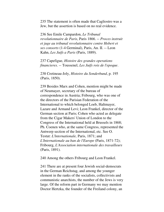235 The statement is often made that Cagliostro was a Jew, but the assertion is based on no real evidence.

236 See Emile Campardon, *Le Tribunal revolutionnaire de Paris*, Paris 1866. *Proces instruit et juge au tribunal revolutionnaire contre Hebert et ses consorts* (14 Germinal), Paris, An. II. Leon Kahn, *Les Juifs a Paris* (Paris, 1889).

237 Capefigue, *Histoire des grandes operations financieres*. Toussenel, *Les Juifs rois de l'epoque*.

238 Cretineau-Joly, *Histoire du Sonderbund*, p. 195 (Paris, 1850).

239 Besides Marx and Cohen, mention might be made of Neumayer, secretary of the bureau of correspondence in Austria; Fribourg, who was one of the directors of the Parisian Federation of the International to which belonged Loeb, Haltmayer, Lazare and Armand Levi; Leon Frankel, director of the German section at Paris; Cohen who acted as delegate from the Cigar Makers' Union of London to the Congress of the International held at Brussels in 1868; Ph. Coenen who, at the same Congress, represented the Antwerp section of the International, etc. See O. Testut: *L'lnternationale,* Paris, 1871; and *L'Internationale au ban de l'Europe* (Paris, 1871-72); Fribourg, *L'Association internationale des travailleurs* (Paris, 1891).

240 Among the others Fribourg and Leon Frankel.

241 There are at present four Jewish social-democrats in the German Reichstag, and among the younger element in the ranks of the socialists, collectivists and communistic anarchists, the number of the Jews is very large. Of the reform part in Germany we may mention Doctor Hertzka, the founder of the Freiland colony, an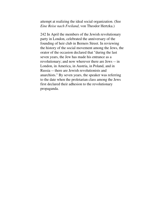attempt at realizing the ideal social organization. (See *Eine Reise nach Freiland*, von Theodor Hertzka.)

242 In April the members of the Jewish revolutionary party in London, celebrated the anniversary of the founding of heir club in Berners Street. In reviewing the history of the social movement among the Jews, the orator of the occasion declared that "during the last seven years, the Jew has made his entrance as a revolutionary; and now wherever there are Jews -- in London, in America, in Austria, in Poland, and in Russia -- there are Jewish revolutionists and anarchists." By seven years, the speaker was referring to the date when the proletarian class among the Jews first declared their adhesion to the revolutionary propaganda.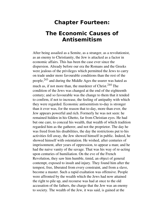## <span id="page-202-0"></span>**[Chapter Fourteen:](#page-202-0)**

## **[The Economic Causes of](#page-202-0) [Antisemitism](#page-202-0)**

After being assailed as a Semite, as a stranger, as a revolutionist, as an enemy to Christianity, the Jew is attacked as a factor in economic affairs. This has been the case ever since the dispersion. Already before our era the Romans and the Greeks were jealous of the privileges which permitted the Jews to carry on trade under more favourable conditions than the rest of the people,<sup>243</sup> and during the Middle Ages the usurer was hated as much as, if not more than, the murderer of Christ.<sup>244</sup> The condition of the Jews was changed at the end of the eighteenth century; and so favourable was the change to them that it tended to confirm, if not to increase, the feeling of antipathy with which they were regarded. Economic antisemitism to-day is stronger than it ever was, for the reason that to-day, more than ever, the Jew appears powerful and rich. Formerly he was not seen: he remained hidden in his Ghetto, far from Christian eyes. He had but one care, to conceal his wealth, that wealth of which tradition regarded him as the gatherer, and not the proprietor. The day he was freed from his disabilities, the day the restrictions put to his activities fell away, the Jew showed himself in public. Indeed, he showed himself with ostentation. He wished, after centuries of imprisonment, after years of oppression, to appear a man; and he had the naive vanity of the savage. That was his way of re-acting upon centuries of humiliation. On the eve of the French Revolution, they saw him humble, timid, an object of general contempt, exposed to insult and injury. They found him after the tempest, free, liberated from every constraint, and from a slave, become a master. Such a rapid exaltation was offensive. People were affronted by the wealth which the Jews had now attained the right to pile up, and recourse was had at once to the old accusation of the fathers, the charge that the Jew was an enemy to society. The wealth of the Jew, it was said, is gained at the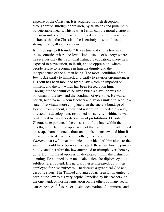expense of the Christian. It is acquired through deception, through fraud, through oppression, by all means and principally by detestable means. This is what I shall call the moral charge of the antisemites, and it may be summed up thus: the Jew is more dishonest than the Christian ; he is entirely unscrupulous, a stranger to loyalty and candour.

Is this charge well founded? It was true and still is true in all those countries where the Jew is kept outside of society; where he receives only the traditional Talmudic education; where he is exposed to persecution, to insult, and to oppression; where people refuse to recognize in him the dignity and the independence of the human being. The moral condition of the Jew is due partly to himself, and partly to exterior circumstances. His soul has been moulded by the law which he imposed on himself, and the law which has been forced upon him. Throughout the centuries he lived twice a slave: he was the bondman of the law, and the bondman of everyone. He was a pariah, but a pariah whom teachers and guides united to keep in a state of servitude more complete than the ancient bondage of Egypt. From without, a thousand restrictions impeded his way, arrested his development, restrained his activity; within, he was confronted by an elaborate system of prohibitions. Outside the Ghetto, he experienced the constraint of the law; within the Ghetto, he suffered the oppression of the Talmud. If he attempted to escape from the one, a thousand punishments awaited him; if he ventured to depart from the other, he exposed himself to the *Cherem*, that awful excommunication which left him alone to the world. It would have been vain to attack these two hostile powers boldly; and therefore the Jew attempted to triumph over them by guile. Both forms of oppression developed in him the instinct of cunning. He attained to an unequaled talent for diplomacy, to a subtlety rarely found. His natural finesse increased, but it was employed for base purposes -- to deceive a tyrannical God and despotic rulers. The Talmud and anti-Judaic legislation united to corrupt the Jew to his very depths. Impelled by his teachers, on the one hand, by hostile legislation on the other, by many social causes besides,<sup>245</sup> to the exclusive occupation of commerce and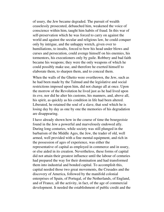of usury, the Jew became degraded. The pursuit of wealth ceaselessly prosecuted, debauched him, weakened the voice of conscience within him, taught him habits of fraud. In this war of self-preservation which he was forced to carry on against the world and against the secular and religious law, he could conquer only by intrigue, and the unhappy wretch, given over to humiliations, to insults, forced to bow his head under blows and curses and persecution, could avenge himself on his enemies, his tormentors, his executioners only by guile. Robbery and bad faith became his weapons; they were the only weapons of which he could possibly make use, and therefore he exerted himself to elaborate them, to sharpen them, and to conceal them.

When the walls of the Ghetto were overthrown, the Jew, such as he had been made by the Talmud and the legislative and social restrictions imposed upon him, did not change all at once. Upon the morrow of the Revolution he lived just as he had lived upon its eve, nor did he alter his customs, his manners, and, above all, his spirit, as quickly as his condition in life had been altered. Liberated, he retained the soul of a slave, that soul which he is losing day by day as one by one the memories of his degradation are disappearing.

I have already shown how in the course of time the bourgeoisie found in the Jew a powerful and marvelously endowed ally. During long centuries, while society was still plunged in the barbarism of the Middle Ages, the Jew, the trader of old, well armed, well provided with a fine mental equipment, and rich in the possession of ages of experience, was either the representative of capital as employed in commerce and in usury, or else aided in its creation. Nevertheless, these forms of capital did not attain their greatest influence until the labour of centuries had prepared the way for their domination and had transformed them into industrial and bonded capital. To accomplish this, capital needed those two great movements, the Crusades and the discovery of America, followed by the manifold colonial enterprises of Spain, of Portugal, of the Netherlands, of England, and of France, all the activity, in fact, of the age of commercial development. It needed the establishment of public credit and the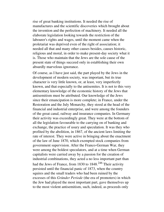rise of great banking institutions. It needed the rise of manufactures and the scientific discoveries which brought about the invention and the perfection of machinery. It needed all the elaborate legislation looking towards the restriction of the labourer's rights and wages, until the moment came when the proletariat was deprived even of the right of association; it needed all that and many other causes besides, causes historic, religious and moral, in order to make present-day society what it is. Those who maintain that the Jews are the sole cause of the present state of things succeed only in establishing their own absurdly marvelous ignorance.

Of course, as I have just said, the part played by the Jews in the development of modern society, was important, but its true character is very little known, or, at least, very imperfectly known, and that especially to the antisemites. It is not to this very elementary knowledge of the economic history of the Jews that antisemitism must be attributed. Our knowledge of the Jews since their emancipation is more complete; in France, under the Restoration and the July Monarchy, they stood at the head of the financial and industrial enterprise, and were among the founders of the great canal, railway and insurance companies. In Germany their activity was exceedingly great. They were at the bottom of all the legislation favourable to the carrying on of banking and exchange, the practice of usury and speculation. It was they who profited by the abolition, in 1867, of the ancient laws limiting the rate of interest. They were active in bringing about the enactment of the law of June 1870, which exempted stock companies from government supervision. After the Franco-German War, they were among the boldest speculators, and at a time when German capitalists were carried away by a passion for the creation of industrial combinations, they acted a no less important part than had the Jews of France, from 1830 to  $1848<sup>246</sup>$  Their activity persisted until the financial panic of 1873, when the country squires and the small traders who had been ruined by the excesses of this *Gründer Periode* (the era of promoters) in which the Jew had played the most important part, gave themselves up to the most violent antisemitism, such, indeed, as proceeds only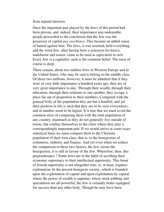from injured interests.

Once the important part played by the Jews of this period had been proven, and, indeed, their importance was undeniable, people proceeded to the conclusion that the Jew was the possessor of capital *par excellence*. This became an added cause of hatred against him. The Jews, it was asserted, held everything, and the word Jew, after having been a synonym for knave, malefactor and usurer, came to be used as equivalent to rich. Every Jew is a capitalist; such is the common belief. The error of course is deep.

There remain, about two million Jews in Western Europe and in the United States, who may be said to belong to the middle class. Of these two millions, however, it must be admitted that if they were of very little importance a hundred years ago, they are of very great importance to-day. Through their wealth, through their education, through their relations to one another, they occupy a place far out of proportion to their numbers. Compared with the general body of the population they are but a handful, and yet their position in life is such that they are to be seen everywhere, and in number seem to be legion. It is true that we must avoid the common error of comparing them with the total population of any country, inasmuch as they do not generally live outside of towns, but confine themselves to the cities where they play a correspondingly important part. If we would arrive at some exact statistical basis we must compare them to the Christian population of their own class, that is, to the bourgeoisie of commerce, industry and finance. And yet even when we reduce the comparison to these two factors, the Jew versus the bourgeoisie, it is still in favour of the Jew. Wherefore, then, this preponderance ? Some Jews are in the habit of ascribing their economic supremacy to their intellectual superiority. This boast of Jewish superiority is not altogether true, or, at least, requires explanation. In the present bourgeois society, which is founded upon the exploitation of capital and upon exploitation by capital, where the power of wealth is supreme, where stock-jobbing and speculation are all-powerful, the Jew is certainly better equipped for success than any other body. Though he may have been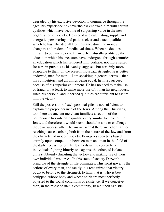degraded by his exclusive devotion to commerce through the ages, his experience has nevertheless endowed him with certain qualities which have become of surpassing value in the new organization of society. He is cold and calculating, supple and energetic, persevering and patient, clear and exact, qualities which he has inherited all from his ancestors, the money changers and traders of mediaeval times. When he devotes himself to commerce or to finance, he naturally profits by the education which his ancestors have undergone through centuries, an education which has rendered him, perhaps, not more suited for certain pursuits as his vanity suggests, but certainly more adaptable to them. In the present industrial struggle, he is better endowed, man for man -- I am speaking in general terms -- than his competitors, and all things being equal, he must succeed because of his superior equipment. He has no need to make use of fraud, or, at least, to make more use of it than his neighbours, since his personal and inherited qualities are sufficient to assure him the victory.

Still the possession of such personal gifts is not sufficient to explain the preponderance of the Jews. Among the Christians, too, there are ancient merchant families; a section of the bourgeoisie has inherited qualities very similar to those of the Jews, and therefore it would seem, should be able to challenge the Jews successfully. The answer is that there are other, farther reaching causes, arising both from the nature of the Jew and from the character of modern society. Bourgeois society is based entirely upon competition between man and man in the field of the daily necessities of life. It affords us the spectacle of individuals fighting bitterly one against the other, of isolated units stubbornly disputing the victory and making use of their own individual resources. In this state of society Darwin's principle of the struggle of life dominates. This spirit governs the actions of every man, and tacitly it is recognized that victory ought to belong to the strongest, to him, that is, who is best equipped, whose body and whose spirit are most perfectly adjusted to the social conditions of existence. If we conceive, then, in the midst of such a community, based upon egoistic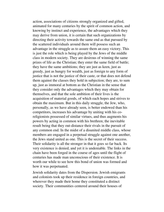action, associations of citizens strongly organized and gifted, animated for many centuries by the spirit of common action, and knowing by instinct and experience, the advantages which they may derive from union, it is certain that such organizations by directing their activity towards the same end as that pursued by the scattered individuals around them will possess such an advantage in the struggle as to assure them an easy victory. This is just the role which is being played by the Jews of the middle class in modern society. They are desirous of winning the same prizes of life as the Christian; they enter the same field of battle; they have the same ambitions; they are just as keen, just as greedy, just as hungry for wealth, just as foreign to any form of justice that is not the justice of their caste, or that does not defend them against the classes they hold in subjection; they are, to sum up, just as immoral at bottom as the Christian in the sense that they consider only the advantages which they may obtain for themselves, and that the sole ambition of their lives is the acquisition of material goods, of which each hopes and strives to obtain the maximum. But in this daily struggle, the Jew, who, personally, as we have already seen, is better endowed than his competitors, increases his advantage by uniting with his coreligionists possessed of similar virtues, and thus augments his powers by acting in common with his brethren; the inevitable result being that they out-distance their rivals in the pursuit of any common end. In the midst of a disunited middle class, whose members are engaged in a perpetual struggle against one another, the Jews stand united as one. This is the secret of their success. Their solidarity is all the stronger in that it goes so far back. Its very existence is denied, and yet it is undeniable. The links in the chain have been forged in the course of ages until the flight of centuries has made man unconscious of their existence. It is worth our while to see how this bond of union was formed and how it was perpetuated.

Jewish solidarity dates from the Dispersion. Jewish emigrants and colonists took up their residence in foreign countries, and wherever they made their home they constituted a distinct society. Their communities centered around their houses of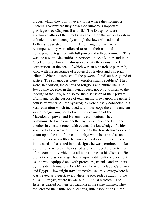prayer, which they built in every town where they formed a nucleus. Everywhere they possessed numerous important privileges (see Chapters II and III.). The Diasporoi were invaluable allies of the Greeks in carrying on the work of eastern colonization, and strangely enough the Jews who adopted Hellenism, assisted in turn in Hellenizing the East. As a recompense they were allowed to retain their national homogeneity, together with full powers of self-government. This was the case in Alexandria, in Antioch, in Asia Minor, and in the Greek cities of Ionia. In almost every city they constituted corporations at the head of which was an ethnarch or patriarch, who, with the assistance of a council of leaders and a special tribunal, &laqno;exercised all the powers of civil authority and of justice. The synagogues were "veritable small republics." They were, in addition, the centres of religious and public life. The Jews came together in their synagogues, not only to listen to the reading of the Law, but also for the discussion of their private affairs and for the purpose of exchanging views upon the general course of events. All the synagogues were closely connected in a vast federation which included within its scope the entire ancient world, progressing parallel with the expansion of the Macedonian power and Hellenistic civilization. They communicated with one another by messengers and kept one another in constant touch with events, the knowledge of which was likely to prove useful. In every city the Jewish traveler could count upon the aid of the community; when he arrived as an immigrant or as a settler, he was received as a brother, succoured in his need and assisted in his designs, he was permitted to take up his home wherever he desired and he enjoyed the protection of the community which put all its resources at his disposal. He did not come as a stranger bound upon a difficult conquest, but as one well equipped and with protectors, friends, and brothers by his side. Throughout Asia Minor, the Archipelago, Cyrenaica and Egypt, a Jew might travel in perfect security; everywhere he was treated as a guest, everywhere he proceeded straight to the house of prayer, where he was sure to find a welcome. The Essenes carried on their propaganda in the same manner. They, too, created their little social centres, little associations in the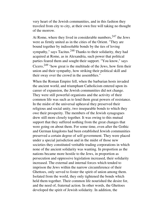very heart of the Jewish communities, and in this fashion they traveled from city to city, at their own free will taking no thought of the morrow.

At Rome, where they lived in considerable numbers,  $247$  the Jews were as firmly united as in the cities of the Orient. "They are bound together by indissoluble bonds by the ties of loving sympathy," says Tacitus. $248$  Thanks to their solidarity, they had acquired at Rome, as in Alexandria, such power that political parties feared them and sought their support. "You know," says Cicero,  $249$  "how great is the multitude of the Jews, how firm their union and their sympathy, how striking their political skill and their sway over the crowd in the assemblies."

When the Roman Empire fell, when the barbarian hosts invaded the ancient world, and triumphant Catholicism entered upon its career of expansion, the Jewish communities did not change. They were still powerful organisms and the activity of their common life was such as to lend them great powers of resistance. In the midst of the universal upheaval they preserved their religious and social unity, two inseparable bonds to which they owe their prosperity. The members of the Jewish synagogues drew still more closely together. It was owing to this mutual support that they suffered nothing from the great changes that were going on about them. For some time, even after the Gothic and German kingdoms had been established Jewish communities preserved a certain degree of self-government. They were placed under a special jurisdiction and in the midst of those new societies they constituted veritable trading corporations in which none of the ancient solidarity was wanting. In proportion as the nations became more hostile to the Jews, in proportion as persecution and oppressive legislation increased, their solidarity increased. The external and internal forces which tended to imprison the Jews within the narrow circumference of their Ghettoes, only served to foster the spirit of union among them. Isolated from the world, they only tightened the bonds which held them together. Their common life nourished the desire for, and the need of, fraternal action. In other words, the Ghettoes developed the spirit of Jewish solidarity. In addition, the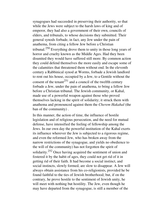synagogues had succeeded in preserving their authority, so that while the Jews were subject to the harsh laws of king and of emperor, they had also a government of their own, councils of elders, and tribunals, to whose decisions they submitted. Their general synods forbade, in fact, any Jew under the pain of anathema, from citing a fellow Jew before a Christian tribunal.<sup>250</sup> Everything drove them to unity in those long years of horror and cruelty known as the Middle Ages. Had they been disunited they would have suffered still more. By common action they could defend themselves the more easily and escape some of the calamities that threatened them without end. In the eleventh century a Rabbinical synod at Worms, forbade a Jewish landlord to rent out his house, occupied by a Jew, to a Gentile without the consent of the tenant<sup>251</sup> and a council of the twelfth century forbade a Jew, under the pain of anathema, to bring a fellow Jew before a Christian tribunal. The Jewish community, or Kahal, made use of a powerful weapon against those who proved themselves lacking in the spirit of solidarity; it struck them with anathema and pronounced against them the *Cherem Hakahal* (the ban of the community) .

In this manner, the action of time, the influence of hostile legislation and of religious persecution, and the need for mutual defense, have intensified the feeling of fellowship among the Jews. In our own day the powerful institution of the Kahal exerts its influence wherever the Jew is subjected to a rigorous regime, and even the reformed Jew, who has broken away from the narrow restrictions of the synagogue, and yields no obedience to the will of the community) has not forgotten the spirit of solidarity.<sup>252</sup> Once having acquired the sentiment of union and fostered it by the habit of ages, they could not get rid of it in getting rid of their faith. It had become a social instinct, and social instincts, slowly formed, are slow to disappear. A Jew will always obtain assistance from his co-religionists, provided he be found faithful to the ties of Jewish brotherhood; but, if on the contrary, he prove hostile to the sentiment of Jewish unity, he will meet with nothing but hostility. The Jew, even though he may have departed from the synagogue, is still a member of the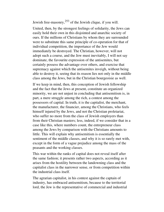Jewish free-masonry,  $253$  of the Jewish clique, if you will.

United, then, by the strongest feelings of solidarity, the Jews can easily hold their own in this disjointed and anarchic society of ours. If the millions of Christians by whom they are surrounded were to substitute this same principle of co-operation for that of individual competition, the importance of the Jew would immediately be destroyed. The Christian, however, will not adopt such a course, and the Jew must inevitably, I will not say dominate, the favourite expression of the antisemites, but certainly possess the advantage over others, and exercise that supremacy against which the antisemites inveigh, without being able to destroy it, seeing that its reason lies not only in the middle class among the Jews, but in the Christian bourgeoisie as well.

If we keep in mind, then, this conception of Jewish fellowship and the fact that the Jews at present, constitute an organized minority, we are not unjust in concluding that antisemitism is, in part, a mere struggle among the rich, a contest among the possessors of capital. In truth, it is the capitalist, the merchant, the manufacturer, the financier, among the Christians, who feels himself injured by the Jews, and not the Christian proletariat, who suffer no more from the class of Jewish employers than from their Christian masters; less, indeed, if we consider that in a case like this, where numbers count, the entrepreneur class among the Jews by comparison with the Christians amounts to little. This will explain why antisemitism is essentially the sentiment of the middle classes, and why it is so rarely met with, except in the form of a vague prejudice among the mass of the peasants and the working classes.

This war within the ranks of capital does not reveal itself after the same fashion; it presents rather two aspects, according as it arises from the hostility between the landowning class and the capitalist class in the narrower sense, or from competition within the industrial class itself.

The agrarian capitalist, in his contest against the captain of industry, has embraced antisemitism, because to the territorial lord, the Jew is the representative of commercial and industrial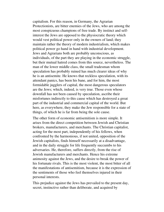capitalism. For this reason, in Germany, the Agrarian Protectionists, are bitter enemies of the Jews, who are among the most conspicuous champions of free trade. By instinct and selfinterest the Jews are opposed to the physiocratic theory which would vest political power only in the owners of land; they maintain rather the theory of modern industrialism, which makes political power go hand in hand with industrial development. Jews and Agrarians both are probably unconscious, as individuals, of the part they are playing in the economic struggle, but their mutual hatred comes from this source, nevertheless. The man of the lower middle class, the small tradesman whom speculation has probably ruined has much clearer ideas of why he is an antisemite. He knows that reckless speculation, with its attendant panics, has been his bane, and for him, the most formidable jugglers of capital, the most dangerous speculators are the Jews; which, indeed, is very true. Those even whose downfall has not been caused by speculation, ascribe their misfortunes indirectly to this cause which has destroyed a great part of the industrial and commercial capital of the world. But here, as everywhere, they make the Jew responsible for a state of things, of which he is far from being the sole cause.

The other form of economic antisemitism is more simple. It arises from the direct competition between Jewish and Christian brokers, manufacturers, and merchants. The Christian capitalist, acting for the most part, independently of his fellows, when confronted by the harmonious, if not united, opposition of the Jewish capitalists, finds himself necessarily at a disadvantage, and in the daily struggle for life frequently succumbs to his adversaries. He, therefore, suffers directly, from the rise of Jewish manufacturers and merchants. Hence his extreme animosity against the Jews, and the desire to break the power of his fortunate rivals. This is the most violent, the most bitter of all the manifestations of antisemitism, because it is the expression of the sentiments of those who feel themselves injured in their personal interests.

This prejudice against the Jews has prevailed to the present day, secret, instinctive rather than deliberate, and acquired by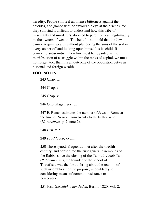heredity. People still feel an intense bitterness against the deicides, and glance with no favourable eye at their riches, for they still find it difficult to understand how this tribe of miscreants and murderers, doomed to perdition, can legitimately be the owners of wealth. The belief is still held that the Jew cannot acquire wealth without plundering the sons of the soil every owner of land looking upon himself as its child. If economic antisemitism therefore must be regarded as the manifestation of a struggle within the ranks of capital, we must not forget, too, that it is an outcome of the opposition between national and foreign wealth.

#### FOOTNOTES

243 Chap. ii.

244 Chap. v.

245 Chap. v.

246 Otto Glagau, *loc. cit*.

247 E. Renan estimates the number of Jews in Rome at the time of Nero at from twenty to thirty thousand (*L'Antechrist,* p. 7, note 2).

248 *Hist*. v. 5.

249 *Pro Flacco*, xxviii.

250 These synods frequently met after the twelfth century, and constituted the first general assemblies of the Rabbis since the closing of the Talmud. Jacob Tam (*Rabbenu Tam*), the founder of the school of Tossafists, was the first to bring about the reunion of such assemblies, for the purpose, undoubtedly, of considering means of common resistance to persecution.

251 Jost, *Geschichte der Juden*, Berlin, 1820, Vol. 2.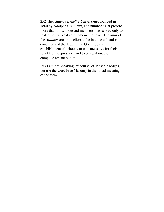252 The *Alliance Israelite Universelle*, founded in 1860 by Adolphe Cremieux, and numbering at present more than thirty thousand members, has served only to foster the fraternal spirit among the Jews. The aims of the *Alliance* are to ameliorate the intellectual and moral conditions of the Jews in the Orient by the establishment of schools, to take measures for their relief from oppression, and to bring about their complete emancipation .

253 I am not speaking, of course, of Masonic lodges, but use the word Free Masonry in the broad meaning of the term.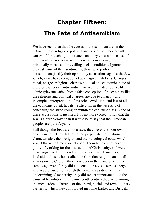## <span id="page-216-0"></span>**[Chapter Fifteen:](#page-216-0) [The Fate of Antisemitism](#page-216-0)**

We have seen then that the causes of antisemitism are, in their nature, ethnic, religious, political and economic. They are all causes of far reaching importance, and they exist not because of the Jew alone, nor because of his neighbours alone, but principally because of prevailing social conditions. Ignorant of the real cause of their sentiments, those who profess antisemitism, justify their opinion by accusations against the Jew which, as we have seen, do not at all agree with facts. Charges racial, charges religious, charges political and economic, none of these grievances of antisemitism are well founded. Some, like the ethnic grievance arise from a false conception of race; others like the religious and political charges, are due to a narrow and incomplete interpretation of historical evolution; and last of all, the economic count, has its justification in the necessity of concealing the strife going on within the capitalist class. None of these accusations is justified. It is no more correct to say that the Jew is a pure Semite than it would be to say that the European peoples are pure Aryans.

Still though the Jews are not a race, they were, until our own days, a nation. They did not fail to perpetuate their national characteristics, their religion and their theological code, which was at the same time a social code. Though they were never guilty of working for the destruction of Christianity, and were never organized in a secret conspiracy against Jesus, they did lend aid to those who assailed the Christian religion, and in all attacks on the Church, they were ever in the front rank. In the same way, even if they did not constitute a vast secret society, implacably pursuing through the centuries as its object, the undermining of monarchy, they did render important aid to the cause of Revolution. In the nineteenth century they were among the most ardent adherents of the liberal, social, and revolutionary parties, to which they contributed men like Lasker and Disraeli,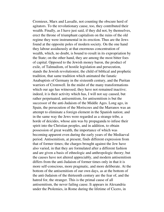Cremieux, Marx and Lassalle, not counting the obscure herd of agitators. To the revolutionary cause, too, they contributed their wealth. Finally, as I have just said, if they did not, by themselves, erect the throne of triumphant capitalism on the ruins of the old regime they were instrumental in its erection. Thus are the Jews found at the opposite poles of modern society. On the one hand they labour assiduously at that enormous concentration of wealth, which, no doubt, is bound to result in its expropriation by the State; on the other hand, they are among the most bitter foes of capital. Opposed to the Jewish money baron, the product of exile, of Talmudism, of hostile legislation and persecution, stands the Jewish revolutionist, the child of biblical and prophetic tradition, that same tradition which animated the fanatic Anabaptists of Germany in the sixteenth century, and the Puritan warriors of Cromwell. In the midst of the many transformations which our age has witnessed, they have not remained inactive; indeed, it is their activity which has, I will not say caused, but rather perpetuated, antisemitism, for antisemitism is but the successor of the anti-Judaism of the Middle Ages. Long ago, in Spain, the persecution of the Moriscoes and the Marranos was an attempt to eliminate a foreign element in the Spanish nation; and in the same way the Jews were regarded as a strange tribe, a horde of deicides, whose aim was by propaganda to infuse their spirit into the Christian peoples, and in addition, to obtain possession of great wealth, the importance of which was becoming apparent even during the early years of the Mediaeval period. Antisemitism, at present, finds different expression from that of former times; the charges brought against the Jew have also varied, in that they are formulated after a different fashion and are given a basis of ethnologic and anthropologic theory; but the causes have not altered appreciably, and modern antisemitism differs from the anti-Judaism of former times only in that it is more self-conscious, more pragmatic, and more deliberate. At the bottom of the antisemitism of our own days, as at the bottom of the anti-Judaism of the thirteenth century are the fear of, and the hatred for, the stranger. This is the primal cause of all antisemitism, the never failing cause. It appears in Alexandria under the Ptolemies, in Rome during the lifetime of Cicero, in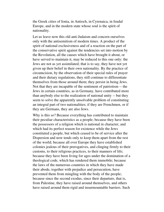the Greek cities of Ionia, in Antioch, in Cyrenaica, in feudal Europe, and in the modern state whose soul is the spirit of nationality.

Let us leave now this old anti-Judaism and concern ourselves only with the antisemitism of modern times. A product of the spirit of national exclusiveness and of a reaction on the part of the conservative spirit against the tendencies set into motion by the Revolution, all the causes which have brought it about, or have served to maintain it, may be reduced to this one only: the Jews are not as yet assimilated; that is to say, they have not yet given up their belief in their own nationality. By the practice of circumcision, by the observation of their special rules of prayer and their dietary regulations, they still continue to differentiate themselves from those around them; they persist in being Jews. Not that they are incapable of the sentiment of patriotism -- the Jews in certain countries, as in Germany, have contributed more than anybody else to the realization of national unity -- but they seem to solve the apparently unsolvable problem of constituting an integral part of two nationalities; if they are Frenchmen, or if they are Germans, they are also Jews.

Why is this so? Because everything has contributed to maintain their peculiar characteristics as a people; because they have been the possessors of a religion which is national in character, and which had its perfect reason for existence while the Jews constituted a people, but which ceased to be of service after the Dispersion and now tends only to keep them apart from the rest of the world; because all over Europe they have established colonies jealous of their prerogatives, and clinging firmly to their customs, to their religious practices, to their manners of life; because they have been living for ages under the domination of a theological code, which has rendered them immobile; because the laws of the numerous countries in which they have made their abode, together with prejudice and persecution, have prevented them from mingling with the body of the people; because since the second exodus, since their departure, that is, from Palestine, they have raised around themselves, and others have raised around them rigid and insurmountable barriers. Such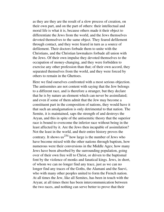as they are they are the result of a slow process of creation, on their own part, and on the part of others: their intellectual and moral life is what it is, because others made it their object to differentiate the Jews from the world, and the Jews themselves devoted themselves to the same object. They feared defilement through contact, and they were feared in turn as a source of defilement. Their doctors forbade them to unite with the Christians, and the Christian lawmakers forbade all union with the Jews. Of their own impulse they devoted themselves to the occupation of money-changing, and they were forbidden to exercise any other profession than that; of their own accord, they separated themselves from the world, and they were forced by others to remain in the Ghettoes.

Here we find ourselves confronted with a most serious objection. The antisemites are not content with saying that the Jew belongs to a different race, and is therefore a stranger, but they declare that he is by nature an element which can never be assimilated; and even if some of them admit that the Jew may become a constituent part in the composition of nations, they would have it that such an amalgamation is only detrimental to that nation. The Semite, it is maintained, saps the strength of and destroys the Aryan, and this in spite of the antisemitic theory that the superior race is bound to overcome the inferior race without being in the least affected by it. Are the Jews then incapable of assimilation? Not the least in the world, and their entire history proves the contrary. It shows  $us^{254}$  how large is the number of Jews who have become mixed with the other nations through baptism, how numerous were their conversions in the Middle Ages; how many Jews have been absorbed by the surrounding population, going over of their own free will to Christ, or driven to the baptismal font by the violence of monks and fanatical kings. Jews, in short, of whom we can no longer find any trace, just as we can no longer find any traces of the Goths, the Alamani and the Suevi, who with many other peoples united to form the French nation. At all times the Jew, like all Semites, has been in touch with the Aryan; at all times there has been intercommunication between the two races, and nothing can serve better to prove that their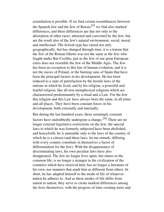assimilation is possible. If we find certain resemblances between the Spanish Jew and the Jew of Russia<sup>255</sup> we find also marked differences, and these differences are due not only to the absorption of other races, attracted and converted by the Jew, but are the result also of the Jew's natural environment, social, moral, and intellectual. The Jewish type has varied not only geographically, but has changed through time; it is a truism that the Jew of the Roman Ghetto was not the same as the Jew who fought under Bar-Cochba, just as the Jew of our great European cities does not resemble the Jew of the Middle Ages. The Jew has been no exception to this law of human evolution, and it is not the snows of Poland, or the burning suns of Spain that have been the principal factors in his development. He has been reduced to a state of putrefaction by the hostile laws of the nations in which he lived, and by his religion, a powerful and fearful religion, like all non-metaphysical religions which are characterized predominantly by a ritual and a Law. For the Jew this religion and this Law have always been the same, in all times and all places. They have been constant forces in his development, both externally and internally.

But during the last hundred years, these seemingly constant factors have undoubtedly undergone a change.<sup>256</sup> There are no longer external legislative restrictions on the Jew; the special laws to which he was formerly subjected have been abolished, and henceforth, he is amenable only to the laws of the country of which he is a citizen (and these laws, let me remark, differing with every country constitute in themselves a factor of differentiation for the Jew). With the disappearance of discriminating laws, his own peculiar laws have also disappeared. The Jew no longer lives apart, but shares in the common life; is no longer a stranger to the civilization of the countries which have received him; has no longer a literature of his own; nor manners that mark him as different from others. In short, he has adapted himself to the mode of life of whatever nation he adheres to. And as these modes of life differ from nation to nation, they serve to create marked differences among the Jews themselves, with the progress of time creating more and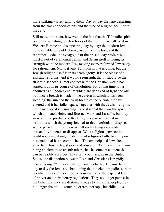more striking variety among them. Day by day they are departing from the class of occupations and the type of religion peculiar to the Jew.

Still more important, however, is the fact that the Talmudic spirit is slowly vanishing. Such schools of the Talmud as still exist in Western Europe are disappearing day by day: the modern Jew is not even able to read Hebrew; freed from the bonds of the rabbinical code, the synagogue of the present day professes at most a sort of ceremonial deism, and deism itself is losing its strength with the modern Jew, making every reformed Jew ready for rationalism. Nor is it only Talmudism that is dying, but the Jewish religion itself is in its death agony. It is the oldest of all existing religions, and it would seem right that it should be the first to disappear. Direct contact with the Christian world has started it upon its course of dissolution. For a long time it has endured as all bodies endure which are deprived of light and air: but once a breach is made in the cavern in which it has been sleeping, the sun and the fresh breath of the outside air have entered and it has fallen apart. Together with the Jewish religion, the Jewish spirit is vanishing. True it is that that was the spirit which animated Heine and Boerne, Marx and Lassalle, but they were still the products of the Jewry; they were cradled in traditions which the young Jews of to-day overlook or despise. At the present time, if there is still such a thing as Jewish personality, it tends to disappear. What religious persecution could not bring about, the decline of religious faith, based upon national ideal has accomplished. The emancipated Jew, freed alike from hostile legislation and obscurant Talmudism, far from being an element to absorb others, has become an element that can be readily absorbed. In certain countries, as in the United States, the distinction between Jews and Christians is rapidly disappearing.<sup>257</sup> It is vanishing from day to day, because from day to day the Jews are abandoning their ancient prejudices, their peculiar modes of worship, the observance of their special laws of prayer and their dietary regulations. They no longer persist in the belief that they are destined always to remain a people; they no longer dream -- a touching dream, perhaps, but ridiculous --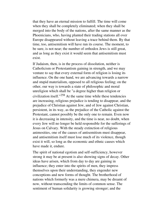that they have an eternal mission to fulfill. The time will come when they shall be completely eliminated; when they shall be merged into the body of the nations, after the same manner as the Phoenicians, who, having planted their trading stations all over Europe disappeared without leaving a trace behind them. By that time, too, antisemitism will have run its course. The moment, to be sure, is not near; the number of orthodox Jews is still great, and as long as they exist it would seem that antisemitism must exist.

If Judaism, then, is in the process of dissolution, neither is Catholicism or Protestantism gaining in strength, and we may venture to say that every external form of religion is losing its influence. On the one hand, we are advancing towards a narrow and stupid materialism, opposed to all religious feeling; on the other, our way is towards a state of philosophic and moral unreligion which shall be "a degree higher than religion or civilization itself." $258$  At the same time while these tendencies are increasing, religious prejudice is tending to disappear, and the prejudice of Christian against Jew, and of Jew against Christian, persistent, in its way, as the prejudice of the Catholic against the Protestant, cannot possibly be the only one to remain. Even now it is decreasing in intensity, and the time is near, no doubt, when every Jew will no longer be held responsible for the sufferings of Jesus on Calvary. With the steady extinction of religious animosities, one of the causes of antisemitism must disappear, and antisemitism itself must lose much of its violence, though exist it will, so long as the economic and ethnic causes which have made it, endure.

The spirit of national egotism and self-sufficiency, however strong it may be at present is also showing signs of decay. Other ideas have arisen, which from day to day are gaining in influence; they enter into the spirits of men, they impress themselves upon their understanding, they engender new conceptions and new forms of thought. The brotherhood of nations which formerly was a mere chimera, may be dreamt of now, without transcending the limits of common sense. The sentiment of human solidarity is growing stronger; and the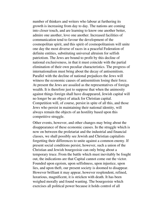number of thinkers and writers who labour at furthering its growth is increasing from day to day. The nations are coming into closer touch, and are learning to know one another better, admire one another, love one another. Increased facilities of communication tend to favour the development of the cosmopolitan spirit, and this spirit of cosmopolitanism will unite one day the most diverse of races in a peaceful Federation of definite entities, substituting universal altruism for selfish patriotism. The Jews are bound to profit by this decline of national exclusiveness, in that it must coincide with the partial elimination of their own peculiar characteristics. The progress of internationalism must bring about the decay of antisemitism. Parallel with the decline of national prejudices the Jews will witness the economic causes of antisemitism losing their force. At present the Jews are assailed as the representatives of foreign wealth. It is therefore just to suppose that when the animosity against things foreign shall have disappeared, Jewish capital will no longer be an object of attack for Christian capital. Competition will, of course, persist in spite of all this, and those Jews who persist in maintaining their national identity, will always remain the objects of an hostility based upon this competitive struggle.

Other events, however, and other changes may bring about the disappearance of these economic causes. In the struggle which is now on between the proletariat and the industrial and financial classes, we shall possibly see Jewish and Christian capitalists forgetting their differences to unite against a common enemy. If present social conditions persist, however, such a union of the Christian and Jewish bourgeoisie can only bring about a temporary truce. From the battle which must inevitably be fought out, the indications are that Capital cannot come out the victor. Founded upon egoism, upon selfishness, upon injustice, upon lies, and upon theft, our present society is doomed to disappear. However brilliant it may appear, however resplendent, refined, luxurious, magnificent, it is stricken with death. It has been weighed morally and found wanting. The bourgeoisie which exercises all political power because it holds control of all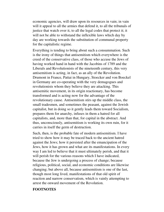economic agencies, will draw upon its resources in vain; in vain will it appeal to all the armies that defend it, to all the tribunals of justice that watch over it, to all the legal codes that protect it; it will not be able to withstand the inflexible laws which day by day are working towards the substitution of communal property for the capitalistic regime.

Everything is tending to bring about such a consummation. Such is the irony of things that antisemitism which everywhere is the creed of the conservative class, of those who accuse the Jews of having worked hand in hand with the Jacobins of 1789 and the Liberals and Revolutionists of the nineteenth century, this very antisemitism is acting, in fact, as an ally of the Revolution. Drumont in France, Pattai in Hungary, Stoecker and von Boeckel in Germany are co-operating with the very demagogues and revolutionists whom they believe they are attacking. This antisemitic movement, in its origin reactionary, has become transformed and is acting now for the advantage of the revolutionary cause. Antisemitism stirs up the middle class, the small tradesmen, and sometimes the peasant, against the Jewish capitalist, but in doing so it gently leads them toward Socialism, prepares them for anarchy, infuses in them a hatred for all capitalists, and, more than that, for capital in the abstract. And thus, unconsciously, antisemitism is working its own ruin, for it carries in itself the germ of destruction.

Such, then, is the probable fate of modern antisemitism. I have tried to show how it may be traced back to the ancient hatred against the Jews; how it persisted after the emancipation of the Jews, how it has grown and what are its manifestations. In every way I am led to believe that it must ultimately perish, and that it will perish for the various reasons which I have indicated, because the Jew is undergoing a process of change; because religious, political, social, and economic conditions are likewise changing; but above all, because antisemitism is one of the last, though most long lived, manifestations of that old spirit of reaction and narrow conservatism, which is vainly attempting to arrest the onward movement of the Revolution.

## **FOOTNOTES**